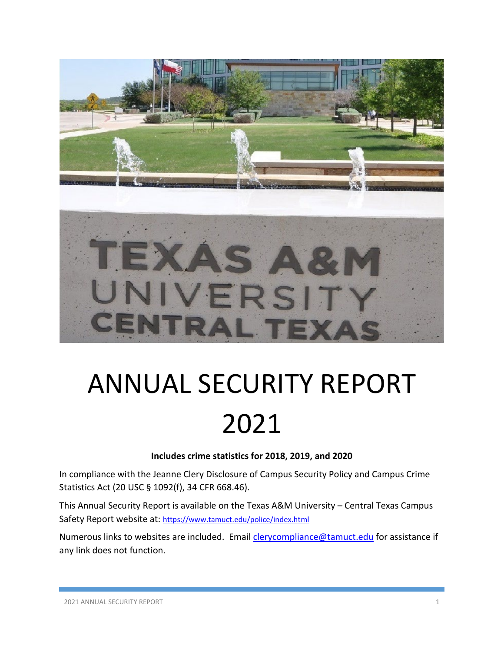

# ANNUAL SECURITY REPORT 2021

#### **Includes crime statistics for 2018, 2019, and 2020**

In compliance with the Jeanne Clery Disclosure of Campus Security Policy and Campus Crime Statistics Act (20 USC § 1092(f), 34 CFR 668.46).

This Annual Security Report is available on the Texas A&M University – Central Texas Campus Safety Report website at:<https://www.tamuct.edu/police/index.html>

Numerous links to websites are included. Email *clerycompliance@tamuct.edu* for assistance if any link does not function.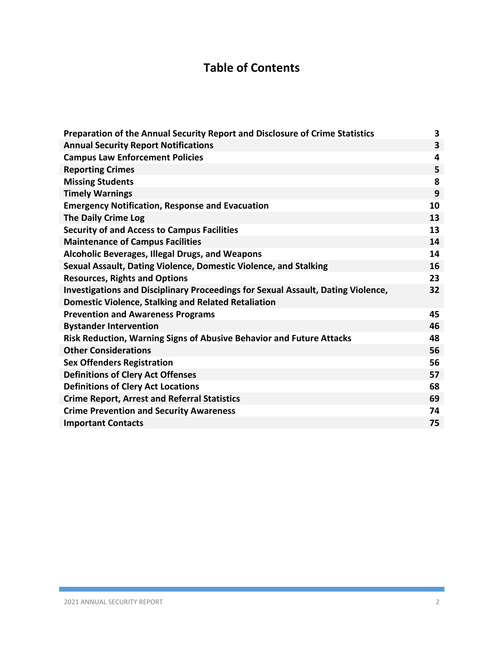# **Table of Contents**

| Preparation of the Annual Security Report and Disclosure of Crime Statistics     | $\overline{\mathbf{3}}$ |
|----------------------------------------------------------------------------------|-------------------------|
| <b>Annual Security Report Notifications</b>                                      | $\overline{\mathbf{3}}$ |
| <b>Campus Law Enforcement Policies</b>                                           | 4                       |
| <b>Reporting Crimes</b>                                                          | 5                       |
| <b>Missing Students</b>                                                          | 8                       |
| <b>Timely Warnings</b>                                                           | 9                       |
| <b>Emergency Notification, Response and Evacuation</b>                           | 10                      |
| <b>The Daily Crime Log</b>                                                       | 13                      |
| <b>Security of and Access to Campus Facilities</b>                               | 13                      |
| <b>Maintenance of Campus Facilities</b>                                          | 14                      |
| <b>Alcoholic Beverages, Illegal Drugs, and Weapons</b>                           | 14                      |
| Sexual Assault, Dating Violence, Domestic Violence, and Stalking                 | 16                      |
| <b>Resources, Rights and Options</b>                                             | 23                      |
| Investigations and Disciplinary Proceedings for Sexual Assault, Dating Violence, | 32                      |
| <b>Domestic Violence, Stalking and Related Retaliation</b>                       |                         |
| <b>Prevention and Awareness Programs</b>                                         | 45                      |
| <b>Bystander Intervention</b>                                                    | 46                      |
| Risk Reduction, Warning Signs of Abusive Behavior and Future Attacks             | 48                      |
| <b>Other Considerations</b>                                                      | 56                      |
| <b>Sex Offenders Registration</b>                                                | 56                      |
| <b>Definitions of Clery Act Offenses</b>                                         | 57                      |
| <b>Definitions of Clery Act Locations</b>                                        | 68                      |
| <b>Crime Report, Arrest and Referral Statistics</b>                              | 69                      |
| <b>Crime Prevention and Security Awareness</b>                                   | 74                      |
| <b>Important Contacts</b>                                                        | 75                      |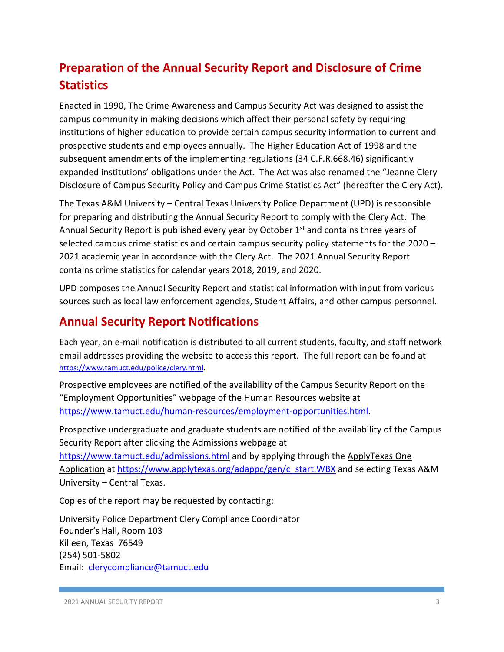# **Preparation of the Annual Security Report and Disclosure of Crime Statistics**

Enacted in 1990, The Crime Awareness and Campus Security Act was designed to assist the campus community in making decisions which affect their personal safety by requiring institutions of higher education to provide certain campus security information to current and prospective students and employees annually. The Higher Education Act of 1998 and the subsequent amendments of the implementing regulations (34 C.F.R.668.46) significantly expanded institutions' obligations under the Act. The Act was also renamed the "Jeanne Clery Disclosure of Campus Security Policy and Campus Crime Statistics Act" (hereafter the Clery Act).

The Texas A&M University – Central Texas University Police Department (UPD) is responsible for preparing and distributing the Annual Security Report to comply with the Clery Act. The Annual Security Report is published every year by October 1<sup>st</sup> and contains three years of selected campus crime statistics and certain campus security policy statements for the 2020 – 2021 academic year in accordance with the Clery Act. The 2021 Annual Security Report contains crime statistics for calendar years 2018, 2019, and 2020.

UPD composes the Annual Security Report and statistical information with input from various sources such as local law enforcement agencies, Student Affairs, and other campus personnel.

## **Annual Security Report Notifications**

Each year, an e-mail notification is distributed to all current students, faculty, and staff network email addresses providing the website to access this report. The full report can be found at [https://www.tamuct.edu/police/clery.html.](https://www.tamuct.edu/police/clery.html)

Prospective employees are notified of the availability of the Campus Security Report on the "Employment Opportunities" webpage of the Human Resources website at [https://www.tamuct.edu/human-resources/employment-opportunities.html.](https://www.tamuct.edu/human-resources/employment-opportunities.html)

Prospective undergraduate and graduate students are notified of the availability of the Campus Security Report after clicking the Admissions webpage at

<https://www.tamuct.edu/admissions.html> and by applying through the ApplyTexas One Application at [https://www.applytexas.org/adappc/gen/c\\_start.WBX](https://www.applytexas.org/adappc/gen/c_start.WBX) and selecting Texas A&M University – Central Texas.

Copies of the report may be requested by contacting:

University Police Department Clery Compliance Coordinator Founder's Hall, Room 103 Killeen, Texas 76549 (254) 501-5802 Email: [clerycompliance@tamuct.edu](mailto:clerycompliance@tamuct.edu)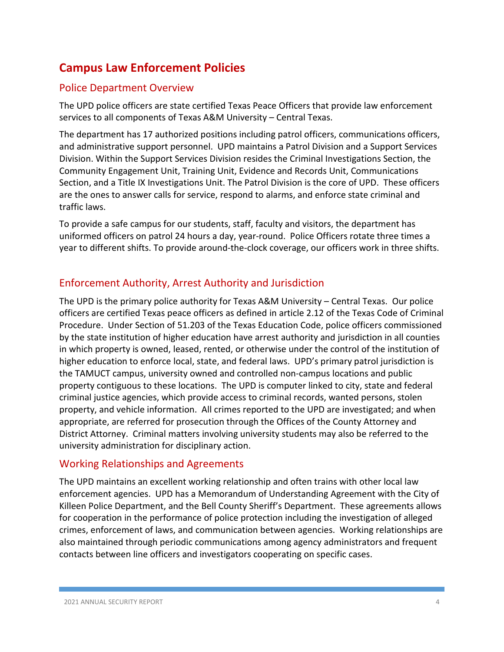## **Campus Law Enforcement Policies**

## Police Department Overview

The UPD police officers are state certified Texas Peace Officers that provide law enforcement services to all components of Texas A&M University – Central Texas.

The department has 17 authorized positions including patrol officers, communications officers, and administrative support personnel. UPD maintains a Patrol Division and a Support Services Division. Within the Support Services Division resides the Criminal Investigations Section, the Community Engagement Unit, Training Unit, Evidence and Records Unit, Communications Section, and a Title IX Investigations Unit. The Patrol Division is the core of UPD. These officers are the ones to answer calls for service, respond to alarms, and enforce state criminal and traffic laws.

To provide a safe campus for our students, staff, faculty and visitors, the department has uniformed officers on patrol 24 hours a day, year-round. Police Officers rotate three times a year to different shifts. To provide around-the-clock coverage, our officers work in three shifts.

## Enforcement Authority, Arrest Authority and Jurisdiction

The UPD is the primary police authority for Texas A&M University – Central Texas. Our police officers are certified Texas peace officers as defined in article 2.12 of the Texas Code of Criminal Procedure. Under Section of 51.203 of the Texas Education Code, police officers commissioned by the state institution of higher education have arrest authority and jurisdiction in all counties in which property is owned, leased, rented, or otherwise under the control of the institution of higher education to enforce local, state, and federal laws. UPD's primary patrol jurisdiction is the TAMUCT campus, university owned and controlled non-campus locations and public property contiguous to these locations. The UPD is computer linked to city, state and federal criminal justice agencies, which provide access to criminal records, wanted persons, stolen property, and vehicle information. All crimes reported to the UPD are investigated; and when appropriate, are referred for prosecution through the Offices of the County Attorney and District Attorney. Criminal matters involving university students may also be referred to the university administration for disciplinary action.

#### Working Relationships and Agreements

The UPD maintains an excellent working relationship and often trains with other local law enforcement agencies. UPD has a Memorandum of Understanding Agreement with the City of Killeen Police Department, and the Bell County Sheriff's Department. These agreements allows for cooperation in the performance of police protection including the investigation of alleged crimes, enforcement of laws, and communication between agencies. Working relationships are also maintained through periodic communications among agency administrators and frequent contacts between line officers and investigators cooperating on specific cases.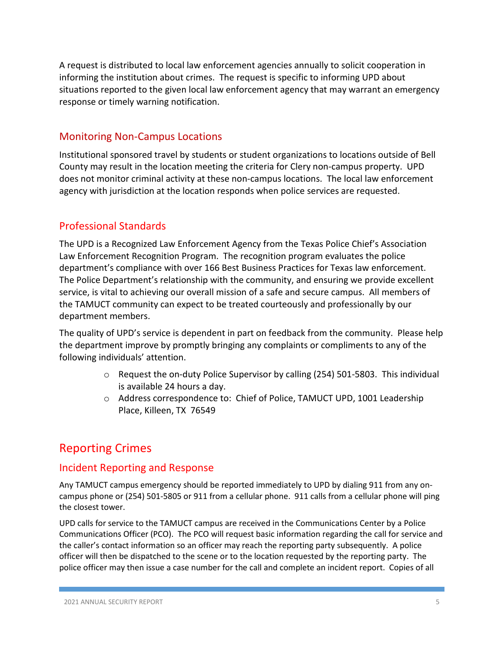A request is distributed to local law enforcement agencies annually to solicit cooperation in informing the institution about crimes. The request is specific to informing UPD about situations reported to the given local law enforcement agency that may warrant an emergency response or timely warning notification.

#### Monitoring Non-Campus Locations

Institutional sponsored travel by students or student organizations to locations outside of Bell County may result in the location meeting the criteria for Clery non-campus property. UPD does not monitor criminal activity at these non-campus locations. The local law enforcement agency with jurisdiction at the location responds when police services are requested.

#### Professional Standards

The UPD is a Recognized Law Enforcement Agency from the Texas Police Chief's Association Law Enforcement Recognition Program. The recognition program evaluates the police department's compliance with over 166 Best Business Practices for Texas law enforcement. The Police Department's relationship with the community, and ensuring we provide excellent service, is vital to achieving our overall mission of a safe and secure campus. All members of the TAMUCT community can expect to be treated courteously and professionally by our department members.

The quality of UPD's service is dependent in part on feedback from the community. Please help the department improve by promptly bringing any complaints or compliments to any of the following individuals' attention.

- $\circ$  Request the on-duty Police Supervisor by calling (254) 501-5803. This individual is available 24 hours a day.
- o Address correspondence to: Chief of Police, TAMUCT UPD, 1001 Leadership Place, Killeen, TX 76549

## Reporting Crimes

#### Incident Reporting and Response

Any TAMUCT campus emergency should be reported immediately to UPD by dialing 911 from any oncampus phone or (254) 501-5805 or 911 from a cellular phone. 911 calls from a cellular phone will ping the closest tower.

UPD calls for service to the TAMUCT campus are received in the Communications Center by a Police Communications Officer (PCO). The PCO will request basic information regarding the call for service and the caller's contact information so an officer may reach the reporting party subsequently. A police officer will then be dispatched to the scene or to the location requested by the reporting party. The police officer may then issue a case number for the call and complete an incident report. Copies of all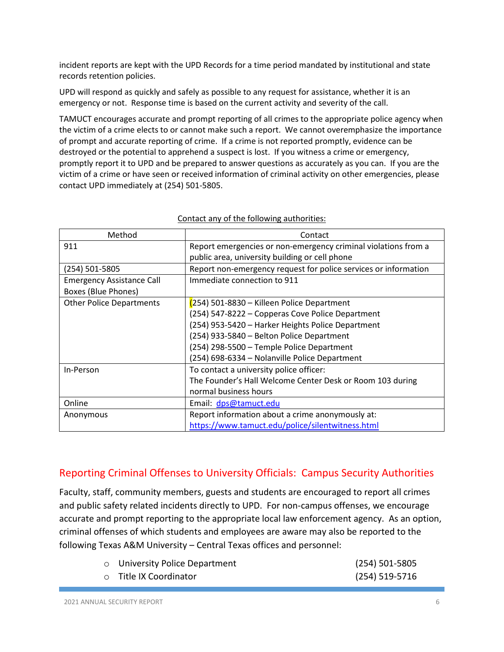incident reports are kept with the UPD Records for a time period mandated by institutional and state records retention policies.

UPD will respond as quickly and safely as possible to any request for assistance, whether it is an emergency or not. Response time is based on the current activity and severity of the call.

TAMUCT encourages accurate and prompt reporting of all crimes to the appropriate police agency when the victim of a crime elects to or cannot make such a report. We cannot overemphasize the importance of prompt and accurate reporting of crime. If a crime is not reported promptly, evidence can be destroyed or the potential to apprehend a suspect is lost. If you witness a crime or emergency, promptly report it to UPD and be prepared to answer questions as accurately as you can. If you are the victim of a crime or have seen or received information of criminal activity on other emergencies, please contact UPD immediately at (254) 501-5805.

| Method                           | Contact                                                         |  |  |
|----------------------------------|-----------------------------------------------------------------|--|--|
| 911                              | Report emergencies or non-emergency criminal violations from a  |  |  |
|                                  | public area, university building or cell phone                  |  |  |
| (254) 501-5805                   | Report non-emergency request for police services or information |  |  |
| <b>Emergency Assistance Call</b> | Immediate connection to 911                                     |  |  |
| Boxes (Blue Phones)              |                                                                 |  |  |
| <b>Other Police Departments</b>  | (254) 501-8830 – Killeen Police Department                      |  |  |
|                                  | (254) 547-8222 - Copperas Cove Police Department                |  |  |
|                                  | (254) 953-5420 - Harker Heights Police Department               |  |  |
|                                  | (254) 933-5840 - Belton Police Department                       |  |  |
|                                  | (254) 298-5500 - Temple Police Department                       |  |  |
|                                  | (254) 698-6334 - Nolanville Police Department                   |  |  |
| In-Person                        | To contact a university police officer:                         |  |  |
|                                  | The Founder's Hall Welcome Center Desk or Room 103 during       |  |  |
|                                  | normal business hours                                           |  |  |
| Online                           | Email: dps@tamuct.edu                                           |  |  |
| Anonymous                        | Report information about a crime anonymously at:                |  |  |
|                                  | https://www.tamuct.edu/police/silentwitness.html                |  |  |

#### Contact any of the following authorities:

#### Reporting Criminal Offenses to University Officials: Campus Security Authorities

Faculty, staff, community members, guests and students are encouraged to report all crimes and public safety related incidents directly to UPD. For non-campus offenses, we encourage accurate and prompt reporting to the appropriate local law enforcement agency. As an option, criminal offenses of which students and employees are aware may also be reported to the following Texas A&M University – Central Texas offices and personnel:

| <b>O</b> University Police Department | (254) 501-5805 |
|---------------------------------------|----------------|
| ○ Title IX Coordinator                | (254) 519-5716 |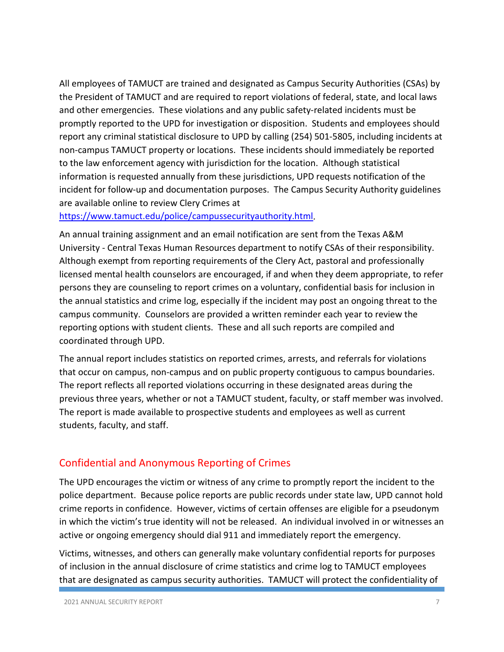All employees of TAMUCT are trained and designated as Campus Security Authorities (CSAs) by the President of TAMUCT and are required to report violations of federal, state, and local laws and other emergencies. These violations and any public safety-related incidents must be promptly reported to the UPD for investigation or disposition. Students and employees should report any criminal statistical disclosure to UPD by calling (254) 501-5805, including incidents at non-campus TAMUCT property or locations. These incidents should immediately be reported to the law enforcement agency with jurisdiction for the location. Although statistical information is requested annually from these jurisdictions, UPD requests notification of the incident for follow-up and documentation purposes. The Campus Security Authority guidelines are available online to review Clery Crimes at

[https://www.tamuct.edu/police/campussecurityauthority.html.](https://www.tamuct.edu/police/campussecurityauthority.html)

An annual training assignment and an email notification are sent from the Texas A&M University - Central Texas Human Resources department to notify CSAs of their responsibility. Although exempt from reporting requirements of the Clery Act, pastoral and professionally licensed mental health counselors are encouraged, if and when they deem appropriate, to refer persons they are counseling to report crimes on a voluntary, confidential basis for inclusion in the annual statistics and crime log, especially if the incident may post an ongoing threat to the campus community. Counselors are provided a written reminder each year to review the reporting options with student clients. These and all such reports are compiled and coordinated through UPD.

The annual report includes statistics on reported crimes, arrests, and referrals for violations that occur on campus, non-campus and on public property contiguous to campus boundaries. The report reflects all reported violations occurring in these designated areas during the previous three years, whether or not a TAMUCT student, faculty, or staff member was involved. The report is made available to prospective students and employees as well as current students, faculty, and staff.

#### Confidential and Anonymous Reporting of Crimes

The UPD encourages the victim or witness of any crime to promptly report the incident to the police department. Because police reports are public records under state law, UPD cannot hold crime reports in confidence. However, victims of certain offenses are eligible for a pseudonym in which the victim's true identity will not be released. An individual involved in or witnesses an active or ongoing emergency should dial 911 and immediately report the emergency.

Victims, witnesses, and others can generally make voluntary confidential reports for purposes of inclusion in the annual disclosure of crime statistics and crime log to TAMUCT employees that are designated as campus security authorities. TAMUCT will protect the confidentiality of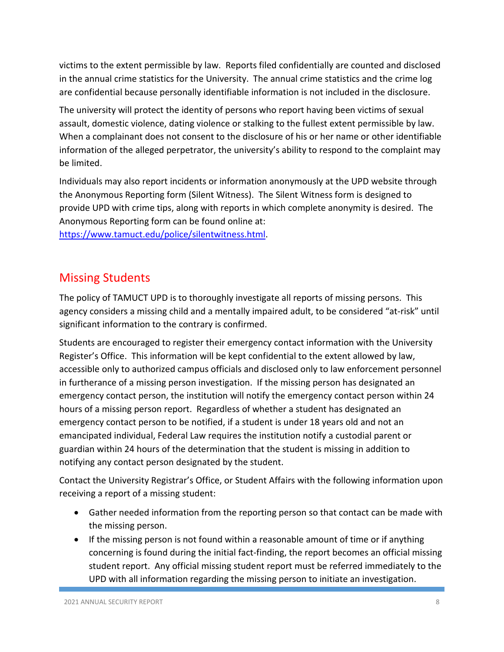victims to the extent permissible by law. Reports filed confidentially are counted and disclosed in the annual crime statistics for the University. The annual crime statistics and the crime log are confidential because personally identifiable information is not included in the disclosure.

The university will protect the identity of persons who report having been victims of sexual assault, domestic violence, dating violence or stalking to the fullest extent permissible by law. When a complainant does not consent to the disclosure of his or her name or other identifiable information of the alleged perpetrator, the university's ability to respond to the complaint may be limited.

Individuals may also report incidents or information anonymously at the UPD website through the Anonymous Reporting form (Silent Witness). The Silent Witness form is designed to provide UPD with crime tips, along with reports in which complete anonymity is desired. The Anonymous Reporting form can be found online at:

[https://www.tamuct.edu/police/silentwitness.html.](https://www.tamuct.edu/police/silentwitness.html)

## Missing Students

The policy of TAMUCT UPD is to thoroughly investigate all reports of missing persons. This agency considers a missing child and a mentally impaired adult, to be considered "at-risk" until significant information to the contrary is confirmed.

Students are encouraged to register their emergency contact information with the University Register's Office. This information will be kept confidential to the extent allowed by law, accessible only to authorized campus officials and disclosed only to law enforcement personnel in furtherance of a missing person investigation. If the missing person has designated an emergency contact person, the institution will notify the emergency contact person within 24 hours of a missing person report. Regardless of whether a student has designated an emergency contact person to be notified, if a student is under 18 years old and not an emancipated individual, Federal Law requires the institution notify a custodial parent or guardian within 24 hours of the determination that the student is missing in addition to notifying any contact person designated by the student.

Contact the University Registrar's Office, or Student Affairs with the following information upon receiving a report of a missing student:

- Gather needed information from the reporting person so that contact can be made with the missing person.
- If the missing person is not found within a reasonable amount of time or if anything concerning is found during the initial fact-finding, the report becomes an official missing student report. Any official missing student report must be referred immediately to the UPD with all information regarding the missing person to initiate an investigation.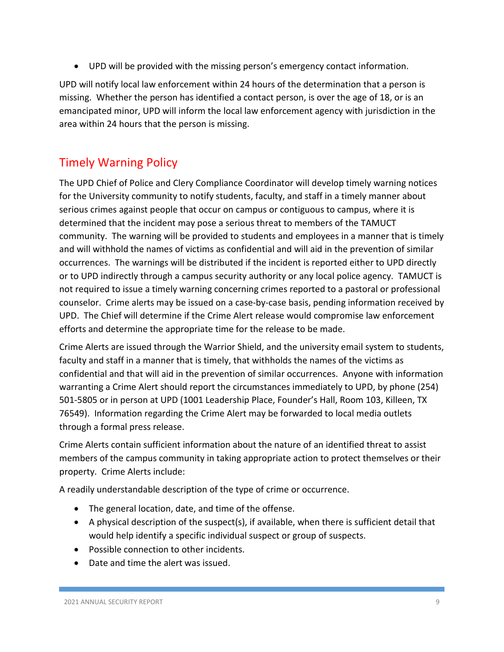• UPD will be provided with the missing person's emergency contact information.

UPD will notify local law enforcement within 24 hours of the determination that a person is missing. Whether the person has identified a contact person, is over the age of 18, or is an emancipated minor, UPD will inform the local law enforcement agency with jurisdiction in the area within 24 hours that the person is missing.

## Timely Warning Policy

The UPD Chief of Police and Clery Compliance Coordinator will develop timely warning notices for the University community to notify students, faculty, and staff in a timely manner about serious crimes against people that occur on campus or contiguous to campus, where it is determined that the incident may pose a serious threat to members of the TAMUCT community. The warning will be provided to students and employees in a manner that is timely and will withhold the names of victims as confidential and will aid in the prevention of similar occurrences. The warnings will be distributed if the incident is reported either to UPD directly or to UPD indirectly through a campus security authority or any local police agency. TAMUCT is not required to issue a timely warning concerning crimes reported to a pastoral or professional counselor. Crime alerts may be issued on a case-by-case basis, pending information received by UPD. The Chief will determine if the Crime Alert release would compromise law enforcement efforts and determine the appropriate time for the release to be made.

Crime Alerts are issued through the Warrior Shield, and the university email system to students, faculty and staff in a manner that is timely, that withholds the names of the victims as confidential and that will aid in the prevention of similar occurrences. Anyone with information warranting a Crime Alert should report the circumstances immediately to UPD, by phone (254) 501-5805 or in person at UPD (1001 Leadership Place, Founder's Hall, Room 103, Killeen, TX 76549). Information regarding the Crime Alert may be forwarded to local media outlets through a formal press release.

Crime Alerts contain sufficient information about the nature of an identified threat to assist members of the campus community in taking appropriate action to protect themselves or their property. Crime Alerts include:

A readily understandable description of the type of crime or occurrence.

- The general location, date, and time of the offense.
- A physical description of the suspect(s), if available, when there is sufficient detail that would help identify a specific individual suspect or group of suspects.
- Possible connection to other incidents.
- Date and time the alert was issued.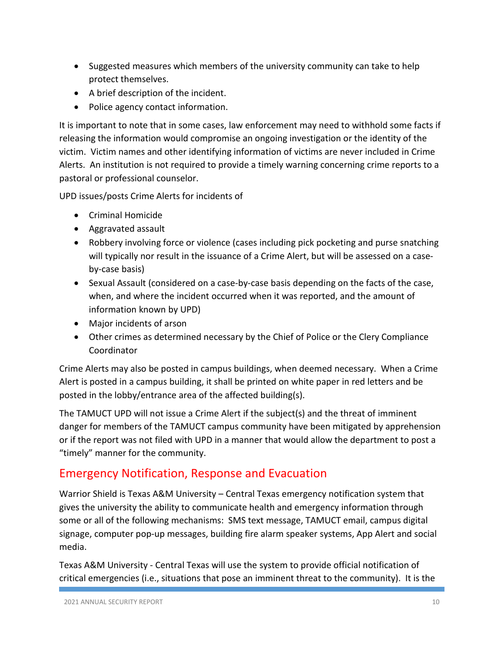- Suggested measures which members of the university community can take to help protect themselves.
- A brief description of the incident.
- Police agency contact information.

It is important to note that in some cases, law enforcement may need to withhold some facts if releasing the information would compromise an ongoing investigation or the identity of the victim. Victim names and other identifying information of victims are never included in Crime Alerts. An institution is not required to provide a timely warning concerning crime reports to a pastoral or professional counselor.

UPD issues/posts Crime Alerts for incidents of

- Criminal Homicide
- Aggravated assault
- Robbery involving force or violence (cases including pick pocketing and purse snatching will typically nor result in the issuance of a Crime Alert, but will be assessed on a caseby-case basis)
- Sexual Assault (considered on a case-by-case basis depending on the facts of the case, when, and where the incident occurred when it was reported, and the amount of information known by UPD)
- Major incidents of arson
- Other crimes as determined necessary by the Chief of Police or the Clery Compliance Coordinator

Crime Alerts may also be posted in campus buildings, when deemed necessary. When a Crime Alert is posted in a campus building, it shall be printed on white paper in red letters and be posted in the lobby/entrance area of the affected building(s).

The TAMUCT UPD will not issue a Crime Alert if the subject(s) and the threat of imminent danger for members of the TAMUCT campus community have been mitigated by apprehension or if the report was not filed with UPD in a manner that would allow the department to post a "timely" manner for the community.

## Emergency Notification, Response and Evacuation

Warrior Shield is Texas A&M University – Central Texas emergency notification system that gives the university the ability to communicate health and emergency information through some or all of the following mechanisms: SMS text message, TAMUCT email, campus digital signage, computer pop-up messages, building fire alarm speaker systems, App Alert and social media.

Texas A&M University - Central Texas will use the system to provide official notification of critical emergencies (i.e., situations that pose an imminent threat to the community). It is the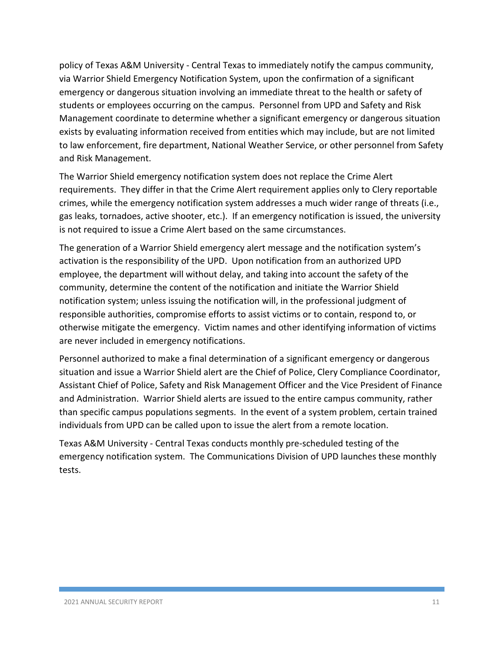policy of Texas A&M University - Central Texas to immediately notify the campus community, via Warrior Shield Emergency Notification System, upon the confirmation of a significant emergency or dangerous situation involving an immediate threat to the health or safety of students or employees occurring on the campus. Personnel from UPD and Safety and Risk Management coordinate to determine whether a significant emergency or dangerous situation exists by evaluating information received from entities which may include, but are not limited to law enforcement, fire department, National Weather Service, or other personnel from Safety and Risk Management.

The Warrior Shield emergency notification system does not replace the Crime Alert requirements. They differ in that the Crime Alert requirement applies only to Clery reportable crimes, while the emergency notification system addresses a much wider range of threats (i.e., gas leaks, tornadoes, active shooter, etc.). If an emergency notification is issued, the university is not required to issue a Crime Alert based on the same circumstances.

The generation of a Warrior Shield emergency alert message and the notification system's activation is the responsibility of the UPD. Upon notification from an authorized UPD employee, the department will without delay, and taking into account the safety of the community, determine the content of the notification and initiate the Warrior Shield notification system; unless issuing the notification will, in the professional judgment of responsible authorities, compromise efforts to assist victims or to contain, respond to, or otherwise mitigate the emergency. Victim names and other identifying information of victims are never included in emergency notifications.

Personnel authorized to make a final determination of a significant emergency or dangerous situation and issue a Warrior Shield alert are the Chief of Police, Clery Compliance Coordinator, Assistant Chief of Police, Safety and Risk Management Officer and the Vice President of Finance and Administration. Warrior Shield alerts are issued to the entire campus community, rather than specific campus populations segments. In the event of a system problem, certain trained individuals from UPD can be called upon to issue the alert from a remote location.

Texas A&M University - Central Texas conducts monthly pre-scheduled testing of the emergency notification system. The Communications Division of UPD launches these monthly tests.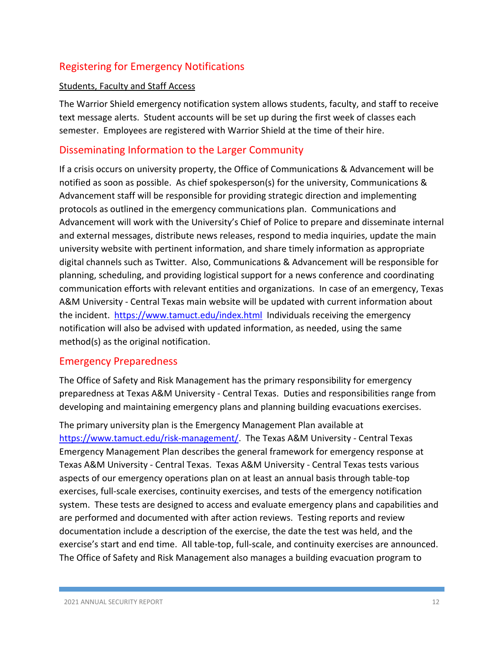## Registering for Emergency Notifications

#### Students, Faculty and Staff Access

The Warrior Shield emergency notification system allows students, faculty, and staff to receive text message alerts. Student accounts will be set up during the first week of classes each semester. Employees are registered with Warrior Shield at the time of their hire.

#### Disseminating Information to the Larger Community

If a crisis occurs on university property, the Office of Communications & Advancement will be notified as soon as possible. As chief spokesperson(s) for the university, Communications & Advancement staff will be responsible for providing strategic direction and implementing protocols as outlined in the emergency communications plan. Communications and Advancement will work with the University's Chief of Police to prepare and disseminate internal and external messages, distribute news releases, respond to media inquiries, update the main university website with pertinent information, and share timely information as appropriate digital channels such as Twitter. Also, Communications & Advancement will be responsible for planning, scheduling, and providing logistical support for a news conference and coordinating communication efforts with relevant entities and organizations. In case of an emergency, Texas A&M University - Central Texas main website will be updated with current information about the incident. <https://www.tamuct.edu/index.html>Individuals receiving the emergency notification will also be advised with updated information, as needed, using the same method(s) as the original notification.

#### Emergency Preparedness

The Office of Safety and Risk Management has the primary responsibility for emergency preparedness at Texas A&M University - Central Texas. Duties and responsibilities range from developing and maintaining emergency plans and planning building evacuations exercises.

The primary university plan is the Emergency Management Plan available at [https://www.tamuct.edu/risk-management/.](https://www.tamuct.edu/risk-management/) The Texas A&M University - Central Texas Emergency Management Plan describes the general framework for emergency response at Texas A&M University - Central Texas. Texas A&M University - Central Texas tests various aspects of our emergency operations plan on at least an annual basis through table-top exercises, full-scale exercises, continuity exercises, and tests of the emergency notification system. These tests are designed to access and evaluate emergency plans and capabilities and are performed and documented with after action reviews. Testing reports and review documentation include a description of the exercise, the date the test was held, and the exercise's start and end time. All table-top, full-scale, and continuity exercises are announced. The Office of Safety and Risk Management also manages a building evacuation program to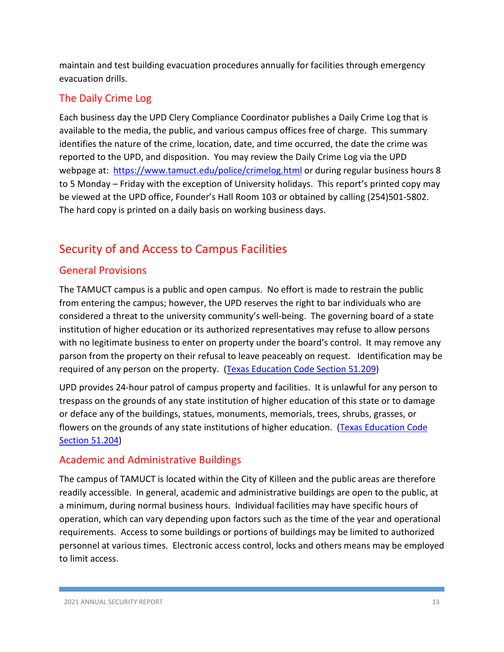maintain and test building evacuation procedures annually for facilities through emergency evacuation drills.

## The Daily Crime Log

Each business day the UPD Clery Compliance Coordinator publishes a Daily Crime Log that is available to the media, the public, and various campus offices free of charge. This summary identifies the nature of the crime, location, date, and time occurred, the date the crime was reported to the UPD, and disposition. You may review the Daily Crime Log via the UPD webpage at: <https://www.tamuct.edu/police/crimelog.html> or during regular business hours 8 to 5 Monday – Friday with the exception of University holidays. This report's printed copy may be viewed at the UPD office, Founder's Hall Room 103 or obtained by calling (254)501-5802. The hard copy is printed on a daily basis on working business days.

## Security of and Access to Campus Facilities

## General Provisions

The TAMUCT campus is a public and open campus. No effort is made to restrain the public from entering the campus; however, the UPD reserves the right to bar individuals who are considered a threat to the university community's well-being. The governing board of a state institution of higher education or its authorized representatives may refuse to allow persons with no legitimate business to enter on property under the board's control. It may remove any parson from the property on their refusal to leave peaceably on request. Identification may be required of any person on the property. [\(Texas Education Code Section 51.209\)](https://tamuct-my.sharepoint.com/personal/sherry_doggett_tamuct_edu/Documents/Documents/Sherry)

UPD provides 24-hour patrol of campus property and facilities. It is unlawful for any person to trespass on the grounds of any state institution of higher education of this state or to damage or deface any of the buildings, statues, monuments, memorials, trees, shrubs, grasses, or flowers on the grounds of any state institutions of higher education. (Texas Education Code [Section 51.204\)](https://tamuct-my.sharepoint.com/personal/sherry_doggett_tamuct_edu/Documents/Documents/Sherry)

## Academic and Administrative Buildings

The campus of TAMUCT is located within the City of Killeen and the public areas are therefore readily accessible. In general, academic and administrative buildings are open to the public, at a minimum, during normal business hours. Individual facilities may have specific hours of operation, which can vary depending upon factors such as the time of the year and operational requirements. Access to some buildings or portions of buildings may be limited to authorized personnel at various times. Electronic access control, locks and others means may be employed to limit access.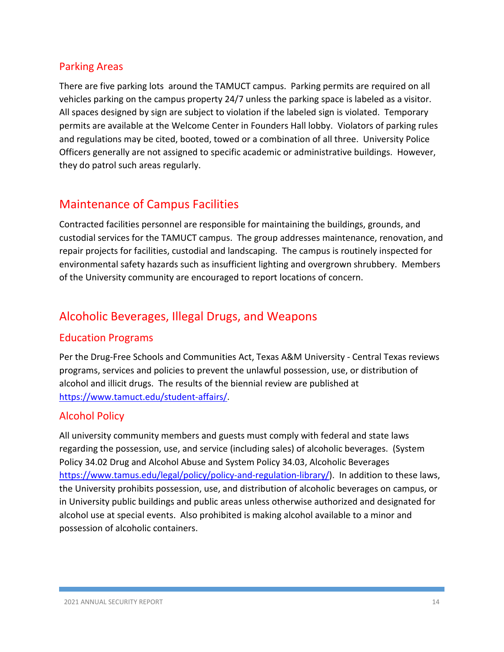#### Parking Areas

There are five parking lots around the TAMUCT campus. Parking permits are required on all vehicles parking on the campus property 24/7 unless the parking space is labeled as a visitor. All spaces designed by sign are subject to violation if the labeled sign is violated. Temporary permits are available at the Welcome Center in Founders Hall lobby. Violators of parking rules and regulations may be cited, booted, towed or a combination of all three. University Police Officers generally are not assigned to specific academic or administrative buildings. However, they do patrol such areas regularly.

## Maintenance of Campus Facilities

Contracted facilities personnel are responsible for maintaining the buildings, grounds, and custodial services for the TAMUCT campus. The group addresses maintenance, renovation, and repair projects for facilities, custodial and landscaping. The campus is routinely inspected for environmental safety hazards such as insufficient lighting and overgrown shrubbery. Members of the University community are encouraged to report locations of concern.

## Alcoholic Beverages, Illegal Drugs, and Weapons

## Education Programs

Per the Drug-Free Schools and Communities Act, Texas A&M University - Central Texas reviews programs, services and policies to prevent the unlawful possession, use, or distribution of alcohol and illicit drugs. The results of the biennial review are published at [https://www.tamuct.edu/student-affairs/.](https://www.tamuct.edu/student-affairs/)

## Alcohol Policy

All university community members and guests must comply with federal and state laws regarding the possession, use, and service (including sales) of alcoholic beverages. (System Policy 34.02 Drug and Alcohol Abuse and System Policy 34.03, Alcoholic Beverages [https://www.tamus.edu/legal/policy/policy-and-regulation-library/\)](https://www.tamus.edu/legal/policy/policy-and-regulation-library/). In addition to these laws, the University prohibits possession, use, and distribution of alcoholic beverages on campus, or in University public buildings and public areas unless otherwise authorized and designated for alcohol use at special events. Also prohibited is making alcohol available to a minor and possession of alcoholic containers.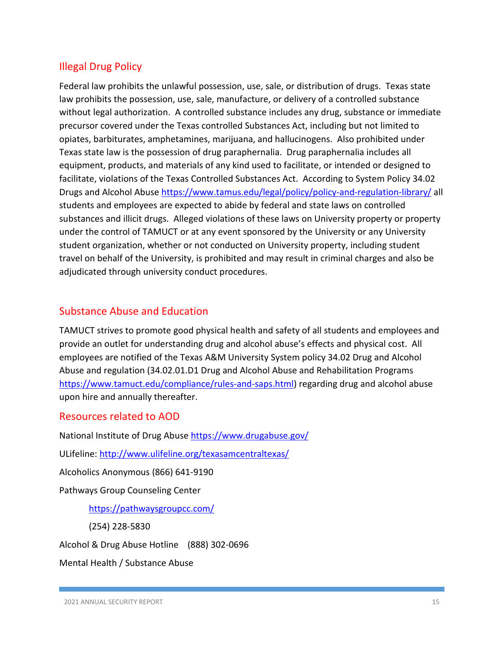## Illegal Drug Policy

Federal law prohibits the unlawful possession, use, sale, or distribution of drugs. Texas state law prohibits the possession, use, sale, manufacture, or delivery of a controlled substance without legal authorization. A controlled substance includes any drug, substance or immediate precursor covered under the Texas controlled Substances Act, including but not limited to opiates, barbiturates, amphetamines, marijuana, and hallucinogens. Also prohibited under Texas state law is the possession of drug paraphernalia. Drug paraphernalia includes all equipment, products, and materials of any kind used to facilitate, or intended or designed to facilitate, violations of the Texas Controlled Substances Act. According to System Policy 34.02 Drugs and Alcohol Abuse <https://www.tamus.edu/legal/policy/policy-and-regulation-library/> all students and employees are expected to abide by federal and state laws on controlled substances and illicit drugs. Alleged violations of these laws on University property or property under the control of TAMUCT or at any event sponsored by the University or any University student organization, whether or not conducted on University property, including student travel on behalf of the University, is prohibited and may result in criminal charges and also be adjudicated through university conduct procedures.

### Substance Abuse and Education

TAMUCT strives to promote good physical health and safety of all students and employees and provide an outlet for understanding drug and alcohol abuse's effects and physical cost. All employees are notified of the Texas A&M University System policy 34.02 Drug and Alcohol Abuse and regulation (34.02.01.D1 Drug and Alcohol Abuse and Rehabilitation Programs [https://www.tamuct.edu/compliance/rules-and-saps.html\)](https://www.tamuct.edu/compliance/rules-and-saps.html) regarding drug and alcohol abuse upon hire and annually thereafter.

#### Resources related to AOD

National Institute of Drug Abuse<https://www.drugabuse.gov/>

ULifeline:<http://www.ulifeline.org/texasamcentraltexas/>

Alcoholics Anonymous (866) 641-9190

Pathways Group Counseling Center

<https://pathwaysgroupcc.com/>

(254) 228-5830

Alcohol & Drug Abuse Hotline (888) 302-0696

Mental Health / Substance Abuse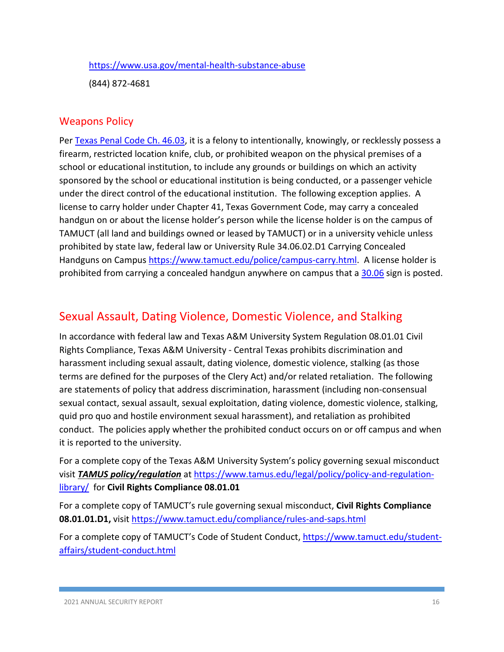#### <https://www.usa.gov/mental-health-substance-abuse>

(844) 872-4681

#### Weapons Policy

Per [Texas Penal Code Ch. 46.03,](https://statutes.capitol.texas.gov/?link=PE) it is a felony to intentionally, knowingly, or recklessly possess a firearm, restricted location knife, club, or prohibited weapon on the physical premises of a school or educational institution, to include any grounds or buildings on which an activity sponsored by the school or educational institution is being conducted, or a passenger vehicle under the direct control of the educational institution. The following exception applies. A license to carry holder under Chapter 41, Texas Government Code, may carry a concealed handgun on or about the license holder's person while the license holder is on the campus of TAMUCT (all land and buildings owned or leased by TAMUCT) or in a university vehicle unless prohibited by state law, federal law or University Rule 34.06.02.D1 Carrying Concealed Handguns on Campus [https://www.tamuct.edu/police/campus-carry.html.](https://www.tamuct.edu/police/campus-carry.html) A license holder is prohibited from carrying a concealed handgun anywhere on campus that a [30.06](https://tamuct-my.sharepoint.com/personal/sherry_doggett_tamuct_edu/Documents/Documents/Sherry) sign is posted.

## Sexual Assault, Dating Violence, Domestic Violence, and Stalking

In accordance with federal law and Texas A&M University System Regulation 08.01.01 Civil Rights Compliance, Texas A&M University - Central Texas prohibits discrimination and harassment including sexual assault, dating violence, domestic violence, stalking (as those terms are defined for the purposes of the Clery Act) and/or related retaliation. The following are statements of policy that address discrimination, harassment (including non-consensual sexual contact, sexual assault, sexual exploitation, dating violence, domestic violence, stalking, quid pro quo and hostile environment sexual harassment), and retaliation as prohibited conduct. The policies apply whether the prohibited conduct occurs on or off campus and when it is reported to the university.

For a complete copy of the Texas A&M University System's policy governing sexual misconduct visit *TAMUS policy/regulation* at [https://www.tamus.edu/legal/policy/policy-and-regulation](https://www.tamus.edu/legal/policy/policy-and-regulation-library/)[library/](https://www.tamus.edu/legal/policy/policy-and-regulation-library/) for **Civil Rights Compliance 08.01.01**

For a complete copy of TAMUCT's rule governing sexual misconduct, **Civil Rights Compliance 08.01.01.D1,** visit<https://www.tamuct.edu/compliance/rules-and-saps.html>

For a complete copy of TAMUCT's Code of Student Conduct, [https://www.tamuct.edu/student](https://www.tamuct.edu/student-affairs/student-conduct.html)[affairs/student-conduct.html](https://www.tamuct.edu/student-affairs/student-conduct.html)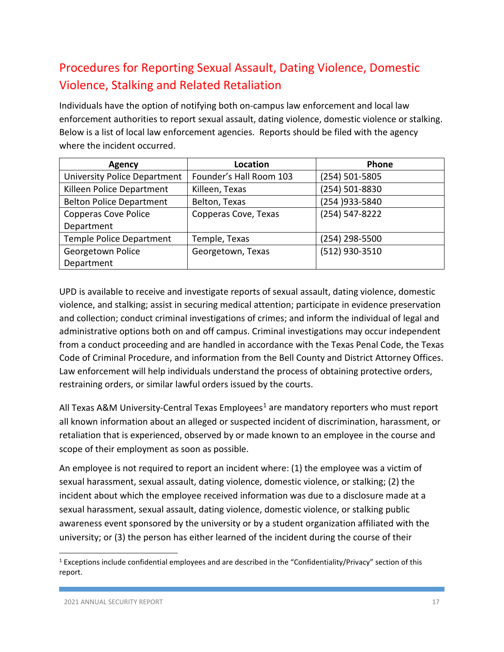# Procedures for Reporting Sexual Assault, Dating Violence, Domestic Violence, Stalking and Related Retaliation

Individuals have the option of notifying both on-campus law enforcement and local law enforcement authorities to report sexual assault, dating violence, domestic violence or stalking. Below is a list of local law enforcement agencies. Reports should be filed with the agency where the incident occurred.

| <b>Agency</b>                       | Location                | Phone           |  |
|-------------------------------------|-------------------------|-----------------|--|
| <b>University Police Department</b> | Founder's Hall Room 103 | (254) 501-5805  |  |
| Killeen Police Department           | Killeen, Texas          | (254) 501-8830  |  |
| <b>Belton Police Department</b>     | Belton, Texas           | (254 ) 933-5840 |  |
| <b>Copperas Cove Police</b>         | Copperas Cove, Texas    | (254) 547-8222  |  |
| Department                          |                         |                 |  |
| Temple Police Department            | Temple, Texas           | (254) 298-5500  |  |
| Georgetown Police                   | Georgetown, Texas       | (512) 930-3510  |  |
| Department                          |                         |                 |  |

UPD is available to receive and investigate reports of sexual assault, dating violence, domestic violence, and stalking; assist in securing medical attention; participate in evidence preservation and collection; conduct criminal investigations of crimes; and inform the individual of legal and administrative options both on and off campus. Criminal investigations may occur independent from a conduct proceeding and are handled in accordance with the Texas Penal Code, the Texas Code of Criminal Procedure, and information from the Bell County and District Attorney Offices. Law enforcement will help individuals understand the process of obtaining protective orders, restraining orders, or similar lawful orders issued by the courts.

All Texas A&M University-Central Texas Employees<sup>[1](#page-16-0)</sup> are mandatory reporters who must report all known information about an alleged or suspected incident of discrimination, harassment, or retaliation that is experienced, observed by or made known to an employee in the course and scope of their employment as soon as possible.

An employee is not required to report an incident where: (1) the employee was a victim of sexual harassment, sexual assault, dating violence, domestic violence, or stalking; (2) the incident about which the employee received information was due to a disclosure made at a sexual harassment, sexual assault, dating violence, domestic violence, or stalking public awareness event sponsored by the university or by a student organization affiliated with the university; or (3) the person has either learned of the incident during the course of their

<span id="page-16-0"></span><sup>&</sup>lt;sup>1</sup> Exceptions include confidential employees and are described in the "Confidentiality/Privacy" section of this report.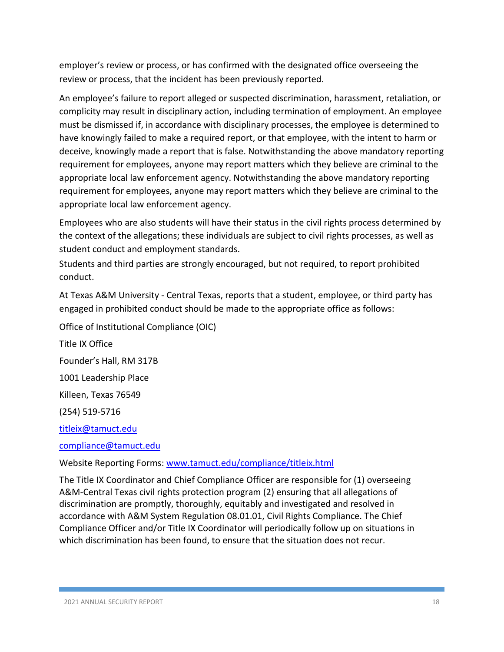employer's review or process, or has confirmed with the designated office overseeing the review or process, that the incident has been previously reported.

An employee's failure to report alleged or suspected discrimination, harassment, retaliation, or complicity may result in disciplinary action, including termination of employment. An employee must be dismissed if, in accordance with disciplinary processes, the employee is determined to have knowingly failed to make a required report, or that employee, with the intent to harm or deceive, knowingly made a report that is false. Notwithstanding the above mandatory reporting requirement for employees, anyone may report matters which they believe are criminal to the appropriate local law enforcement agency. Notwithstanding the above mandatory reporting requirement for employees, anyone may report matters which they believe are criminal to the appropriate local law enforcement agency.

Employees who are also students will have their status in the civil rights process determined by the context of the allegations; these individuals are subject to civil rights processes, as well as student conduct and employment standards.

Students and third parties are strongly encouraged, but not required, to report prohibited conduct.

At Texas A&M University - Central Texas, reports that a student, employee, or third party has engaged in prohibited conduct should be made to the appropriate office as follows:

Office of Institutional Compliance (OIC) Title IX Office Founder's Hall, RM 317B 1001 Leadership Place Killeen, Texas 76549 (254) 519-5716 [titleix@tamuct.edu](mailto:titleix@tamuct.edu)

[compliance@tamuct.edu](mailto:compliance@tamuct.edu)

Website Reporting Forms: [www.tamuct.edu/compliance/titleix.html](https://www.tamuct.edu/compliance/titleix.html)

The Title IX Coordinator and Chief Compliance Officer are responsible for (1) overseeing A&M-Central Texas civil rights protection program (2) ensuring that all allegations of discrimination are promptly, thoroughly, equitably and investigated and resolved in accordance with A&M System Regulation 08.01.01, Civil Rights Compliance. The Chief Compliance Officer and/or Title IX Coordinator will periodically follow up on situations in which discrimination has been found, to ensure that the situation does not recur.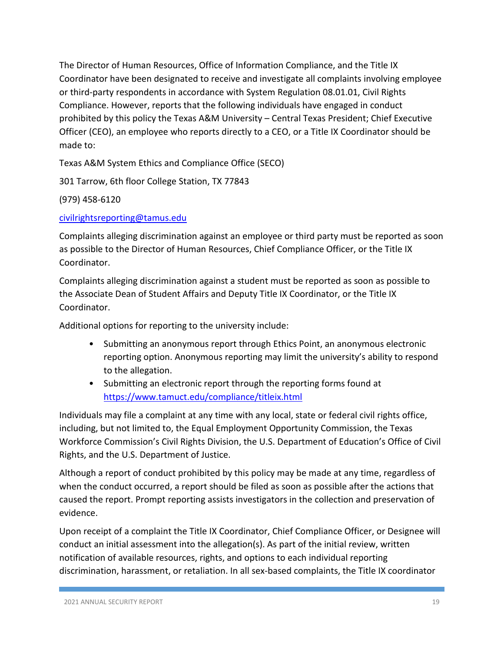The Director of Human Resources, Office of Information Compliance, and the Title IX Coordinator have been designated to receive and investigate all complaints involving employee or third-party respondents in accordance with System Regulation 08.01.01, Civil Rights Compliance. However, reports that the following individuals have engaged in conduct prohibited by this policy the Texas A&M University – Central Texas President; Chief Executive Officer (CEO), an employee who reports directly to a CEO, or a Title IX Coordinator should be made to:

Texas A&M System Ethics and Compliance Office (SECO)

301 Tarrow, 6th floor College Station, TX 77843

(979) 458-6120

[civilrightsreporting@tamus.edu](mailto:civilrightsreporting@tamus.edu)

Complaints alleging discrimination against an employee or third party must be reported as soon as possible to the Director of Human Resources, Chief Compliance Officer, or the Title IX Coordinator.

Complaints alleging discrimination against a student must be reported as soon as possible to the Associate Dean of Student Affairs and Deputy Title IX Coordinator, or the Title IX Coordinator.

Additional options for reporting to the university include:

- Submitting an anonymous report through Ethics Point, an anonymous electronic reporting option. Anonymous reporting may limit the university's ability to respond to the allegation.
- Submitting an electronic report through the reporting forms found at <https://www.tamuct.edu/compliance/titleix.html>

Individuals may file a complaint at any time with any local, state or federal civil rights office, including, but not limited to, the Equal Employment Opportunity Commission, the Texas Workforce Commission's Civil Rights Division, the U.S. Department of Education's Office of Civil Rights, and the U.S. Department of Justice.

Although a report of conduct prohibited by this policy may be made at any time, regardless of when the conduct occurred, a report should be filed as soon as possible after the actions that caused the report. Prompt reporting assists investigators in the collection and preservation of evidence.

Upon receipt of a complaint the Title IX Coordinator, Chief Compliance Officer, or Designee will conduct an initial assessment into the allegation(s). As part of the initial review, written notification of available resources, rights, and options to each individual reporting discrimination, harassment, or retaliation. In all sex-based complaints, the Title IX coordinator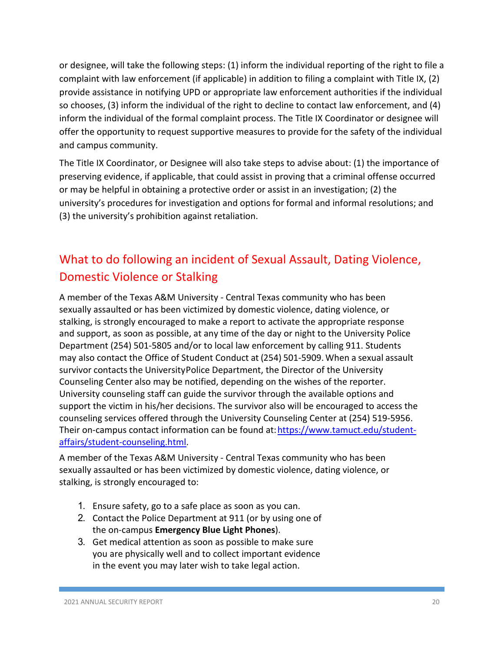or designee, will take the following steps: (1) inform the individual reporting of the right to file a complaint with law enforcement (if applicable) in addition to filing a complaint with Title IX, (2) provide assistance in notifying UPD or appropriate law enforcement authorities if the individual so chooses, (3) inform the individual of the right to decline to contact law enforcement, and (4) inform the individual of the formal complaint process. The Title IX Coordinator or designee will offer the opportunity to request supportive measures to provide for the safety of the individual and campus community.

The Title IX Coordinator, or Designee will also take steps to advise about: (1) the importance of preserving evidence, if applicable, that could assist in proving that a criminal offense occurred or may be helpful in obtaining a protective order or assist in an investigation; (2) the university's procedures for investigation and options for formal and informal resolutions; and (3) the university's prohibition against retaliation.

# What to do following an incident of Sexual Assault, Dating Violence, Domestic Violence or Stalking

A member of the Texas A&M University - Central Texas community who has been sexually assaulted or has been victimized by domestic violence, dating violence, or stalking, is strongly encouraged to make a report to activate the appropriate response and support, as soon as possible, at any time of the day or night to the University Police Department (254) 501-5805 and/or to local law enforcement by calling 911. Students may also contact the Office of Student Conduct at (254) 501-5909.When a sexual assault survivor contacts the UniversityPolice Department, the Director of the University Counseling Center also may be notified, depending on the wishes of the reporter. University counseling staff can guide the survivor through the available options and support the victim in his/her decisions. The survivor also will be encouraged to access the counseling services offered through the University Counseling Center at (254) 519-5956. Their on-campus contact information can be found at[: https://www.tamuct.edu/student](https://www.tamuct.edu/student-affairs/student-counseling.html)[affairs/student-counseling.html.](https://www.tamuct.edu/student-affairs/student-counseling.html)

A member of the Texas A&M University - Central Texas community who has been sexually assaulted or has been victimized by domestic violence, dating violence, or stalking, is strongly encouraged to:

- 1. Ensure safety, go to a safe place as soon as you can.
- 2. Contact the Police Department at 911 (or by using one of the on-campus **Emergency Blue Light Phones**).
- 3. Get medical attention as soon as possible to make sure you are physically well and to collect important evidence in the event you may later wish to take legal action.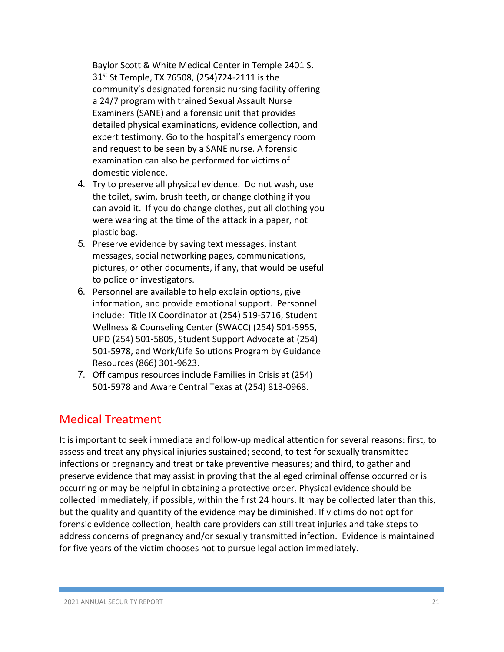Baylor Scott & White Medical Center in Temple 2401 S. 31st St Temple, TX 76508, (254)724-2111 is the community's designated forensic nursing facility offering a 24/7 program with trained Sexual Assault Nurse Examiners (SANE) and a forensic unit that provides detailed physical examinations, evidence collection, and expert testimony. Go to the hospital's emergency room and request to be seen by a SANE nurse. A forensic examination can also be performed for victims of domestic violence.

- 4. Try to preserve all physical evidence. Do not wash, use the toilet, swim, brush teeth, or change clothing if you can avoid it. If you do change clothes, put all clothing you were wearing at the time of the attack in a paper, not plastic bag.
- 5. Preserve evidence by saving text messages, instant messages, social networking pages, communications, pictures, or other documents, if any, that would be useful to police or investigators.
- 6. Personnel are available to help explain options, give information, and provide emotional support. Personnel include: Title IX Coordinator at (254) 519-5716, Student Wellness & Counseling Center (SWACC) (254) 501-5955, UPD (254) 501-5805, Student Support Advocate at (254) 501-5978, and Work/Life Solutions Program by Guidance Resources (866) 301-9623.
- 7. Off campus resources include Families in Crisis at (254) 501-5978 and Aware Central Texas at (254) 813-0968.

## Medical Treatment

It is important to seek immediate and follow-up medical attention for several reasons: first, to assess and treat any physical injuries sustained; second, to test for sexually transmitted infections or pregnancy and treat or take preventive measures; and third, to gather and preserve evidence that may assist in proving that the alleged criminal offense occurred or is occurring or may be helpful in obtaining a protective order. Physical evidence should be collected immediately, if possible, within the first 24 hours. It may be collected later than this, but the quality and quantity of the evidence may be diminished. If victims do not opt for forensic evidence collection, health care providers can still treat injuries and take steps to address concerns of pregnancy and/or sexually transmitted infection. Evidence is maintained for five years of the victim chooses not to pursue legal action immediately.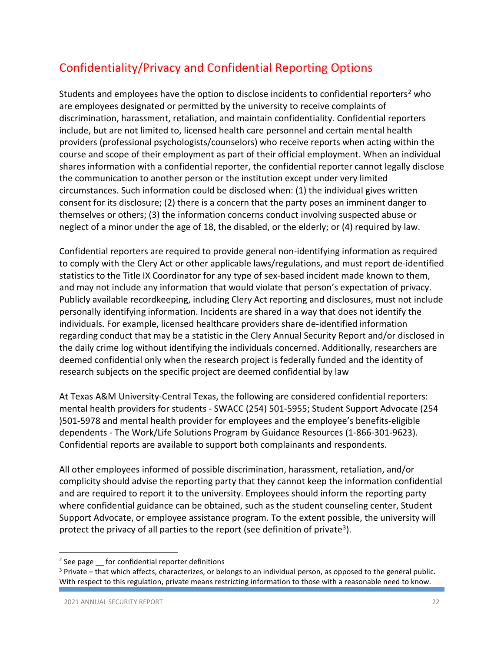# Confidentiality/Privacy and Confidential Reporting Options

Students and employees have the option to disclose incidents to confidential reporters<sup>[2](#page-21-0)</sup> who are employees designated or permitted by the university to receive complaints of discrimination, harassment, retaliation, and maintain confidentiality. Confidential reporters include, but are not limited to, licensed health care personnel and certain mental health providers (professional psychologists/counselors) who receive reports when acting within the course and scope of their employment as part of their official employment. When an individual shares information with a confidential reporter, the confidential reporter cannot legally disclose the communication to another person or the institution except under very limited circumstances. Such information could be disclosed when: (1) the individual gives written consent for its disclosure; (2) there is a concern that the party poses an imminent danger to themselves or others; (3) the information concerns conduct involving suspected abuse or neglect of a minor under the age of 18, the disabled, or the elderly; or (4) required by law.

Confidential reporters are required to provide general non-identifying information as required to comply with the Clery Act or other applicable laws/regulations, and must report de-identified statistics to the Title IX Coordinator for any type of sex-based incident made known to them, and may not include any information that would violate that person's expectation of privacy. Publicly available recordkeeping, including Clery Act reporting and disclosures, must not include personally identifying information. Incidents are shared in a way that does not identify the individuals. For example, licensed healthcare providers share de-identified information regarding conduct that may be a statistic in the Clery Annual Security Report and/or disclosed in the daily crime log without identifying the individuals concerned. Additionally, researchers are deemed confidential only when the research project is federally funded and the identity of research subjects on the specific project are deemed confidential by law

At Texas A&M University-Central Texas, the following are considered confidential reporters: mental health providers for students - SWACC (254) 501-5955; Student Support Advocate (254 )501-5978 and mental health provider for employees and the employee's benefits-eligible dependents - The Work/Life Solutions Program by Guidance Resources (1-866-301-9623). Confidential reports are available to support both complainants and respondents.

All other employees informed of possible discrimination, harassment, retaliation, and/or complicity should advise the reporting party that they cannot keep the information confidential and are required to report it to the university. Employees should inform the reporting party where confidential guidance can be obtained, such as the student counseling center, Student Support Advocate, or employee assistance program. To the extent possible, the university will protect the privacy of all parties to the report (see definition of private<sup>3</sup>).

<span id="page-21-0"></span> $2$  See page  $\equiv$  for confidential reporter definitions

<span id="page-21-1"></span> $3$  Private – that which affects, characterizes, or belongs to an individual person, as opposed to the general public. With respect to this regulation, private means restricting information to those with a reasonable need to know.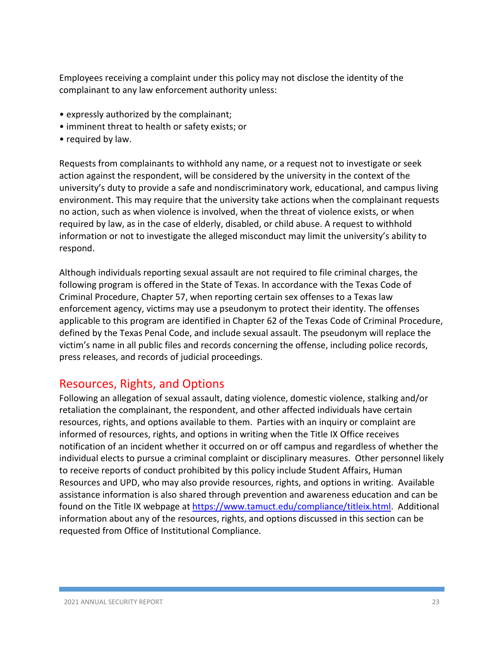Employees receiving a complaint under this policy may not disclose the identity of the complainant to any law enforcement authority unless:

- expressly authorized by the complainant;
- imminent threat to health or safety exists; or
- required by law.

Requests from complainants to withhold any name, or a request not to investigate or seek action against the respondent, will be considered by the university in the context of the university's duty to provide a safe and nondiscriminatory work, educational, and campus living environment. This may require that the university take actions when the complainant requests no action, such as when violence is involved, when the threat of violence exists, or when required by law, as in the case of elderly, disabled, or child abuse. A request to withhold information or not to investigate the alleged misconduct may limit the university's ability to respond.

Although individuals reporting sexual assault are not required to file criminal charges, the following program is offered in the State of Texas. In accordance with the Texas Code of Criminal Procedure, Chapter 57, when reporting certain sex offenses to a Texas law enforcement agency, victims may use a pseudonym to protect their identity. The offenses applicable to this program are identified in Chapter 62 of the Texas Code of Criminal Procedure, defined by the Texas Penal Code, and include sexual assault. The pseudonym will replace the victim's name in all public files and records concerning the offense, including police records, press releases, and records of judicial proceedings.

## Resources, Rights, and Options

Following an allegation of sexual assault, dating violence, domestic violence, stalking and/or retaliation the complainant, the respondent, and other affected individuals have certain resources, rights, and options available to them. Parties with an inquiry or complaint are informed of resources, rights, and options in writing when the Title IX Office receives notification of an incident whether it occurred on or off campus and regardless of whether the individual elects to pursue a criminal complaint or disciplinary measures. Other personnel likely to receive reports of conduct prohibited by this policy include Student Affairs, Human Resources and UPD, who may also provide resources, rights, and options in writing. Available assistance information is also shared through prevention and awareness education and can be found on the Title IX webpage a[t https://www.tamuct.edu/compliance/titleix.html.](https://www.tamuct.edu/compliance/titleix.html) Additional information about any of the resources, rights, and options discussed in this section can be requested from Office of Institutional Compliance.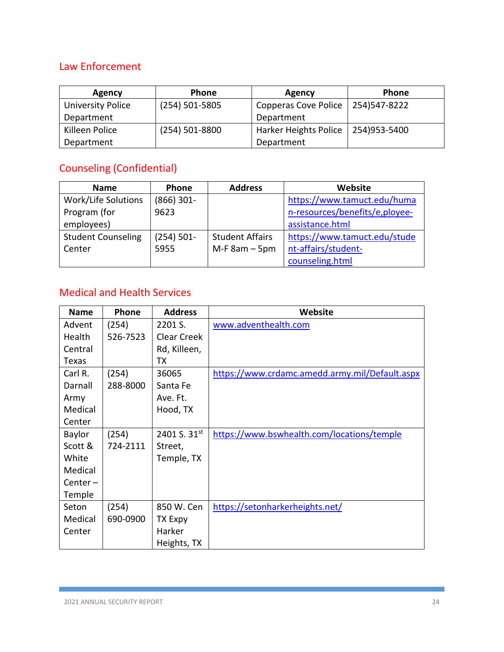## Law Enforcement

| Agency                   | Phone              | Agency                      | Phone        |
|--------------------------|--------------------|-----------------------------|--------------|
| <b>University Police</b> | $(254) 501 - 5805$ | <b>Copperas Cove Police</b> | 254)547-8222 |
| Department               |                    | Department                  |              |
| Killeen Police           | $(254) 501 - 8800$ | Harker Heights Police       | 254)953-5400 |
| Department               |                    | Department                  |              |

# Counseling (Confidential)

| <b>Name</b>               | <b>Phone</b>  | <b>Address</b>         | Website                        |
|---------------------------|---------------|------------------------|--------------------------------|
| Work/Life Solutions       | $(866)$ 301-  |                        | https://www.tamuct.edu/huma    |
| Program (for              | 9623          |                        | n-resources/benefits/e,ployee- |
| employees)                |               |                        | assistance.html                |
| <b>Student Counseling</b> | $(254) 501 -$ | <b>Student Affairs</b> | https://www.tamuct.edu/stude   |
| Center                    | 5955          | $M-F$ 8am $-$ 5pm      | nt-affairs/student-            |
|                           |               |                        | counseling.html                |

## Medical and Health Services

| <b>Name</b>   | Phone    | <b>Address</b>    | Website                                        |
|---------------|----------|-------------------|------------------------------------------------|
| Advent        | (254)    | 2201 S.           | www.adventhealth.com                           |
| Health        | 526-7523 | Clear Creek       |                                                |
| Central       |          | Rd, Killeen,      |                                                |
| Texas         |          | ТX                |                                                |
| Carl R.       | (254)    | 36065             | https://www.crdamc.amedd.army.mil/Default.aspx |
| Darnall       | 288-8000 | Santa Fe          |                                                |
| Army          |          | Ave. Ft.          |                                                |
| Medical       |          | Hood, TX          |                                                |
| Center        |          |                   |                                                |
| <b>Baylor</b> | (254)    | 2401 S. $31^{st}$ | https://www.bswhealth.com/locations/temple     |
| Scott &       | 724-2111 | Street,           |                                                |
| White         |          | Temple, TX        |                                                |
| Medical       |          |                   |                                                |
| $Center -$    |          |                   |                                                |
| Temple        |          |                   |                                                |
| Seton         | (254)    | 850 W. Cen        | https://setonharkerheights.net/                |
| Medical       | 690-0900 | TX Expy           |                                                |
| Center        |          | Harker            |                                                |
|               |          | Heights, TX       |                                                |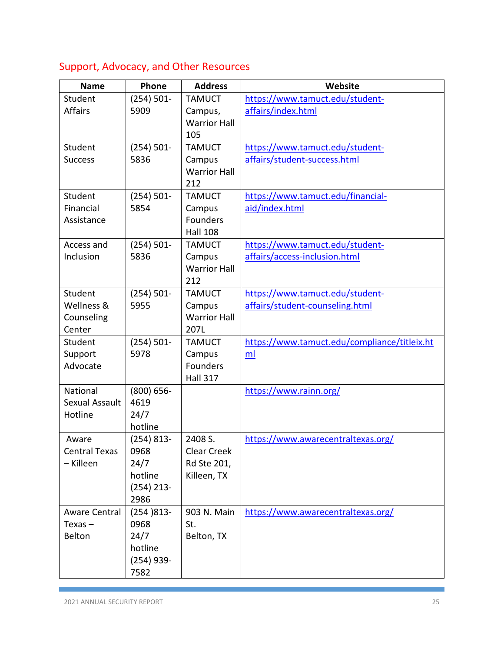# Support, Advocacy, and Other Resources

| <b>Name</b>          | Phone                 | <b>Address</b>            | Website                                      |
|----------------------|-----------------------|---------------------------|----------------------------------------------|
| Student              | $(254) 501 -$         | <b>TAMUCT</b>             | https://www.tamuct.edu/student-              |
| <b>Affairs</b>       | 5909                  | Campus,                   | affairs/index.html                           |
|                      |                       | <b>Warrior Hall</b>       |                                              |
|                      |                       | 105                       |                                              |
| Student              | $(254) 501 -$         | <b>TAMUCT</b>             | https://www.tamuct.edu/student-              |
| <b>Success</b>       | 5836                  | Campus                    | affairs/student-success.html                 |
|                      |                       | <b>Warrior Hall</b>       |                                              |
|                      |                       | 212                       |                                              |
| Student              | $(254) 501 -$         | <b>TAMUCT</b>             | https://www.tamuct.edu/financial-            |
| Financial            | 5854                  | Campus                    | aid/index.html                               |
| Assistance           |                       | <b>Founders</b>           |                                              |
|                      |                       | <b>Hall 108</b>           |                                              |
| Access and           | $(254) 501 -$         | <b>TAMUCT</b>             | https://www.tamuct.edu/student-              |
| Inclusion            | 5836                  | Campus                    | affairs/access-inclusion.html                |
|                      |                       | <b>Warrior Hall</b>       |                                              |
|                      |                       | 212                       |                                              |
| Student              | $(254) 501 -$         | <b>TAMUCT</b>             | https://www.tamuct.edu/student-              |
| Wellness &           | 5955                  | Campus                    | affairs/student-counseling.html              |
| Counseling           |                       | <b>Warrior Hall</b>       |                                              |
| Center               |                       | 207L                      |                                              |
| Student              | $(254) 501 -$         | <b>TAMUCT</b>             | https://www.tamuct.edu/compliance/titleix.ht |
| Support              | 5978                  | Campus<br><b>Founders</b> | ml                                           |
| Advocate             |                       |                           |                                              |
| <b>National</b>      |                       | <b>Hall 317</b>           |                                              |
| Sexual Assault       | $(800) 656 -$<br>4619 |                           | https://www.rainn.org/                       |
| Hotline              | 24/7                  |                           |                                              |
|                      | hotline               |                           |                                              |
| Aware                | (254) 813-            | 2408 S.                   | https://www.awarecentraltexas.org/           |
| <b>Central Texas</b> | 0968                  | Clear Creek               |                                              |
| - Killeen            | 24/7                  | Rd Ste 201,               |                                              |
|                      | hotline               | Killeen, TX               |                                              |
|                      | $(254)$ 213-          |                           |                                              |
|                      | 2986                  |                           |                                              |
| Aware Central        | $(254)813-$           | 903 N. Main               | https://www.awarecentraltexas.org/           |
| $Texas -$            | 0968                  | St.                       |                                              |
| Belton               | 24/7                  | Belton, TX                |                                              |
|                      | hotline               |                           |                                              |
|                      | $(254)$ 939-          |                           |                                              |
|                      | 7582                  |                           |                                              |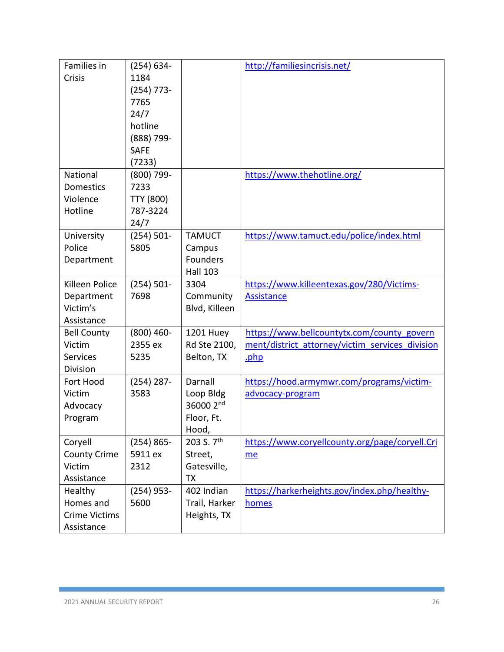| Families in           | $(254) 634 -$    |                  | http://familiesincrisis.net/                    |
|-----------------------|------------------|------------------|-------------------------------------------------|
| Crisis                | 1184             |                  |                                                 |
|                       | $(254)$ 773-     |                  |                                                 |
|                       | 7765             |                  |                                                 |
|                       | 24/7             |                  |                                                 |
|                       | hotline          |                  |                                                 |
|                       | (888) 799-       |                  |                                                 |
|                       | <b>SAFE</b>      |                  |                                                 |
|                       | (7233)           |                  |                                                 |
| National              | (800) 799-       |                  | https://www.thehotline.org/                     |
| Domestics             | 7233             |                  |                                                 |
| Violence              | <b>TTY (800)</b> |                  |                                                 |
| Hotline               | 787-3224         |                  |                                                 |
|                       | 24/7             |                  |                                                 |
| University            | $(254) 501 -$    | <b>TAMUCT</b>    | https://www.tamuct.edu/police/index.html        |
| Police                | 5805             | Campus           |                                                 |
| Department            |                  | Founders         |                                                 |
|                       |                  | <b>Hall 103</b>  |                                                 |
| <b>Killeen Police</b> | $(254) 501 -$    | 3304             | https://www.killeentexas.gov/280/Victims-       |
| Department            | 7698             | Community        | <b>Assistance</b>                               |
| Victim's              |                  | Blvd, Killeen    |                                                 |
| Assistance            |                  |                  |                                                 |
| <b>Bell County</b>    | $(800)$ 460-     | <b>1201 Huey</b> | https://www.bellcountytx.com/county_govern      |
| Victim                | 2355 ex          | Rd Ste 2100,     | ment/district attorney/victim services division |
| <b>Services</b>       | 5235             | Belton, TX       | .php                                            |
| Division              |                  |                  |                                                 |
| Fort Hood             | $(254)$ 287-     | Darnall          | https://hood.armymwr.com/programs/victim-       |
| Victim                | 3583             | Loop Bldg        | advocacy-program                                |
| Advocacy              |                  | 36000 2nd        |                                                 |
| Program               |                  | Floor, Ft.       |                                                 |
|                       |                  | Hood,            |                                                 |
| Coryell               | $(254) 865 -$    | 203 S. 7th       | https://www.coryellcounty.org/page/coryell.Cri  |
| <b>County Crime</b>   | 5911 ex          | Street,          | me                                              |
| Victim                | 2312             | Gatesville,      |                                                 |
| Assistance            |                  | <b>TX</b>        |                                                 |
| Healthy               | $(254)$ 953-     | 402 Indian       | https://harkerheights.gov/index.php/healthy-    |
| Homes and             | 5600             | Trail, Harker    | homes                                           |
| <b>Crime Victims</b>  |                  | Heights, TX      |                                                 |
| Assistance            |                  |                  |                                                 |

Г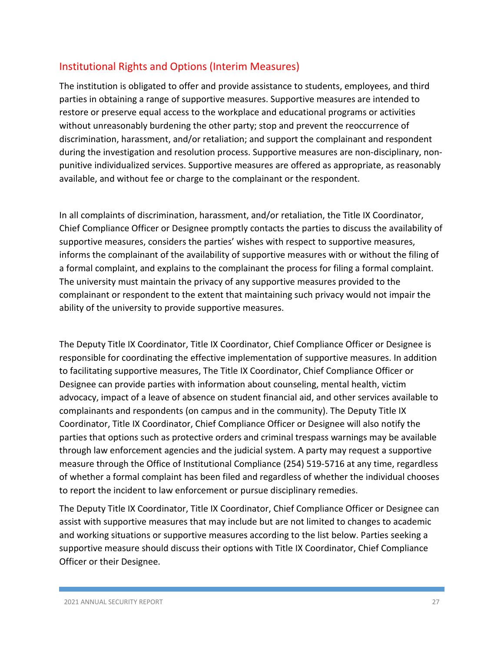## Institutional Rights and Options (Interim Measures)

The institution is obligated to offer and provide assistance to students, employees, and third parties in obtaining a range of supportive measures. Supportive measures are intended to restore or preserve equal access to the workplace and educational programs or activities without unreasonably burdening the other party; stop and prevent the reoccurrence of discrimination, harassment, and/or retaliation; and support the complainant and respondent during the investigation and resolution process. Supportive measures are non-disciplinary, nonpunitive individualized services. Supportive measures are offered as appropriate, as reasonably available, and without fee or charge to the complainant or the respondent.

In all complaints of discrimination, harassment, and/or retaliation, the Title IX Coordinator, Chief Compliance Officer or Designee promptly contacts the parties to discuss the availability of supportive measures, considers the parties' wishes with respect to supportive measures, informs the complainant of the availability of supportive measures with or without the filing of a formal complaint, and explains to the complainant the process for filing a formal complaint. The university must maintain the privacy of any supportive measures provided to the complainant or respondent to the extent that maintaining such privacy would not impair the ability of the university to provide supportive measures.

The Deputy Title IX Coordinator, Title IX Coordinator, Chief Compliance Officer or Designee is responsible for coordinating the effective implementation of supportive measures. In addition to facilitating supportive measures, The Title IX Coordinator, Chief Compliance Officer or Designee can provide parties with information about counseling, mental health, victim advocacy, impact of a leave of absence on student financial aid, and other services available to complainants and respondents (on campus and in the community). The Deputy Title IX Coordinator, Title IX Coordinator, Chief Compliance Officer or Designee will also notify the parties that options such as protective orders and criminal trespass warnings may be available through law enforcement agencies and the judicial system. A party may request a supportive measure through the Office of Institutional Compliance (254) 519-5716 at any time, regardless of whether a formal complaint has been filed and regardless of whether the individual chooses to report the incident to law enforcement or pursue disciplinary remedies.

The Deputy Title IX Coordinator, Title IX Coordinator, Chief Compliance Officer or Designee can assist with supportive measures that may include but are not limited to changes to academic and working situations or supportive measures according to the list below. Parties seeking a supportive measure should discuss their options with Title IX Coordinator, Chief Compliance Officer or their Designee.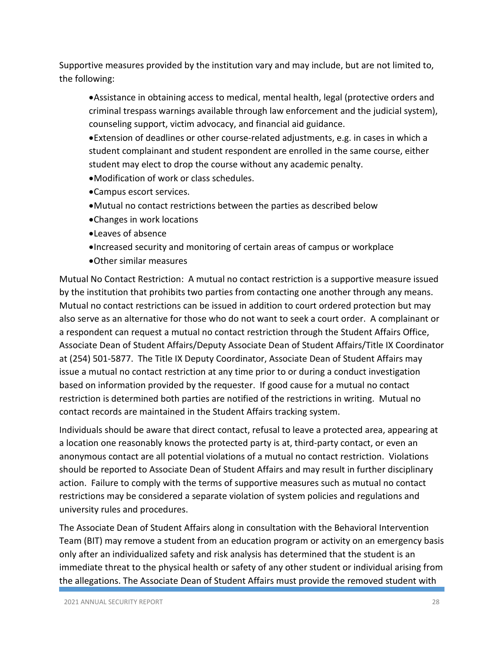Supportive measures provided by the institution vary and may include, but are not limited to, the following:

•Assistance in obtaining access to medical, mental health, legal (protective orders and criminal trespass warnings available through law enforcement and the judicial system), counseling support, victim advocacy, and financial aid guidance.

•Extension of deadlines or other course-related adjustments, e.g. in cases in which a student complainant and student respondent are enrolled in the same course, either student may elect to drop the course without any academic penalty.

- •Modification of work or class schedules.
- •Campus escort services.
- •Mutual no contact restrictions between the parties as described below
- •Changes in work locations
- •Leaves of absence
- •Increased security and monitoring of certain areas of campus or workplace
- •Other similar measures

Mutual No Contact Restriction: A mutual no contact restriction is a supportive measure issued by the institution that prohibits two parties from contacting one another through any means. Mutual no contact restrictions can be issued in addition to court ordered protection but may also serve as an alternative for those who do not want to seek a court order. A complainant or a respondent can request a mutual no contact restriction through the Student Affairs Office, Associate Dean of Student Affairs/Deputy Associate Dean of Student Affairs/Title IX Coordinator at (254) 501-5877. The Title IX Deputy Coordinator, Associate Dean of Student Affairs may issue a mutual no contact restriction at any time prior to or during a conduct investigation based on information provided by the requester. If good cause for a mutual no contact restriction is determined both parties are notified of the restrictions in writing. Mutual no contact records are maintained in the Student Affairs tracking system.

Individuals should be aware that direct contact, refusal to leave a protected area, appearing at a location one reasonably knows the protected party is at, third-party contact, or even an anonymous contact are all potential violations of a mutual no contact restriction. Violations should be reported to Associate Dean of Student Affairs and may result in further disciplinary action. Failure to comply with the terms of supportive measures such as mutual no contact restrictions may be considered a separate violation of system policies and regulations and university rules and procedures.

The Associate Dean of Student Affairs along in consultation with the Behavioral Intervention Team (BIT) may remove a student from an education program or activity on an emergency basis only after an individualized safety and risk analysis has determined that the student is an immediate threat to the physical health or safety of any other student or individual arising from the allegations. The Associate Dean of Student Affairs must provide the removed student with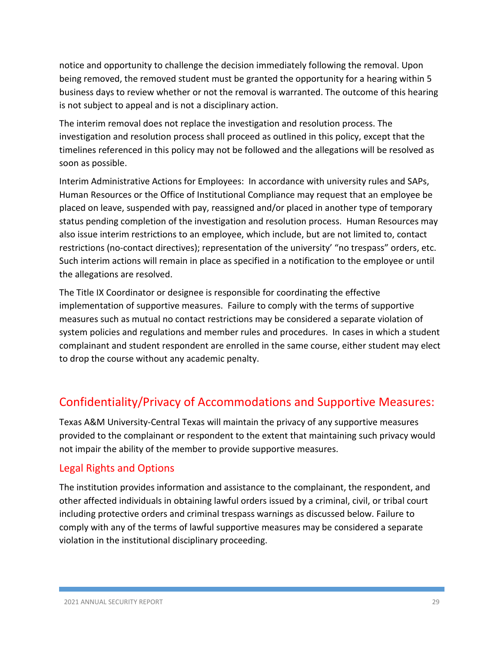notice and opportunity to challenge the decision immediately following the removal. Upon being removed, the removed student must be granted the opportunity for a hearing within 5 business days to review whether or not the removal is warranted. The outcome of this hearing is not subject to appeal and is not a disciplinary action.

The interim removal does not replace the investigation and resolution process. The investigation and resolution process shall proceed as outlined in this policy, except that the timelines referenced in this policy may not be followed and the allegations will be resolved as soon as possible.

Interim Administrative Actions for Employees: In accordance with university rules and SAPs, Human Resources or the Office of Institutional Compliance may request that an employee be placed on leave, suspended with pay, reassigned and/or placed in another type of temporary status pending completion of the investigation and resolution process. Human Resources may also issue interim restrictions to an employee, which include, but are not limited to, contact restrictions (no-contact directives); representation of the university' "no trespass" orders, etc. Such interim actions will remain in place as specified in a notification to the employee or until the allegations are resolved.

The Title IX Coordinator or designee is responsible for coordinating the effective implementation of supportive measures. Failure to comply with the terms of supportive measures such as mutual no contact restrictions may be considered a separate violation of system policies and regulations and member rules and procedures. In cases in which a student complainant and student respondent are enrolled in the same course, either student may elect to drop the course without any academic penalty.

# Confidentiality/Privacy of Accommodations and Supportive Measures:

Texas A&M University-Central Texas will maintain the privacy of any supportive measures provided to the complainant or respondent to the extent that maintaining such privacy would not impair the ability of the member to provide supportive measures.

## Legal Rights and Options

The institution provides information and assistance to the complainant, the respondent, and other affected individuals in obtaining lawful orders issued by a criminal, civil, or tribal court including protective orders and criminal trespass warnings as discussed below. Failure to comply with any of the terms of lawful supportive measures may be considered a separate violation in the institutional disciplinary proceeding.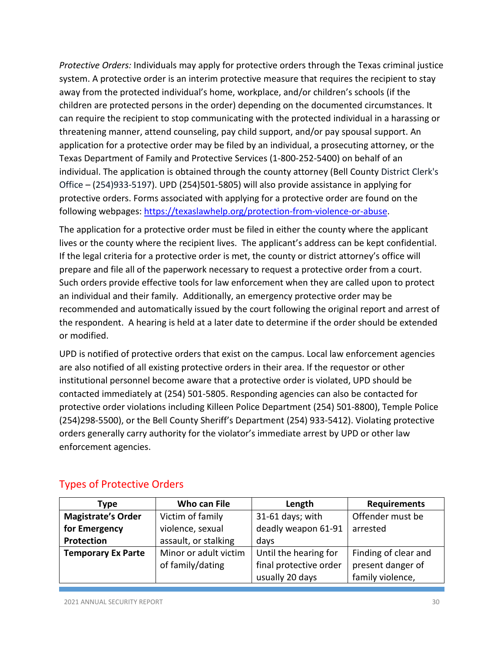*Protective Orders:* Individuals may apply for protective orders through the Texas criminal justice system. A protective order is an interim protective measure that requires the recipient to stay away from the protected individual's home, workplace, and/or children's schools (if the children are protected persons in the order) depending on the documented circumstances. It can require the recipient to stop communicating with the protected individual in a harassing or threatening manner, attend counseling, pay child support, and/or pay spousal support. An application for a protective order may be filed by an individual, a prosecuting attorney, or the Texas Department of Family and Protective Services (1-800-252-5400) on behalf of an individual. The application is obtained through the county attorney (Bell County District Clerk's Office – (254)933-5197). UPD (254)501-5805) will also provide assistance in applying for protective orders. Forms associated with applying for a protective order are found on the following webpages: [https://texaslawhelp.org/protection-from-violence-or-abuse.](https://texaslawhelp.org/protection-from-violence-or-abuse)

The application for a protective order must be filed in either the county where the applicant lives or the county where the recipient lives. The applicant's address can be kept confidential. If the legal criteria for a protective order is met, the county or district attorney's office will prepare and file all of the paperwork necessary to request a protective order from a court. Such orders provide effective tools for law enforcement when they are called upon to protect an individual and their family. Additionally, an emergency protective order may be recommended and automatically issued by the court following the original report and arrest of the respondent. A hearing is held at a later date to determine if the order should be extended or modified.

UPD is notified of protective orders that exist on the campus. Local law enforcement agencies are also notified of all existing protective orders in their area. If the requestor or other institutional personnel become aware that a protective order is violated, UPD should be contacted immediately at (254) 501-5805. Responding agencies can also be contacted for protective order violations including Killeen Police Department (254) 501-8800), Temple Police (254)298-5500), or the Bell County Sheriff's Department (254) 933-5412). Violating protective orders generally carry authority for the violator's immediate arrest by UPD or other law enforcement agencies.

| Type                                          | Who can File          | Length                 | <b>Requirements</b>  |
|-----------------------------------------------|-----------------------|------------------------|----------------------|
| <b>Magistrate's Order</b><br>Victim of family |                       | 31-61 days; with       | Offender must be     |
| for Emergency<br>violence, sexual             |                       | deadly weapon 61-91    | arrested             |
| Protection                                    | assault, or stalking  | days                   |                      |
| <b>Temporary Ex Parte</b>                     | Minor or adult victim | Until the hearing for  | Finding of clear and |
|                                               | of family/dating      | final protective order | present danger of    |
|                                               |                       | usually 20 days        | family violence,     |

## Types of Protective Orders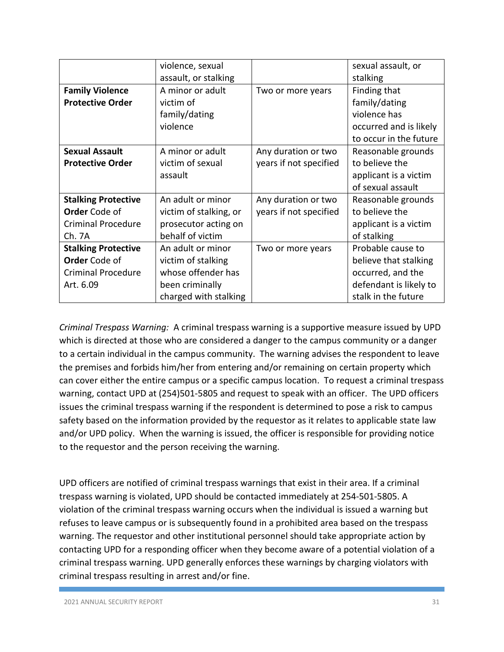|                            | violence, sexual       |                        | sexual assault, or     |
|----------------------------|------------------------|------------------------|------------------------|
|                            | assault, or stalking   |                        | stalking               |
| <b>Family Violence</b>     | A minor or adult       | Two or more years      | Finding that           |
| <b>Protective Order</b>    | victim of              |                        | family/dating          |
|                            | family/dating          |                        | violence has           |
|                            | violence               |                        | occurred and is likely |
|                            |                        |                        | to occur in the future |
| <b>Sexual Assault</b>      | A minor or adult       | Any duration or two    | Reasonable grounds     |
| <b>Protective Order</b>    | victim of sexual       | years if not specified | to believe the         |
|                            | assault                |                        | applicant is a victim  |
|                            |                        |                        | of sexual assault      |
| <b>Stalking Protective</b> | An adult or minor      | Any duration or two    | Reasonable grounds     |
| <b>Order</b> Code of       | victim of stalking, or | years if not specified | to believe the         |
| <b>Criminal Procedure</b>  | prosecutor acting on   |                        | applicant is a victim  |
| Ch. 7A                     | behalf of victim       |                        | of stalking            |
| <b>Stalking Protective</b> | An adult or minor      | Two or more years      | Probable cause to      |
| <b>Order</b> Code of       | victim of stalking     |                        | believe that stalking  |
| <b>Criminal Procedure</b>  | whose offender has     |                        | occurred, and the      |
| Art. 6.09                  | been criminally        |                        | defendant is likely to |
|                            | charged with stalking  |                        | stalk in the future    |

*Criminal Trespass Warning:* A criminal trespass warning is a supportive measure issued by UPD which is directed at those who are considered a danger to the campus community or a danger to a certain individual in the campus community. The warning advises the respondent to leave the premises and forbids him/her from entering and/or remaining on certain property which can cover either the entire campus or a specific campus location. To request a criminal trespass warning, contact UPD at (254)501-5805 and request to speak with an officer. The UPD officers issues the criminal trespass warning if the respondent is determined to pose a risk to campus safety based on the information provided by the requestor as it relates to applicable state law and/or UPD policy. When the warning is issued, the officer is responsible for providing notice to the requestor and the person receiving the warning.

UPD officers are notified of criminal trespass warnings that exist in their area. If a criminal trespass warning is violated, UPD should be contacted immediately at 254-501-5805. A violation of the criminal trespass warning occurs when the individual is issued a warning but refuses to leave campus or is subsequently found in a prohibited area based on the trespass warning. The requestor and other institutional personnel should take appropriate action by contacting UPD for a responding officer when they become aware of a potential violation of a criminal trespass warning. UPD generally enforces these warnings by charging violators with criminal trespass resulting in arrest and/or fine.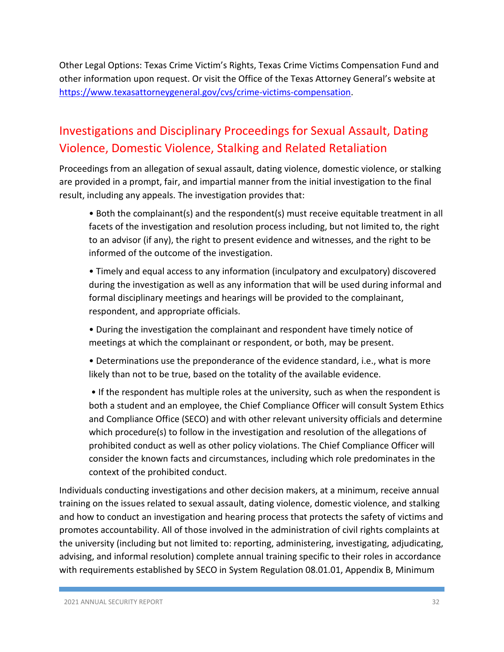Other Legal Options: Texas Crime Victim's Rights, Texas Crime Victims Compensation Fund and other information upon request. Or visit the Office of the Texas Attorney General's website at [https://www.texasattorneygeneral.gov/cvs/crime-victims-compensation.](https://www.texasattorneygeneral.gov/cvs/crime-victims-compensation)

# Investigations and Disciplinary Proceedings for Sexual Assault, Dating Violence, Domestic Violence, Stalking and Related Retaliation

Proceedings from an allegation of sexual assault, dating violence, domestic violence, or stalking are provided in a prompt, fair, and impartial manner from the initial investigation to the final result, including any appeals. The investigation provides that:

• Both the complainant(s) and the respondent(s) must receive equitable treatment in all facets of the investigation and resolution process including, but not limited to, the right to an advisor (if any), the right to present evidence and witnesses, and the right to be informed of the outcome of the investigation.

• Timely and equal access to any information (inculpatory and exculpatory) discovered during the investigation as well as any information that will be used during informal and formal disciplinary meetings and hearings will be provided to the complainant, respondent, and appropriate officials.

• During the investigation the complainant and respondent have timely notice of meetings at which the complainant or respondent, or both, may be present.

• Determinations use the preponderance of the evidence standard, i.e., what is more likely than not to be true, based on the totality of the available evidence.

• If the respondent has multiple roles at the university, such as when the respondent is both a student and an employee, the Chief Compliance Officer will consult System Ethics and Compliance Office (SECO) and with other relevant university officials and determine which procedure(s) to follow in the investigation and resolution of the allegations of prohibited conduct as well as other policy violations. The Chief Compliance Officer will consider the known facts and circumstances, including which role predominates in the context of the prohibited conduct.

Individuals conducting investigations and other decision makers, at a minimum, receive annual training on the issues related to sexual assault, dating violence, domestic violence, and stalking and how to conduct an investigation and hearing process that protects the safety of victims and promotes accountability. All of those involved in the administration of civil rights complaints at the university (including but not limited to: reporting, administering, investigating, adjudicating, advising, and informal resolution) complete annual training specific to their roles in accordance with requirements established by SECO in System Regulation 08.01.01, Appendix B, Minimum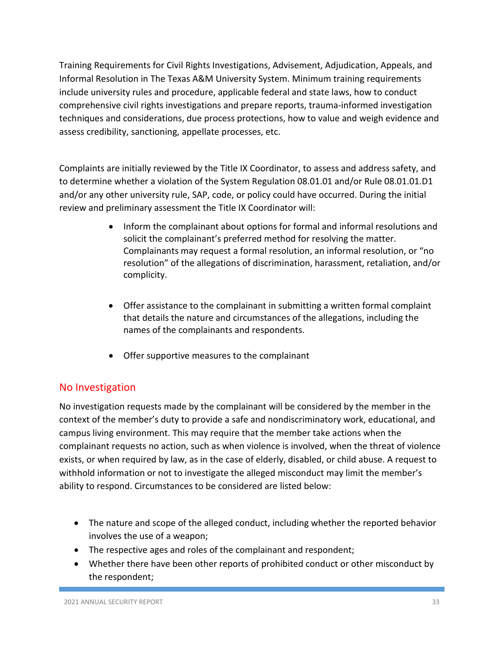Training Requirements for Civil Rights Investigations, Advisement, Adjudication, Appeals, and Informal Resolution in The Texas A&M University System. Minimum training requirements include university rules and procedure, applicable federal and state laws, how to conduct comprehensive civil rights investigations and prepare reports, trauma-informed investigation techniques and considerations, due process protections, how to value and weigh evidence and assess credibility, sanctioning, appellate processes, etc.

Complaints are initially reviewed by the Title IX Coordinator, to assess and address safety, and to determine whether a violation of the System Regulation 08.01.01 and/or Rule 08.01.01.D1 and/or any other university rule, SAP, code, or policy could have occurred. During the initial review and preliminary assessment the Title IX Coordinator will:

- Inform the complainant about options for formal and informal resolutions and solicit the complainant's preferred method for resolving the matter. Complainants may request a formal resolution, an informal resolution, or "no resolution" of the allegations of discrimination, harassment, retaliation, and/or complicity.
- Offer assistance to the complainant in submitting a written formal complaint that details the nature and circumstances of the allegations, including the names of the complainants and respondents.
- Offer supportive measures to the complainant

## No Investigation

No investigation requests made by the complainant will be considered by the member in the context of the member's duty to provide a safe and nondiscriminatory work, educational, and campus living environment. This may require that the member take actions when the complainant requests no action, such as when violence is involved, when the threat of violence exists, or when required by law, as in the case of elderly, disabled, or child abuse. A request to withhold information or not to investigate the alleged misconduct may limit the member's ability to respond. Circumstances to be considered are listed below:

- The nature and scope of the alleged conduct, including whether the reported behavior involves the use of a weapon;
- The respective ages and roles of the complainant and respondent;
- Whether there have been other reports of prohibited conduct or other misconduct by the respondent;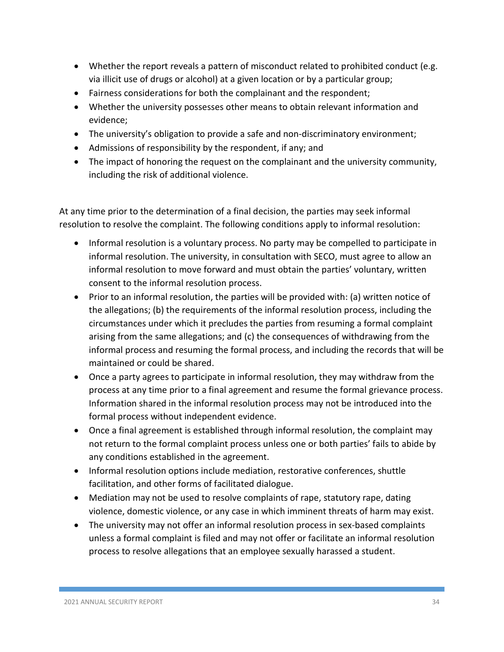- Whether the report reveals a pattern of misconduct related to prohibited conduct (e.g. via illicit use of drugs or alcohol) at a given location or by a particular group;
- Fairness considerations for both the complainant and the respondent;
- Whether the university possesses other means to obtain relevant information and evidence;
- The university's obligation to provide a safe and non-discriminatory environment;
- Admissions of responsibility by the respondent, if any; and
- The impact of honoring the request on the complainant and the university community, including the risk of additional violence.

At any time prior to the determination of a final decision, the parties may seek informal resolution to resolve the complaint. The following conditions apply to informal resolution:

- Informal resolution is a voluntary process. No party may be compelled to participate in informal resolution. The university, in consultation with SECO, must agree to allow an informal resolution to move forward and must obtain the parties' voluntary, written consent to the informal resolution process.
- Prior to an informal resolution, the parties will be provided with: (a) written notice of the allegations; (b) the requirements of the informal resolution process, including the circumstances under which it precludes the parties from resuming a formal complaint arising from the same allegations; and (c) the consequences of withdrawing from the informal process and resuming the formal process, and including the records that will be maintained or could be shared.
- Once a party agrees to participate in informal resolution, they may withdraw from the process at any time prior to a final agreement and resume the formal grievance process. Information shared in the informal resolution process may not be introduced into the formal process without independent evidence.
- Once a final agreement is established through informal resolution, the complaint may not return to the formal complaint process unless one or both parties' fails to abide by any conditions established in the agreement.
- Informal resolution options include mediation, restorative conferences, shuttle facilitation, and other forms of facilitated dialogue.
- Mediation may not be used to resolve complaints of rape, statutory rape, dating violence, domestic violence, or any case in which imminent threats of harm may exist.
- The university may not offer an informal resolution process in sex-based complaints unless a formal complaint is filed and may not offer or facilitate an informal resolution process to resolve allegations that an employee sexually harassed a student.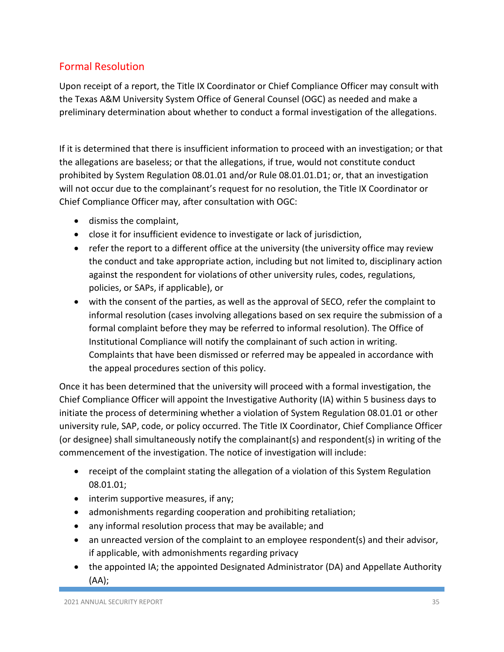## Formal Resolution

Upon receipt of a report, the Title IX Coordinator or Chief Compliance Officer may consult with the Texas A&M University System Office of General Counsel (OGC) as needed and make a preliminary determination about whether to conduct a formal investigation of the allegations.

If it is determined that there is insufficient information to proceed with an investigation; or that the allegations are baseless; or that the allegations, if true, would not constitute conduct prohibited by System Regulation 08.01.01 and/or Rule 08.01.01.D1; or, that an investigation will not occur due to the complainant's request for no resolution, the Title IX Coordinator or Chief Compliance Officer may, after consultation with OGC:

- dismiss the complaint,
- close it for insufficient evidence to investigate or lack of jurisdiction,
- refer the report to a different office at the university (the university office may review the conduct and take appropriate action, including but not limited to, disciplinary action against the respondent for violations of other university rules, codes, regulations, policies, or SAPs, if applicable), or
- with the consent of the parties, as well as the approval of SECO, refer the complaint to informal resolution (cases involving allegations based on sex require the submission of a formal complaint before they may be referred to informal resolution). The Office of Institutional Compliance will notify the complainant of such action in writing. Complaints that have been dismissed or referred may be appealed in accordance with the appeal procedures section of this policy.

Once it has been determined that the university will proceed with a formal investigation, the Chief Compliance Officer will appoint the Investigative Authority (IA) within 5 business days to initiate the process of determining whether a violation of System Regulation 08.01.01 or other university rule, SAP, code, or policy occurred. The Title IX Coordinator, Chief Compliance Officer (or designee) shall simultaneously notify the complainant(s) and respondent(s) in writing of the commencement of the investigation. The notice of investigation will include:

- receipt of the complaint stating the allegation of a violation of this System Regulation 08.01.01;
- interim supportive measures, if any;
- admonishments regarding cooperation and prohibiting retaliation;
- any informal resolution process that may be available; and
- an unreacted version of the complaint to an employee respondent(s) and their advisor, if applicable, with admonishments regarding privacy
- the appointed IA; the appointed Designated Administrator (DA) and Appellate Authority (AA);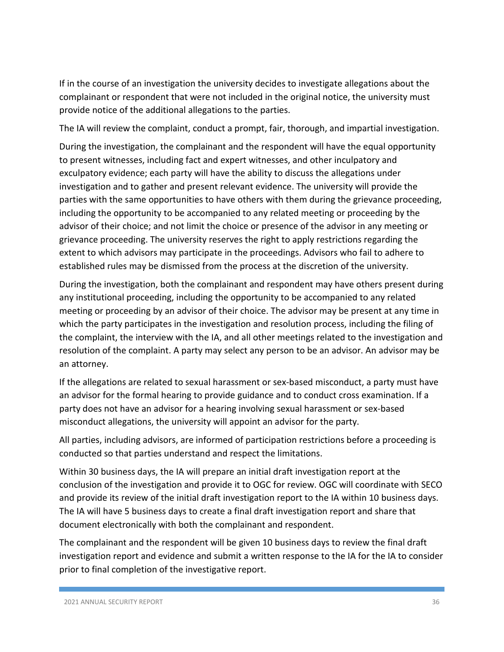If in the course of an investigation the university decides to investigate allegations about the complainant or respondent that were not included in the original notice, the university must provide notice of the additional allegations to the parties.

The IA will review the complaint, conduct a prompt, fair, thorough, and impartial investigation.

During the investigation, the complainant and the respondent will have the equal opportunity to present witnesses, including fact and expert witnesses, and other inculpatory and exculpatory evidence; each party will have the ability to discuss the allegations under investigation and to gather and present relevant evidence. The university will provide the parties with the same opportunities to have others with them during the grievance proceeding, including the opportunity to be accompanied to any related meeting or proceeding by the advisor of their choice; and not limit the choice or presence of the advisor in any meeting or grievance proceeding. The university reserves the right to apply restrictions regarding the extent to which advisors may participate in the proceedings. Advisors who fail to adhere to established rules may be dismissed from the process at the discretion of the university.

During the investigation, both the complainant and respondent may have others present during any institutional proceeding, including the opportunity to be accompanied to any related meeting or proceeding by an advisor of their choice. The advisor may be present at any time in which the party participates in the investigation and resolution process, including the filing of the complaint, the interview with the IA, and all other meetings related to the investigation and resolution of the complaint. A party may select any person to be an advisor. An advisor may be an attorney.

If the allegations are related to sexual harassment or sex-based misconduct, a party must have an advisor for the formal hearing to provide guidance and to conduct cross examination. If a party does not have an advisor for a hearing involving sexual harassment or sex-based misconduct allegations, the university will appoint an advisor for the party.

All parties, including advisors, are informed of participation restrictions before a proceeding is conducted so that parties understand and respect the limitations.

Within 30 business days, the IA will prepare an initial draft investigation report at the conclusion of the investigation and provide it to OGC for review. OGC will coordinate with SECO and provide its review of the initial draft investigation report to the IA within 10 business days. The IA will have 5 business days to create a final draft investigation report and share that document electronically with both the complainant and respondent.

The complainant and the respondent will be given 10 business days to review the final draft investigation report and evidence and submit a written response to the IA for the IA to consider prior to final completion of the investigative report.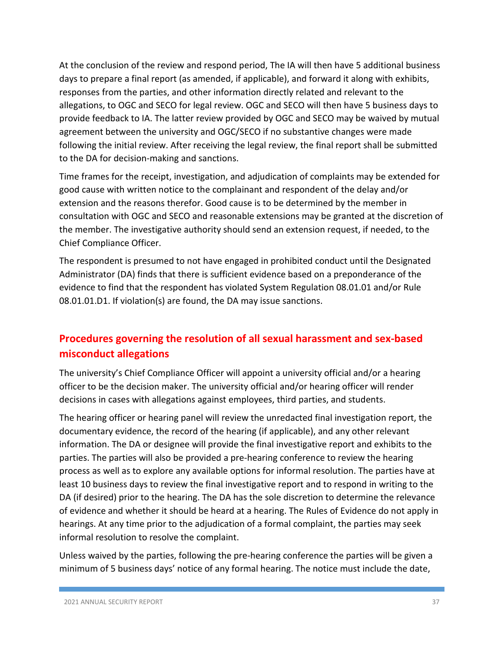At the conclusion of the review and respond period, The IA will then have 5 additional business days to prepare a final report (as amended, if applicable), and forward it along with exhibits, responses from the parties, and other information directly related and relevant to the allegations, to OGC and SECO for legal review. OGC and SECO will then have 5 business days to provide feedback to IA. The latter review provided by OGC and SECO may be waived by mutual agreement between the university and OGC/SECO if no substantive changes were made following the initial review. After receiving the legal review, the final report shall be submitted to the DA for decision-making and sanctions.

Time frames for the receipt, investigation, and adjudication of complaints may be extended for good cause with written notice to the complainant and respondent of the delay and/or extension and the reasons therefor. Good cause is to be determined by the member in consultation with OGC and SECO and reasonable extensions may be granted at the discretion of the member. The investigative authority should send an extension request, if needed, to the Chief Compliance Officer.

The respondent is presumed to not have engaged in prohibited conduct until the Designated Administrator (DA) finds that there is sufficient evidence based on a preponderance of the evidence to find that the respondent has violated System Regulation 08.01.01 and/or Rule 08.01.01.D1. If violation(s) are found, the DA may issue sanctions.

# **Procedures governing the resolution of all sexual harassment and sex-based misconduct allegations**

The university's Chief Compliance Officer will appoint a university official and/or a hearing officer to be the decision maker. The university official and/or hearing officer will render decisions in cases with allegations against employees, third parties, and students.

The hearing officer or hearing panel will review the unredacted final investigation report, the documentary evidence, the record of the hearing (if applicable), and any other relevant information. The DA or designee will provide the final investigative report and exhibits to the parties. The parties will also be provided a pre-hearing conference to review the hearing process as well as to explore any available options for informal resolution. The parties have at least 10 business days to review the final investigative report and to respond in writing to the DA (if desired) prior to the hearing. The DA has the sole discretion to determine the relevance of evidence and whether it should be heard at a hearing. The Rules of Evidence do not apply in hearings. At any time prior to the adjudication of a formal complaint, the parties may seek informal resolution to resolve the complaint.

Unless waived by the parties, following the pre-hearing conference the parties will be given a minimum of 5 business days' notice of any formal hearing. The notice must include the date,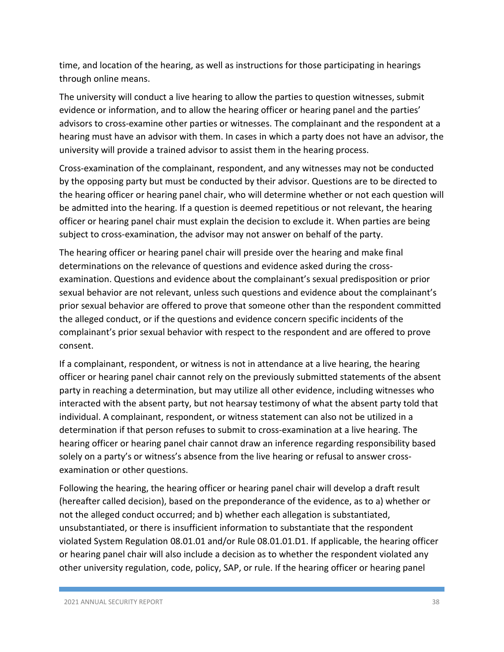time, and location of the hearing, as well as instructions for those participating in hearings through online means.

The university will conduct a live hearing to allow the parties to question witnesses, submit evidence or information, and to allow the hearing officer or hearing panel and the parties' advisors to cross-examine other parties or witnesses. The complainant and the respondent at a hearing must have an advisor with them. In cases in which a party does not have an advisor, the university will provide a trained advisor to assist them in the hearing process.

Cross-examination of the complainant, respondent, and any witnesses may not be conducted by the opposing party but must be conducted by their advisor. Questions are to be directed to the hearing officer or hearing panel chair, who will determine whether or not each question will be admitted into the hearing. If a question is deemed repetitious or not relevant, the hearing officer or hearing panel chair must explain the decision to exclude it. When parties are being subject to cross-examination, the advisor may not answer on behalf of the party.

The hearing officer or hearing panel chair will preside over the hearing and make final determinations on the relevance of questions and evidence asked during the crossexamination. Questions and evidence about the complainant's sexual predisposition or prior sexual behavior are not relevant, unless such questions and evidence about the complainant's prior sexual behavior are offered to prove that someone other than the respondent committed the alleged conduct, or if the questions and evidence concern specific incidents of the complainant's prior sexual behavior with respect to the respondent and are offered to prove consent.

If a complainant, respondent, or witness is not in attendance at a live hearing, the hearing officer or hearing panel chair cannot rely on the previously submitted statements of the absent party in reaching a determination, but may utilize all other evidence, including witnesses who interacted with the absent party, but not hearsay testimony of what the absent party told that individual. A complainant, respondent, or witness statement can also not be utilized in a determination if that person refuses to submit to cross-examination at a live hearing. The hearing officer or hearing panel chair cannot draw an inference regarding responsibility based solely on a party's or witness's absence from the live hearing or refusal to answer crossexamination or other questions.

Following the hearing, the hearing officer or hearing panel chair will develop a draft result (hereafter called decision), based on the preponderance of the evidence, as to a) whether or not the alleged conduct occurred; and b) whether each allegation is substantiated, unsubstantiated, or there is insufficient information to substantiate that the respondent violated System Regulation 08.01.01 and/or Rule 08.01.01.D1. If applicable, the hearing officer or hearing panel chair will also include a decision as to whether the respondent violated any other university regulation, code, policy, SAP, or rule. If the hearing officer or hearing panel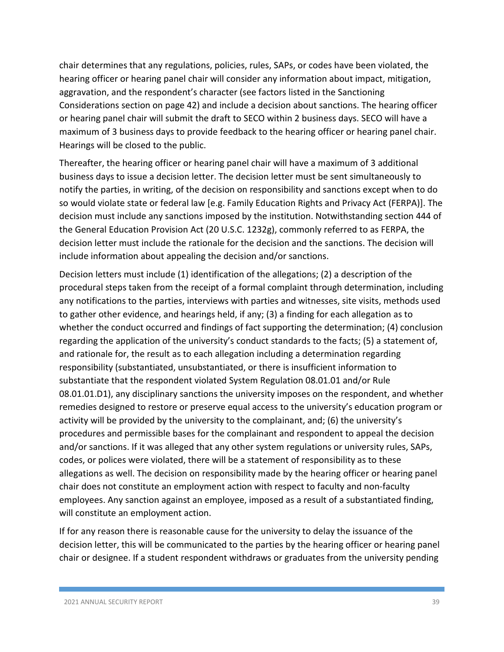chair determines that any regulations, policies, rules, SAPs, or codes have been violated, the hearing officer or hearing panel chair will consider any information about impact, mitigation, aggravation, and the respondent's character (see factors listed in the Sanctioning Considerations section on page 42) and include a decision about sanctions. The hearing officer or hearing panel chair will submit the draft to SECO within 2 business days. SECO will have a maximum of 3 business days to provide feedback to the hearing officer or hearing panel chair. Hearings will be closed to the public.

Thereafter, the hearing officer or hearing panel chair will have a maximum of 3 additional business days to issue a decision letter. The decision letter must be sent simultaneously to notify the parties, in writing, of the decision on responsibility and sanctions except when to do so would violate state or federal law [e.g. Family Education Rights and Privacy Act (FERPA)]. The decision must include any sanctions imposed by the institution. Notwithstanding section 444 of the General Education Provision Act (20 U.S.C. 1232g), commonly referred to as FERPA, the decision letter must include the rationale for the decision and the sanctions. The decision will include information about appealing the decision and/or sanctions.

Decision letters must include (1) identification of the allegations; (2) a description of the procedural steps taken from the receipt of a formal complaint through determination, including any notifications to the parties, interviews with parties and witnesses, site visits, methods used to gather other evidence, and hearings held, if any; (3) a finding for each allegation as to whether the conduct occurred and findings of fact supporting the determination; (4) conclusion regarding the application of the university's conduct standards to the facts; (5) a statement of, and rationale for, the result as to each allegation including a determination regarding responsibility (substantiated, unsubstantiated, or there is insufficient information to substantiate that the respondent violated System Regulation 08.01.01 and/or Rule 08.01.01.D1), any disciplinary sanctions the university imposes on the respondent, and whether remedies designed to restore or preserve equal access to the university's education program or activity will be provided by the university to the complainant, and; (6) the university's procedures and permissible bases for the complainant and respondent to appeal the decision and/or sanctions. If it was alleged that any other system regulations or university rules, SAPs, codes, or polices were violated, there will be a statement of responsibility as to these allegations as well. The decision on responsibility made by the hearing officer or hearing panel chair does not constitute an employment action with respect to faculty and non-faculty employees. Any sanction against an employee, imposed as a result of a substantiated finding, will constitute an employment action.

If for any reason there is reasonable cause for the university to delay the issuance of the decision letter, this will be communicated to the parties by the hearing officer or hearing panel chair or designee. If a student respondent withdraws or graduates from the university pending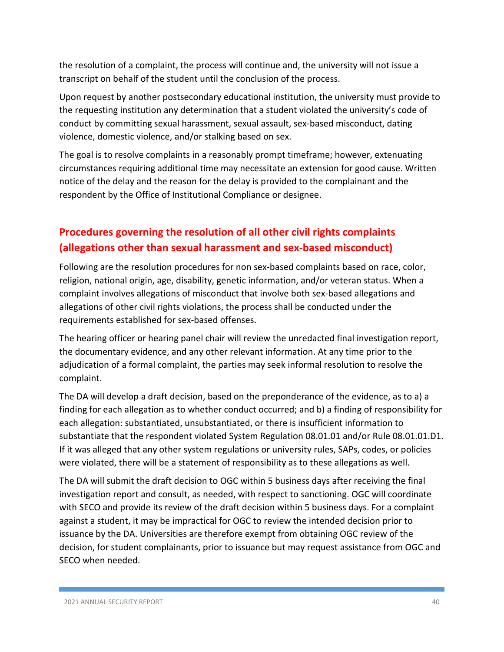the resolution of a complaint, the process will continue and, the university will not issue a transcript on behalf of the student until the conclusion of the process.

Upon request by another postsecondary educational institution, the university must provide to the requesting institution any determination that a student violated the university's code of conduct by committing sexual harassment, sexual assault, sex-based misconduct, dating violence, domestic violence, and/or stalking based on sex.

The goal is to resolve complaints in a reasonably prompt timeframe; however, extenuating circumstances requiring additional time may necessitate an extension for good cause. Written notice of the delay and the reason for the delay is provided to the complainant and the respondent by the Office of Institutional Compliance or designee.

# **Procedures governing the resolution of all other civil rights complaints (allegations other than sexual harassment and sex-based misconduct)**

Following are the resolution procedures for non sex-based complaints based on race, color, religion, national origin, age, disability, genetic information, and/or veteran status. When a complaint involves allegations of misconduct that involve both sex-based allegations and allegations of other civil rights violations, the process shall be conducted under the requirements established for sex-based offenses.

The hearing officer or hearing panel chair will review the unredacted final investigation report, the documentary evidence, and any other relevant information. At any time prior to the adjudication of a formal complaint, the parties may seek informal resolution to resolve the complaint.

The DA will develop a draft decision, based on the preponderance of the evidence, as to a) a finding for each allegation as to whether conduct occurred; and b) a finding of responsibility for each allegation: substantiated, unsubstantiated, or there is insufficient information to substantiate that the respondent violated System Regulation 08.01.01 and/or Rule 08.01.01.D1. If it was alleged that any other system regulations or university rules, SAPs, codes, or policies were violated, there will be a statement of responsibility as to these allegations as well.

The DA will submit the draft decision to OGC within 5 business days after receiving the final investigation report and consult, as needed, with respect to sanctioning. OGC will coordinate with SECO and provide its review of the draft decision within 5 business days. For a complaint against a student, it may be impractical for OGC to review the intended decision prior to issuance by the DA. Universities are therefore exempt from obtaining OGC review of the decision, for student complainants, prior to issuance but may request assistance from OGC and SECO when needed.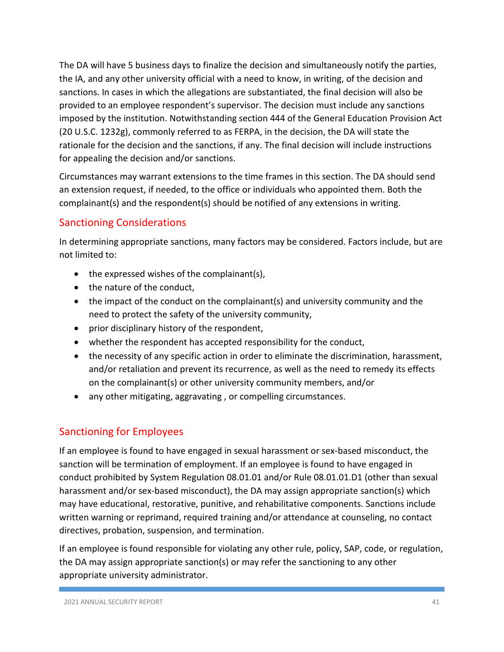The DA will have 5 business days to finalize the decision and simultaneously notify the parties, the IA, and any other university official with a need to know, in writing, of the decision and sanctions. In cases in which the allegations are substantiated, the final decision will also be provided to an employee respondent's supervisor. The decision must include any sanctions imposed by the institution. Notwithstanding section 444 of the General Education Provision Act (20 U.S.C. 1232g), commonly referred to as FERPA, in the decision, the DA will state the rationale for the decision and the sanctions, if any. The final decision will include instructions for appealing the decision and/or sanctions.

Circumstances may warrant extensions to the time frames in this section. The DA should send an extension request, if needed, to the office or individuals who appointed them. Both the complainant(s) and the respondent(s) should be notified of any extensions in writing.

#### Sanctioning Considerations

In determining appropriate sanctions, many factors may be considered. Factors include, but are not limited to:

- the expressed wishes of the complainant(s),
- the nature of the conduct,
- the impact of the conduct on the complainant(s) and university community and the need to protect the safety of the university community,
- prior disciplinary history of the respondent,
- whether the respondent has accepted responsibility for the conduct,
- the necessity of any specific action in order to eliminate the discrimination, harassment, and/or retaliation and prevent its recurrence, as well as the need to remedy its effects on the complainant(s) or other university community members, and/or
- any other mitigating, aggravating , or compelling circumstances.

#### Sanctioning for Employees

If an employee is found to have engaged in sexual harassment or sex-based misconduct, the sanction will be termination of employment. If an employee is found to have engaged in conduct prohibited by System Regulation 08.01.01 and/or Rule 08.01.01.D1 (other than sexual harassment and/or sex-based misconduct), the DA may assign appropriate sanction(s) which may have educational, restorative, punitive, and rehabilitative components. Sanctions include written warning or reprimand, required training and/or attendance at counseling, no contact directives, probation, suspension, and termination.

If an employee is found responsible for violating any other rule, policy, SAP, code, or regulation, the DA may assign appropriate sanction(s) or may refer the sanctioning to any other appropriate university administrator.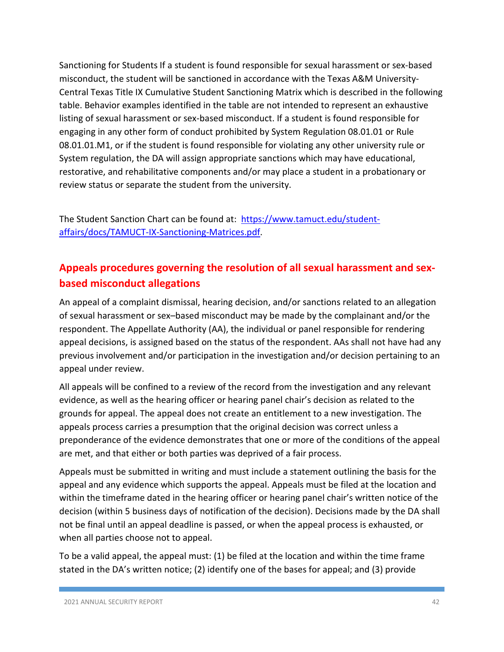Sanctioning for Students If a student is found responsible for sexual harassment or sex-based misconduct, the student will be sanctioned in accordance with the Texas A&M University-Central Texas Title IX Cumulative Student Sanctioning Matrix which is described in the following table. Behavior examples identified in the table are not intended to represent an exhaustive listing of sexual harassment or sex-based misconduct. If a student is found responsible for engaging in any other form of conduct prohibited by System Regulation 08.01.01 or Rule 08.01.01.M1, or if the student is found responsible for violating any other university rule or System regulation, the DA will assign appropriate sanctions which may have educational, restorative, and rehabilitative components and/or may place a student in a probationary or review status or separate the student from the university.

The Student Sanction Chart can be found at: [https://www.tamuct.edu/student](https://www.tamuct.edu/student-affairs/docs/TAMUCT-IX-Sanctioning-Matrices.pdf)[affairs/docs/TAMUCT-IX-Sanctioning-Matrices.pdf.](https://www.tamuct.edu/student-affairs/docs/TAMUCT-IX-Sanctioning-Matrices.pdf)

# **Appeals procedures governing the resolution of all sexual harassment and sexbased misconduct allegations**

An appeal of a complaint dismissal, hearing decision, and/or sanctions related to an allegation of sexual harassment or sex–based misconduct may be made by the complainant and/or the respondent. The Appellate Authority (AA), the individual or panel responsible for rendering appeal decisions, is assigned based on the status of the respondent. AAs shall not have had any previous involvement and/or participation in the investigation and/or decision pertaining to an appeal under review.

All appeals will be confined to a review of the record from the investigation and any relevant evidence, as well as the hearing officer or hearing panel chair's decision as related to the grounds for appeal. The appeal does not create an entitlement to a new investigation. The appeals process carries a presumption that the original decision was correct unless a preponderance of the evidence demonstrates that one or more of the conditions of the appeal are met, and that either or both parties was deprived of a fair process.

Appeals must be submitted in writing and must include a statement outlining the basis for the appeal and any evidence which supports the appeal. Appeals must be filed at the location and within the timeframe dated in the hearing officer or hearing panel chair's written notice of the decision (within 5 business days of notification of the decision). Decisions made by the DA shall not be final until an appeal deadline is passed, or when the appeal process is exhausted, or when all parties choose not to appeal.

To be a valid appeal, the appeal must: (1) be filed at the location and within the time frame stated in the DA's written notice; (2) identify one of the bases for appeal; and (3) provide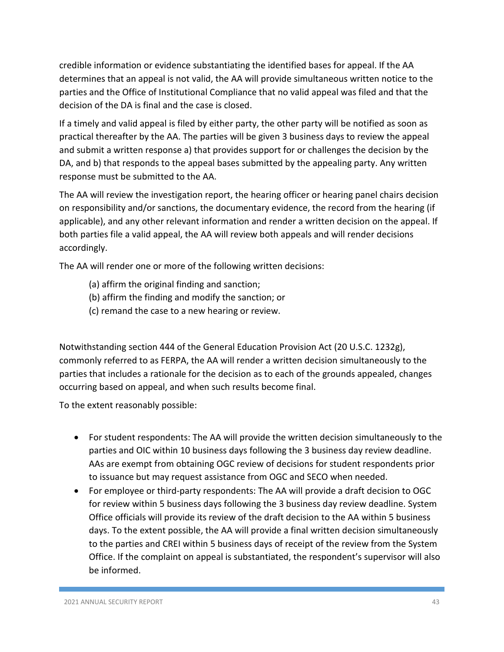credible information or evidence substantiating the identified bases for appeal. If the AA determines that an appeal is not valid, the AA will provide simultaneous written notice to the parties and the Office of Institutional Compliance that no valid appeal was filed and that the decision of the DA is final and the case is closed.

If a timely and valid appeal is filed by either party, the other party will be notified as soon as practical thereafter by the AA. The parties will be given 3 business days to review the appeal and submit a written response a) that provides support for or challenges the decision by the DA, and b) that responds to the appeal bases submitted by the appealing party. Any written response must be submitted to the AA.

The AA will review the investigation report, the hearing officer or hearing panel chairs decision on responsibility and/or sanctions, the documentary evidence, the record from the hearing (if applicable), and any other relevant information and render a written decision on the appeal. If both parties file a valid appeal, the AA will review both appeals and will render decisions accordingly.

The AA will render one or more of the following written decisions:

- (a) affirm the original finding and sanction;
- (b) affirm the finding and modify the sanction; or
- (c) remand the case to a new hearing or review.

Notwithstanding section 444 of the General Education Provision Act (20 U.S.C. 1232g), commonly referred to as FERPA, the AA will render a written decision simultaneously to the parties that includes a rationale for the decision as to each of the grounds appealed, changes occurring based on appeal, and when such results become final.

To the extent reasonably possible:

- For student respondents: The AA will provide the written decision simultaneously to the parties and OIC within 10 business days following the 3 business day review deadline. AAs are exempt from obtaining OGC review of decisions for student respondents prior to issuance but may request assistance from OGC and SECO when needed.
- For employee or third-party respondents: The AA will provide a draft decision to OGC for review within 5 business days following the 3 business day review deadline. System Office officials will provide its review of the draft decision to the AA within 5 business days. To the extent possible, the AA will provide a final written decision simultaneously to the parties and CREI within 5 business days of receipt of the review from the System Office. If the complaint on appeal is substantiated, the respondent's supervisor will also be informed.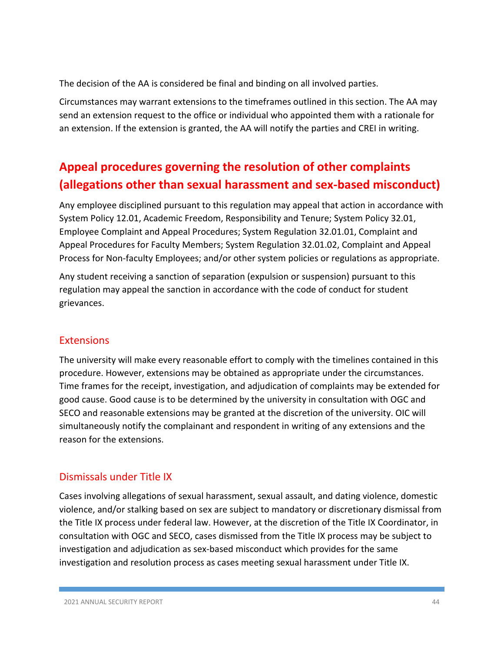The decision of the AA is considered be final and binding on all involved parties.

Circumstances may warrant extensions to the timeframes outlined in this section. The AA may send an extension request to the office or individual who appointed them with a rationale for an extension. If the extension is granted, the AA will notify the parties and CREI in writing.

# **Appeal procedures governing the resolution of other complaints (allegations other than sexual harassment and sex-based misconduct)**

Any employee disciplined pursuant to this regulation may appeal that action in accordance with System Policy 12.01, Academic Freedom, Responsibility and Tenure; System Policy 32.01, Employee Complaint and Appeal Procedures; System Regulation 32.01.01, Complaint and Appeal Procedures for Faculty Members; System Regulation 32.01.02, Complaint and Appeal Process for Non-faculty Employees; and/or other system policies or regulations as appropriate.

Any student receiving a sanction of separation (expulsion or suspension) pursuant to this regulation may appeal the sanction in accordance with the code of conduct for student grievances.

#### **Extensions**

The university will make every reasonable effort to comply with the timelines contained in this procedure. However, extensions may be obtained as appropriate under the circumstances. Time frames for the receipt, investigation, and adjudication of complaints may be extended for good cause. Good cause is to be determined by the university in consultation with OGC and SECO and reasonable extensions may be granted at the discretion of the university. OIC will simultaneously notify the complainant and respondent in writing of any extensions and the reason for the extensions.

#### Dismissals under Title IX

Cases involving allegations of sexual harassment, sexual assault, and dating violence, domestic violence, and/or stalking based on sex are subject to mandatory or discretionary dismissal from the Title IX process under federal law. However, at the discretion of the Title IX Coordinator, in consultation with OGC and SECO, cases dismissed from the Title IX process may be subject to investigation and adjudication as sex-based misconduct which provides for the same investigation and resolution process as cases meeting sexual harassment under Title IX.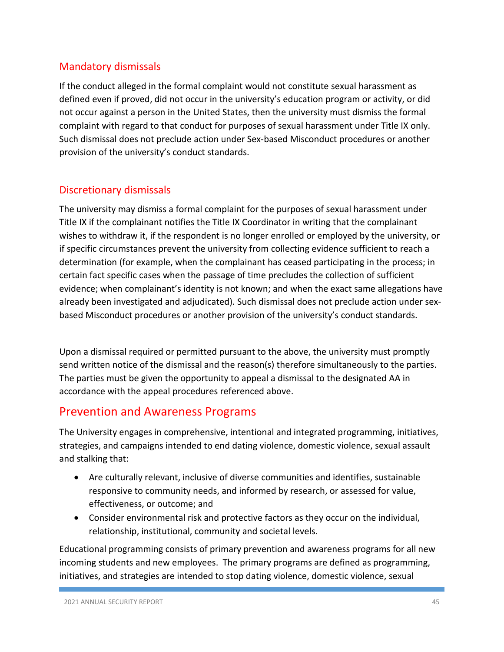## Mandatory dismissals

If the conduct alleged in the formal complaint would not constitute sexual harassment as defined even if proved, did not occur in the university's education program or activity, or did not occur against a person in the United States, then the university must dismiss the formal complaint with regard to that conduct for purposes of sexual harassment under Title IX only. Such dismissal does not preclude action under Sex-based Misconduct procedures or another provision of the university's conduct standards.

## Discretionary dismissals

The university may dismiss a formal complaint for the purposes of sexual harassment under Title IX if the complainant notifies the Title IX Coordinator in writing that the complainant wishes to withdraw it, if the respondent is no longer enrolled or employed by the university, or if specific circumstances prevent the university from collecting evidence sufficient to reach a determination (for example, when the complainant has ceased participating in the process; in certain fact specific cases when the passage of time precludes the collection of sufficient evidence; when complainant's identity is not known; and when the exact same allegations have already been investigated and adjudicated). Such dismissal does not preclude action under sexbased Misconduct procedures or another provision of the university's conduct standards.

Upon a dismissal required or permitted pursuant to the above, the university must promptly send written notice of the dismissal and the reason(s) therefore simultaneously to the parties. The parties must be given the opportunity to appeal a dismissal to the designated AA in accordance with the appeal procedures referenced above.

## Prevention and Awareness Programs

The University engages in comprehensive, intentional and integrated programming, initiatives, strategies, and campaigns intended to end dating violence, domestic violence, sexual assault and stalking that:

- Are culturally relevant, inclusive of diverse communities and identifies, sustainable responsive to community needs, and informed by research, or assessed for value, effectiveness, or outcome; and
- Consider environmental risk and protective factors as they occur on the individual, relationship, institutional, community and societal levels.

Educational programming consists of primary prevention and awareness programs for all new incoming students and new employees. The primary programs are defined as programming, initiatives, and strategies are intended to stop dating violence, domestic violence, sexual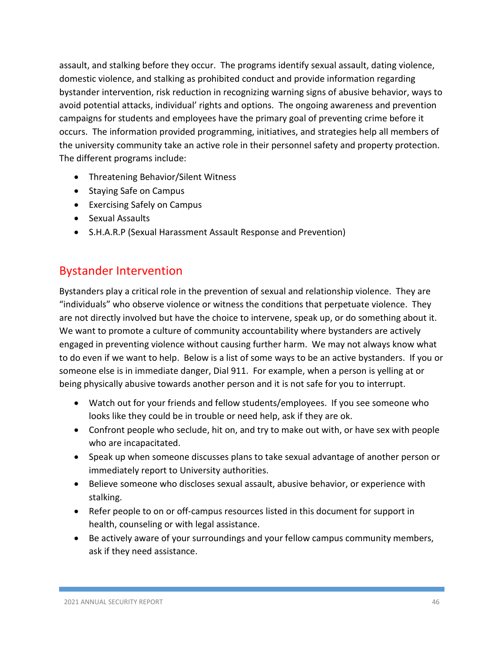assault, and stalking before they occur. The programs identify sexual assault, dating violence, domestic violence, and stalking as prohibited conduct and provide information regarding bystander intervention, risk reduction in recognizing warning signs of abusive behavior, ways to avoid potential attacks, individual' rights and options. The ongoing awareness and prevention campaigns for students and employees have the primary goal of preventing crime before it occurs. The information provided programming, initiatives, and strategies help all members of the university community take an active role in their personnel safety and property protection. The different programs include:

- Threatening Behavior/Silent Witness
- Staying Safe on Campus
- Exercising Safely on Campus
- Sexual Assaults
- S.H.A.R.P (Sexual Harassment Assault Response and Prevention)

# Bystander Intervention

Bystanders play a critical role in the prevention of sexual and relationship violence. They are "individuals" who observe violence or witness the conditions that perpetuate violence. They are not directly involved but have the choice to intervene, speak up, or do something about it. We want to promote a culture of community accountability where bystanders are actively engaged in preventing violence without causing further harm. We may not always know what to do even if we want to help. Below is a list of some ways to be an active bystanders. If you or someone else is in immediate danger, Dial 911. For example, when a person is yelling at or being physically abusive towards another person and it is not safe for you to interrupt.

- Watch out for your friends and fellow students/employees. If you see someone who looks like they could be in trouble or need help, ask if they are ok.
- Confront people who seclude, hit on, and try to make out with, or have sex with people who are incapacitated.
- Speak up when someone discusses plans to take sexual advantage of another person or immediately report to University authorities.
- Believe someone who discloses sexual assault, abusive behavior, or experience with stalking.
- Refer people to on or off-campus resources listed in this document for support in health, counseling or with legal assistance.
- Be actively aware of your surroundings and your fellow campus community members, ask if they need assistance.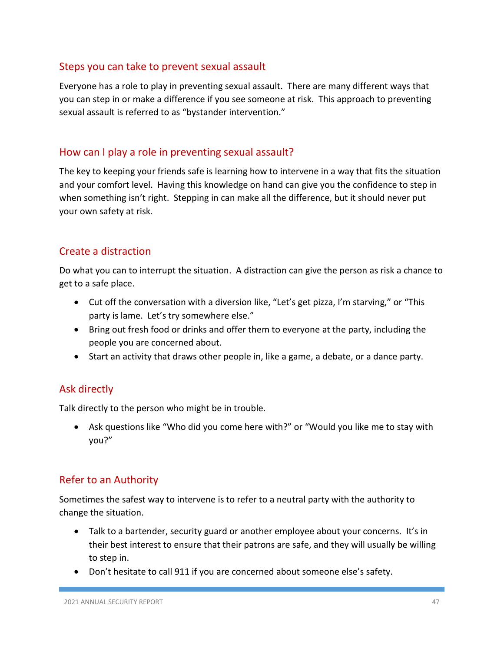#### Steps you can take to prevent sexual assault

Everyone has a role to play in preventing sexual assault. There are many different ways that you can step in or make a difference if you see someone at risk. This approach to preventing sexual assault is referred to as "bystander intervention."

#### How can I play a role in preventing sexual assault?

The key to keeping your friends safe is learning how to intervene in a way that fits the situation and your comfort level. Having this knowledge on hand can give you the confidence to step in when something isn't right. Stepping in can make all the difference, but it should never put your own safety at risk.

#### Create a distraction

Do what you can to interrupt the situation. A distraction can give the person as risk a chance to get to a safe place.

- Cut off the conversation with a diversion like, "Let's get pizza, I'm starving," or "This party is lame. Let's try somewhere else."
- Bring out fresh food or drinks and offer them to everyone at the party, including the people you are concerned about.
- Start an activity that draws other people in, like a game, a debate, or a dance party.

#### Ask directly

Talk directly to the person who might be in trouble.

• Ask questions like "Who did you come here with?" or "Would you like me to stay with you?"

#### Refer to an Authority

Sometimes the safest way to intervene is to refer to a neutral party with the authority to change the situation.

- Talk to a bartender, security guard or another employee about your concerns. It's in their best interest to ensure that their patrons are safe, and they will usually be willing to step in.
- Don't hesitate to call 911 if you are concerned about someone else's safety.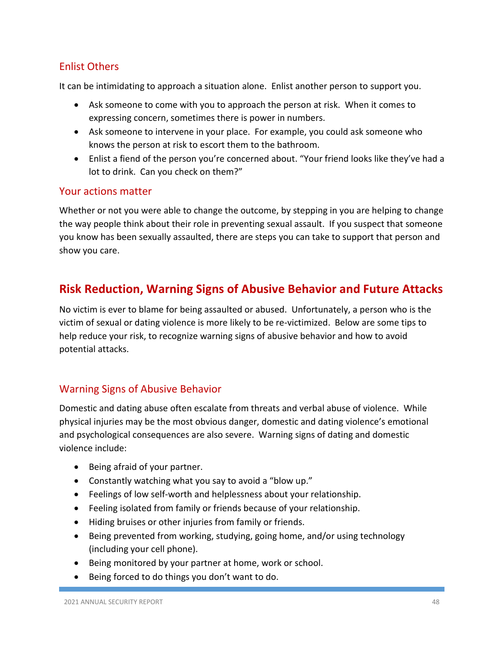#### Enlist Others

It can be intimidating to approach a situation alone. Enlist another person to support you.

- Ask someone to come with you to approach the person at risk. When it comes to expressing concern, sometimes there is power in numbers.
- Ask someone to intervene in your place. For example, you could ask someone who knows the person at risk to escort them to the bathroom.
- Enlist a fiend of the person you're concerned about. "Your friend looks like they've had a lot to drink. Can you check on them?"

#### Your actions matter

Whether or not you were able to change the outcome, by stepping in you are helping to change the way people think about their role in preventing sexual assault. If you suspect that someone you know has been sexually assaulted, there are steps you can take to support that person and show you care.

# **Risk Reduction, Warning Signs of Abusive Behavior and Future Attacks**

No victim is ever to blame for being assaulted or abused. Unfortunately, a person who is the victim of sexual or dating violence is more likely to be re-victimized. Below are some tips to help reduce your risk, to recognize warning signs of abusive behavior and how to avoid potential attacks.

#### Warning Signs of Abusive Behavior

Domestic and dating abuse often escalate from threats and verbal abuse of violence. While physical injuries may be the most obvious danger, domestic and dating violence's emotional and psychological consequences are also severe. Warning signs of dating and domestic violence include:

- Being afraid of your partner.
- Constantly watching what you say to avoid a "blow up."
- Feelings of low self-worth and helplessness about your relationship.
- Feeling isolated from family or friends because of your relationship.
- Hiding bruises or other injuries from family or friends.
- Being prevented from working, studying, going home, and/or using technology (including your cell phone).
- Being monitored by your partner at home, work or school.
- Being forced to do things you don't want to do.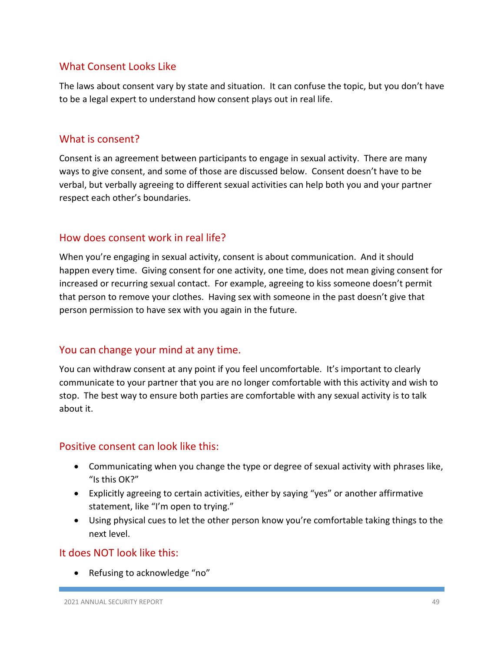#### What Consent Looks Like

The laws about consent vary by state and situation. It can confuse the topic, but you don't have to be a legal expert to understand how consent plays out in real life.

#### What is consent?

Consent is an agreement between participants to engage in sexual activity. There are many ways to give consent, and some of those are discussed below. Consent doesn't have to be verbal, but verbally agreeing to different sexual activities can help both you and your partner respect each other's boundaries.

#### How does consent work in real life?

When you're engaging in sexual activity, consent is about communication. And it should happen every time. Giving consent for one activity, one time, does not mean giving consent for increased or recurring sexual contact. For example, agreeing to kiss someone doesn't permit that person to remove your clothes. Having sex with someone in the past doesn't give that person permission to have sex with you again in the future.

#### You can change your mind at any time.

You can withdraw consent at any point if you feel uncomfortable. It's important to clearly communicate to your partner that you are no longer comfortable with this activity and wish to stop. The best way to ensure both parties are comfortable with any sexual activity is to talk about it.

#### Positive consent can look like this:

- Communicating when you change the type or degree of sexual activity with phrases like, "Is this OK?"
- Explicitly agreeing to certain activities, either by saying "yes" or another affirmative statement, like "I'm open to trying."
- Using physical cues to let the other person know you're comfortable taking things to the next level.

#### It does NOT look like this:

• Refusing to acknowledge "no"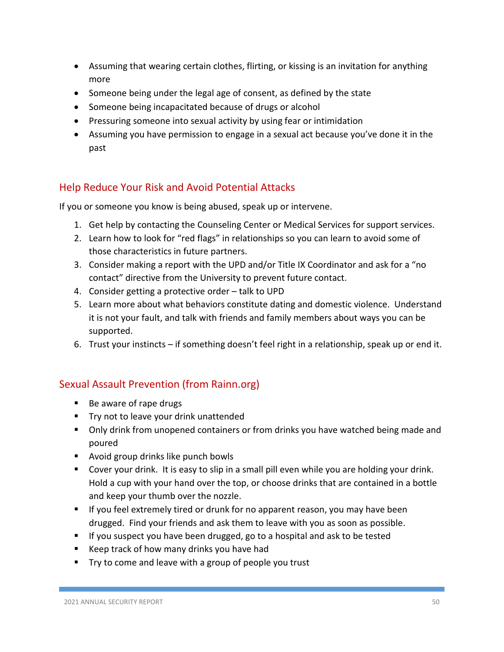- Assuming that wearing certain clothes, flirting, or kissing is an invitation for anything more
- Someone being under the legal age of consent, as defined by the state
- Someone being incapacitated because of drugs or alcohol
- Pressuring someone into sexual activity by using fear or intimidation
- Assuming you have permission to engage in a sexual act because you've done it in the past

#### Help Reduce Your Risk and Avoid Potential Attacks

If you or someone you know is being abused, speak up or intervene.

- 1. Get help by contacting the Counseling Center or Medical Services for support services.
- 2. Learn how to look for "red flags" in relationships so you can learn to avoid some of those characteristics in future partners.
- 3. Consider making a report with the UPD and/or Title IX Coordinator and ask for a "no contact" directive from the University to prevent future contact.
- 4. Consider getting a protective order talk to UPD
- 5. Learn more about what behaviors constitute dating and domestic violence. Understand it is not your fault, and talk with friends and family members about ways you can be supported.
- 6. Trust your instincts if something doesn't feel right in a relationship, speak up or end it.

#### Sexual Assault Prevention (from Rainn.org)

- Be aware of rape drugs
- **Try not to leave your drink unattended**
- **Only drink from unopened containers or from drinks you have watched being made and** poured
- **Avoid group drinks like punch bowls**
- Cover your drink. It is easy to slip in a small pill even while you are holding your drink. Hold a cup with your hand over the top, or choose drinks that are contained in a bottle and keep your thumb over the nozzle.
- If you feel extremely tired or drunk for no apparent reason, you may have been drugged. Find your friends and ask them to leave with you as soon as possible.
- If you suspect you have been drugged, go to a hospital and ask to be tested
- Keep track of how many drinks you have had
- $\blacksquare$  Try to come and leave with a group of people you trust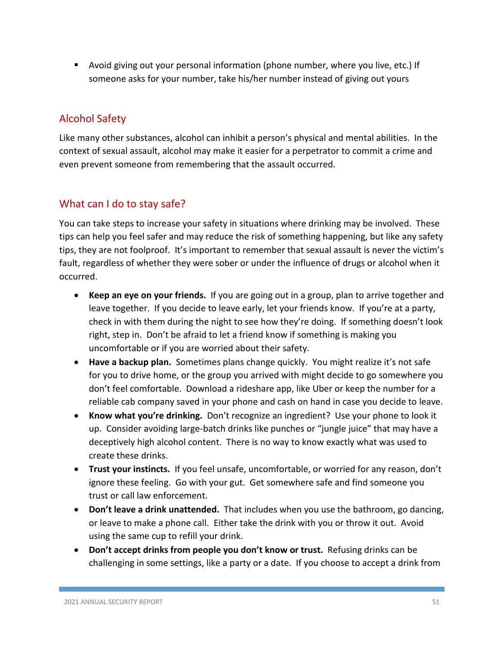Avoid giving out your personal information (phone number, where you live, etc.) If someone asks for your number, take his/her number instead of giving out yours

# Alcohol Safety

Like many other substances, alcohol can inhibit a person's physical and mental abilities. In the context of sexual assault, alcohol may make it easier for a perpetrator to commit a crime and even prevent someone from remembering that the assault occurred.

## What can I do to stay safe?

You can take steps to increase your safety in situations where drinking may be involved. These tips can help you feel safer and may reduce the risk of something happening, but like any safety tips, they are not foolproof. It's important to remember that sexual assault is never the victim's fault, regardless of whether they were sober or under the influence of drugs or alcohol when it occurred.

- **Keep an eye on your friends.** If you are going out in a group, plan to arrive together and leave together. If you decide to leave early, let your friends know. If you're at a party, check in with them during the night to see how they're doing. If something doesn't look right, step in. Don't be afraid to let a friend know if something is making you uncomfortable or if you are worried about their safety.
- **Have a backup plan.** Sometimes plans change quickly. You might realize it's not safe for you to drive home, or the group you arrived with might decide to go somewhere you don't feel comfortable. Download a rideshare app, like Uber or keep the number for a reliable cab company saved in your phone and cash on hand in case you decide to leave.
- **Know what you're drinking.** Don't recognize an ingredient? Use your phone to look it up. Consider avoiding large-batch drinks like punches or "jungle juice" that may have a deceptively high alcohol content. There is no way to know exactly what was used to create these drinks.
- **Trust your instincts.** If you feel unsafe, uncomfortable, or worried for any reason, don't ignore these feeling. Go with your gut. Get somewhere safe and find someone you trust or call law enforcement.
- **Don't leave a drink unattended.** That includes when you use the bathroom, go dancing, or leave to make a phone call. Either take the drink with you or throw it out. Avoid using the same cup to refill your drink.
- **Don't accept drinks from people you don't know or trust.** Refusing drinks can be challenging in some settings, like a party or a date. If you choose to accept a drink from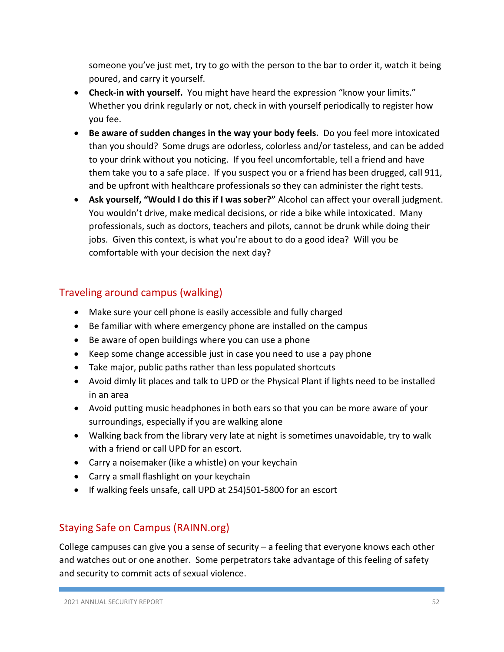someone you've just met, try to go with the person to the bar to order it, watch it being poured, and carry it yourself.

- **Check-in with yourself.** You might have heard the expression "know your limits." Whether you drink regularly or not, check in with yourself periodically to register how you fee.
- **Be aware of sudden changes in the way your body feels.** Do you feel more intoxicated than you should? Some drugs are odorless, colorless and/or tasteless, and can be added to your drink without you noticing. If you feel uncomfortable, tell a friend and have them take you to a safe place. If you suspect you or a friend has been drugged, call 911, and be upfront with healthcare professionals so they can administer the right tests.
- **Ask yourself, "Would I do this if I was sober?"** Alcohol can affect your overall judgment. You wouldn't drive, make medical decisions, or ride a bike while intoxicated. Many professionals, such as doctors, teachers and pilots, cannot be drunk while doing their jobs. Given this context, is what you're about to do a good idea? Will you be comfortable with your decision the next day?

#### Traveling around campus (walking)

- Make sure your cell phone is easily accessible and fully charged
- Be familiar with where emergency phone are installed on the campus
- Be aware of open buildings where you can use a phone
- Keep some change accessible just in case you need to use a pay phone
- Take major, public paths rather than less populated shortcuts
- Avoid dimly lit places and talk to UPD or the Physical Plant if lights need to be installed in an area
- Avoid putting music headphones in both ears so that you can be more aware of your surroundings, especially if you are walking alone
- Walking back from the library very late at night is sometimes unavoidable, try to walk with a friend or call UPD for an escort.
- Carry a noisemaker (like a whistle) on your keychain
- Carry a small flashlight on your keychain
- If walking feels unsafe, call UPD at 254)501-5800 for an escort

#### Staying Safe on Campus (RAINN.org)

College campuses can give you a sense of security – a feeling that everyone knows each other and watches out or one another. Some perpetrators take advantage of this feeling of safety and security to commit acts of sexual violence.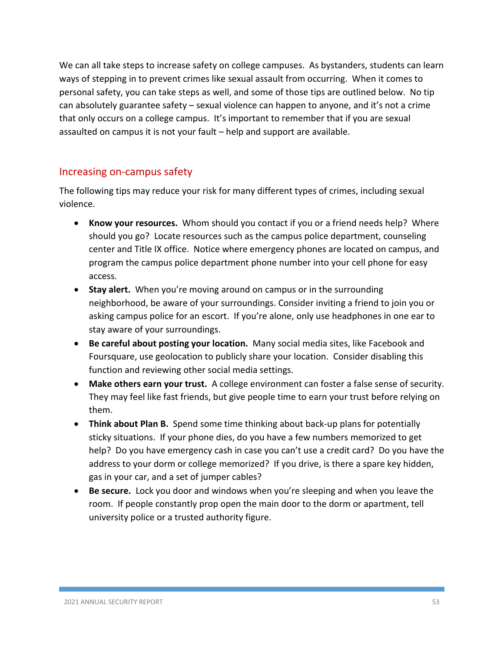We can all take steps to increase safety on college campuses. As bystanders, students can learn ways of stepping in to prevent crimes like sexual assault from occurring. When it comes to personal safety, you can take steps as well, and some of those tips are outlined below. No tip can absolutely guarantee safety – sexual violence can happen to anyone, and it's not a crime that only occurs on a college campus. It's important to remember that if you are sexual assaulted on campus it is not your fault – help and support are available.

#### Increasing on-campus safety

The following tips may reduce your risk for many different types of crimes, including sexual violence.

- **Know your resources.** Whom should you contact if you or a friend needs help? Where should you go? Locate resources such as the campus police department, counseling center and Title IX office. Notice where emergency phones are located on campus, and program the campus police department phone number into your cell phone for easy access.
- **Stay alert.** When you're moving around on campus or in the surrounding neighborhood, be aware of your surroundings. Consider inviting a friend to join you or asking campus police for an escort. If you're alone, only use headphones in one ear to stay aware of your surroundings.
- **Be careful about posting your location.** Many social media sites, like Facebook and Foursquare, use geolocation to publicly share your location. Consider disabling this function and reviewing other social media settings.
- **Make others earn your trust.** A college environment can foster a false sense of security. They may feel like fast friends, but give people time to earn your trust before relying on them.
- **Think about Plan B.** Spend some time thinking about back-up plans for potentially sticky situations. If your phone dies, do you have a few numbers memorized to get help? Do you have emergency cash in case you can't use a credit card? Do you have the address to your dorm or college memorized? If you drive, is there a spare key hidden, gas in your car, and a set of jumper cables?
- **Be secure.** Lock you door and windows when you're sleeping and when you leave the room. If people constantly prop open the main door to the dorm or apartment, tell university police or a trusted authority figure.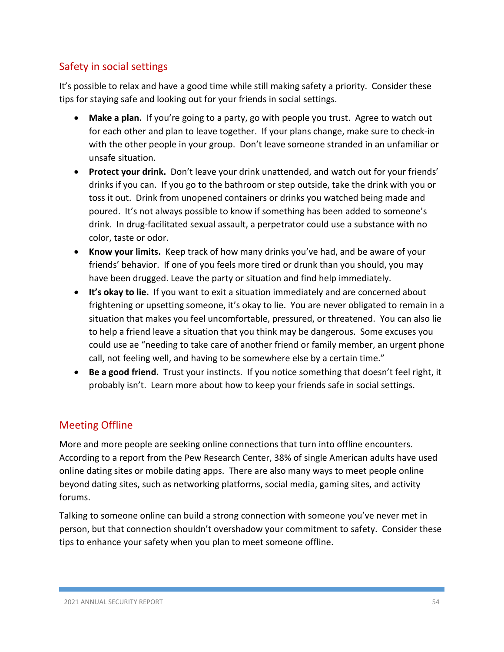## Safety in social settings

It's possible to relax and have a good time while still making safety a priority. Consider these tips for staying safe and looking out for your friends in social settings.

- **Make a plan.** If you're going to a party, go with people you trust. Agree to watch out for each other and plan to leave together. If your plans change, make sure to check-in with the other people in your group. Don't leave someone stranded in an unfamiliar or unsafe situation.
- **Protect your drink.** Don't leave your drink unattended, and watch out for your friends' drinks if you can. If you go to the bathroom or step outside, take the drink with you or toss it out. Drink from unopened containers or drinks you watched being made and poured. It's not always possible to know if something has been added to someone's drink. In drug-facilitated sexual assault, a perpetrator could use a substance with no color, taste or odor.
- **Know your limits.** Keep track of how many drinks you've had, and be aware of your friends' behavior. If one of you feels more tired or drunk than you should, you may have been drugged. Leave the party or situation and find help immediately.
- **It's okay to lie.** If you want to exit a situation immediately and are concerned about frightening or upsetting someone, it's okay to lie. You are never obligated to remain in a situation that makes you feel uncomfortable, pressured, or threatened. You can also lie to help a friend leave a situation that you think may be dangerous. Some excuses you could use ae "needing to take care of another friend or family member, an urgent phone call, not feeling well, and having to be somewhere else by a certain time."
- **Be a good friend.** Trust your instincts. If you notice something that doesn't feel right, it probably isn't. Learn more about how to keep your friends safe in social settings.

#### Meeting Offline

More and more people are seeking online connections that turn into offline encounters. According to a report from the Pew Research Center, 38% of single American adults have used online dating sites or mobile dating apps. There are also many ways to meet people online beyond dating sites, such as networking platforms, social media, gaming sites, and activity forums.

Talking to someone online can build a strong connection with someone you've never met in person, but that connection shouldn't overshadow your commitment to safety. Consider these tips to enhance your safety when you plan to meet someone offline.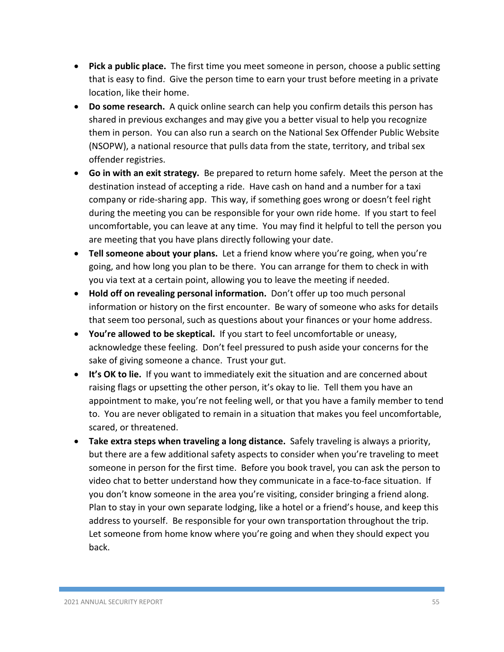- **Pick a public place.** The first time you meet someone in person, choose a public setting that is easy to find. Give the person time to earn your trust before meeting in a private location, like their home.
- **Do some research.** A quick online search can help you confirm details this person has shared in previous exchanges and may give you a better visual to help you recognize them in person. You can also run a search on the National Sex Offender Public Website (NSOPW), a national resource that pulls data from the state, territory, and tribal sex offender registries.
- **Go in with an exit strategy.** Be prepared to return home safely. Meet the person at the destination instead of accepting a ride. Have cash on hand and a number for a taxi company or ride-sharing app. This way, if something goes wrong or doesn't feel right during the meeting you can be responsible for your own ride home. If you start to feel uncomfortable, you can leave at any time. You may find it helpful to tell the person you are meeting that you have plans directly following your date.
- **Tell someone about your plans.** Let a friend know where you're going, when you're going, and how long you plan to be there. You can arrange for them to check in with you via text at a certain point, allowing you to leave the meeting if needed.
- **Hold off on revealing personal information.** Don't offer up too much personal information or history on the first encounter. Be wary of someone who asks for details that seem too personal, such as questions about your finances or your home address.
- **You're allowed to be skeptical.** If you start to feel uncomfortable or uneasy, acknowledge these feeling. Don't feel pressured to push aside your concerns for the sake of giving someone a chance. Trust your gut.
- **It's OK to lie.** If you want to immediately exit the situation and are concerned about raising flags or upsetting the other person, it's okay to lie. Tell them you have an appointment to make, you're not feeling well, or that you have a family member to tend to. You are never obligated to remain in a situation that makes you feel uncomfortable, scared, or threatened.
- **Take extra steps when traveling a long distance.** Safely traveling is always a priority, but there are a few additional safety aspects to consider when you're traveling to meet someone in person for the first time. Before you book travel, you can ask the person to video chat to better understand how they communicate in a face-to-face situation. If you don't know someone in the area you're visiting, consider bringing a friend along. Plan to stay in your own separate lodging, like a hotel or a friend's house, and keep this address to yourself. Be responsible for your own transportation throughout the trip. Let someone from home know where you're going and when they should expect you back.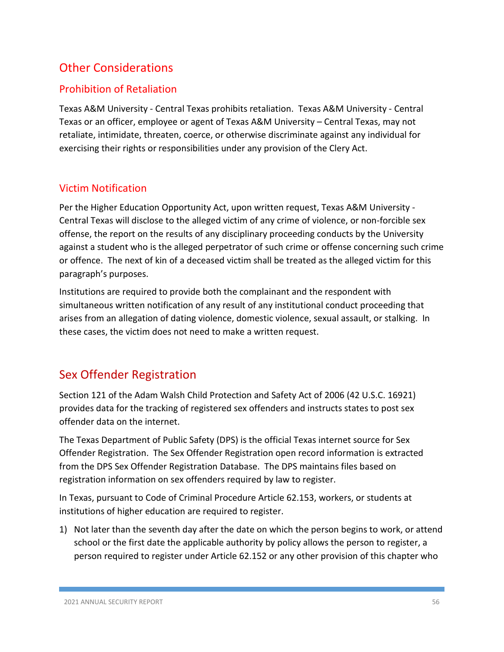# Other Considerations

#### Prohibition of Retaliation

Texas A&M University - Central Texas prohibits retaliation. Texas A&M University - Central Texas or an officer, employee or agent of Texas A&M University – Central Texas, may not retaliate, intimidate, threaten, coerce, or otherwise discriminate against any individual for exercising their rights or responsibilities under any provision of the Clery Act.

#### Victim Notification

Per the Higher Education Opportunity Act, upon written request, Texas A&M University - Central Texas will disclose to the alleged victim of any crime of violence, or non-forcible sex offense, the report on the results of any disciplinary proceeding conducts by the University against a student who is the alleged perpetrator of such crime or offense concerning such crime or offence. The next of kin of a deceased victim shall be treated as the alleged victim for this paragraph's purposes.

Institutions are required to provide both the complainant and the respondent with simultaneous written notification of any result of any institutional conduct proceeding that arises from an allegation of dating violence, domestic violence, sexual assault, or stalking. In these cases, the victim does not need to make a written request.

# Sex Offender Registration

Section 121 of the Adam Walsh Child Protection and Safety Act of 2006 (42 U.S.C. 16921) provides data for the tracking of registered sex offenders and instructs states to post sex offender data on the internet.

The Texas Department of Public Safety (DPS) is the official Texas internet source for Sex Offender Registration. The Sex Offender Registration open record information is extracted from the DPS Sex Offender Registration Database. The DPS maintains files based on registration information on sex offenders required by law to register.

In Texas, pursuant to Code of Criminal Procedure Article 62.153, workers, or students at institutions of higher education are required to register.

1) Not later than the seventh day after the date on which the person begins to work, or attend school or the first date the applicable authority by policy allows the person to register, a person required to register under Article 62.152 or any other provision of this chapter who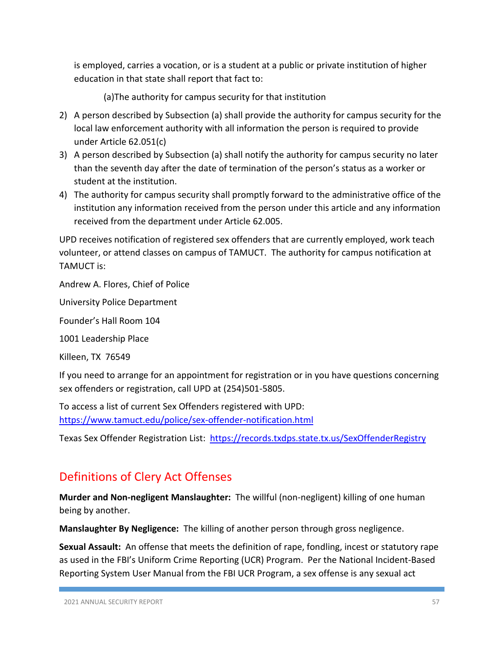is employed, carries a vocation, or is a student at a public or private institution of higher education in that state shall report that fact to:

(a)The authority for campus security for that institution

- 2) A person described by Subsection (a) shall provide the authority for campus security for the local law enforcement authority with all information the person is required to provide under Article 62.051(c)
- 3) A person described by Subsection (a) shall notify the authority for campus security no later than the seventh day after the date of termination of the person's status as a worker or student at the institution.
- 4) The authority for campus security shall promptly forward to the administrative office of the institution any information received from the person under this article and any information received from the department under Article 62.005.

UPD receives notification of registered sex offenders that are currently employed, work teach volunteer, or attend classes on campus of TAMUCT. The authority for campus notification at TAMUCT is:

Andrew A. Flores, Chief of Police

University Police Department

Founder's Hall Room 104

1001 Leadership Place

Killeen, TX 76549

If you need to arrange for an appointment for registration or in you have questions concerning sex offenders or registration, call UPD at (254)501-5805.

To access a list of current Sex Offenders registered with UPD: <https://www.tamuct.edu/police/sex-offender-notification.html>

Texas Sex Offender Registration List: <https://records.txdps.state.tx.us/SexOffenderRegistry>

# Definitions of Clery Act Offenses

**Murder and Non-negligent Manslaughter:** The willful (non-negligent) killing of one human being by another.

**Manslaughter By Negligence:** The killing of another person through gross negligence.

**Sexual Assault:** An offense that meets the definition of rape, fondling, incest or statutory rape as used in the FBI's Uniform Crime Reporting (UCR) Program. Per the National Incident-Based Reporting System User Manual from the FBI UCR Program, a sex offense is any sexual act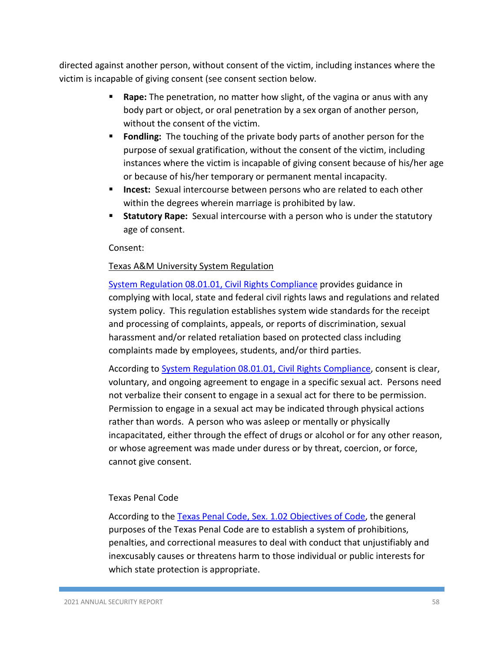directed against another person, without consent of the victim, including instances where the victim is incapable of giving consent (see consent section below.

- **Rape:** The penetration, no matter how slight, of the vagina or anus with any body part or object, or oral penetration by a sex organ of another person, without the consent of the victim.
- **Fondling:** The touching of the private body parts of another person for the purpose of sexual gratification, without the consent of the victim, including instances where the victim is incapable of giving consent because of his/her age or because of his/her temporary or permanent mental incapacity.
- **Incest:** Sexual intercourse between persons who are related to each other within the degrees wherein marriage is prohibited by law.
- **Statutory Rape:** Sexual intercourse with a person who is under the statutory age of consent.

Consent:

#### Texas A&M University System Regulation

[System Regulation 08.01.01, Civil Rights Compliance](https://policies.tamus.edu/08-01-01.pdf) provides guidance in complying with local, state and federal civil rights laws and regulations and related system policy. This regulation establishes system wide standards for the receipt and processing of complaints, appeals, or reports of discrimination, sexual harassment and/or related retaliation based on protected class including complaints made by employees, students, and/or third parties.

According to [System Regulation 08.01.01, Civil Rights Compliance,](https://policies.tamus.edu/08-01-01.pdf) consent is clear, voluntary, and ongoing agreement to engage in a specific sexual act. Persons need not verbalize their consent to engage in a sexual act for there to be permission. Permission to engage in a sexual act may be indicated through physical actions rather than words. A person who was asleep or mentally or physically incapacitated, either through the effect of drugs or alcohol or for any other reason, or whose agreement was made under duress or by threat, coercion, or force, cannot give consent.

#### Texas Penal Code

According to the [Texas Penal Code, Sex. 1.02 Objectives of Code,](https://statutes.capitol.texas.gov/docs/PE/htm/PE.1.htm) the general purposes of the Texas Penal Code are to establish a system of prohibitions, penalties, and correctional measures to deal with conduct that unjustifiably and inexcusably causes or threatens harm to those individual or public interests for which state protection is appropriate.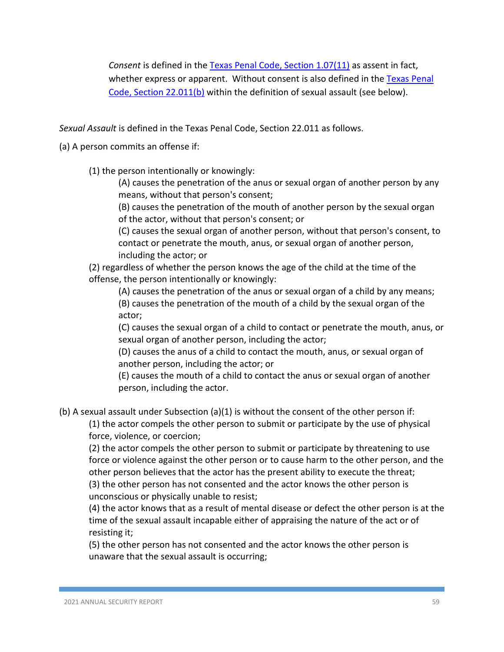*Consent* is defined in the [Texas Penal Code, Section 1.07\(11\)](https://statutes.capitol.texas.gov/docs/PE/htm/PE.1.htm) as assent in fact, whether express or apparent. Without consent is also defined in the Texas Penal [Code, Section 22.011\(b\)](https://statutes.capitol.texas.gov/docs/PE/htm/PE.1.htm) within the definition of sexual assault (see below).

*Sexual Assault* is defined in the Texas Penal Code, Section 22.011 as follows.

(a) A person commits an offense if:

(1) the person intentionally or knowingly:

(A) causes the penetration of the anus or sexual organ of another person by any means, without that person's consent;

(B) causes the penetration of the mouth of another person by the sexual organ of the actor, without that person's consent; or

(C) causes the sexual organ of another person, without that person's consent, to contact or penetrate the mouth, anus, or sexual organ of another person, including the actor; or

(2) regardless of whether the person knows the age of the child at the time of the offense, the person intentionally or knowingly:

(A) causes the penetration of the anus or sexual organ of a child by any means; (B) causes the penetration of the mouth of a child by the sexual organ of the actor;

(C) causes the sexual organ of a child to contact or penetrate the mouth, anus, or sexual organ of another person, including the actor;

(D) causes the anus of a child to contact the mouth, anus, or sexual organ of another person, including the actor; or

(E) causes the mouth of a child to contact the anus or sexual organ of another person, including the actor.

(b) A sexual assault under Subsection (a)(1) is without the consent of the other person if:

(1) the actor compels the other person to submit or participate by the use of physical force, violence, or coercion;

(2) the actor compels the other person to submit or participate by threatening to use force or violence against the other person or to cause harm to the other person, and the other person believes that the actor has the present ability to execute the threat;

(3) the other person has not consented and the actor knows the other person is unconscious or physically unable to resist;

(4) the actor knows that as a result of mental disease or defect the other person is at the time of the sexual assault incapable either of appraising the nature of the act or of resisting it;

(5) the other person has not consented and the actor knows the other person is unaware that the sexual assault is occurring;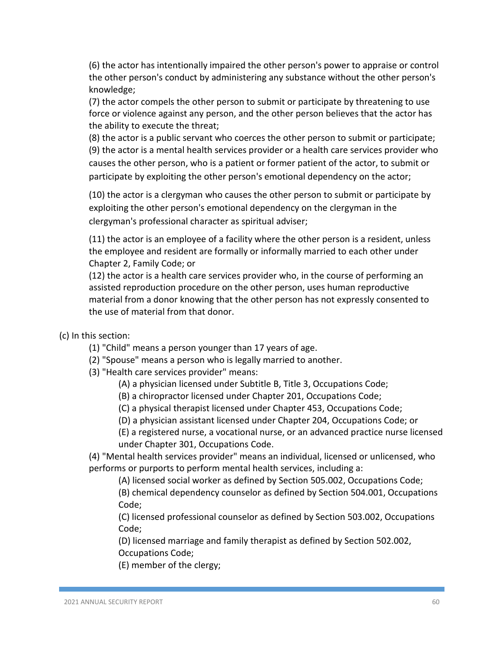(6) the actor has intentionally impaired the other person's power to appraise or control the other person's conduct by administering any substance without the other person's knowledge;

(7) the actor compels the other person to submit or participate by threatening to use force or violence against any person, and the other person believes that the actor has the ability to execute the threat;

(8) the actor is a public servant who coerces the other person to submit or participate; (9) the actor is a mental health services provider or a health care services provider who causes the other person, who is a patient or former patient of the actor, to submit or participate by exploiting the other person's emotional dependency on the actor;

(10) the actor is a clergyman who causes the other person to submit or participate by exploiting the other person's emotional dependency on the clergyman in the clergyman's professional character as spiritual adviser;

(11) the actor is an employee of a facility where the other person is a resident, unless the employee and resident are formally or informally married to each other under Chapter 2, Family Code; or

(12) the actor is a health care services provider who, in the course of performing an assisted reproduction procedure on the other person, uses human reproductive material from a donor knowing that the other person has not expressly consented to the use of material from that donor.

(c) In this section:

- (1) "Child" means a person younger than 17 years of age.
- (2) "Spouse" means a person who is legally married to another.
- (3) "Health care services provider" means:
	- (A) a physician licensed under Subtitle B, Title 3, Occupations Code;
	- (B) a chiropractor licensed under Chapter 201, Occupations Code;
	- (C) a physical therapist licensed under Chapter 453, Occupations Code;
	- (D) a physician assistant licensed under Chapter 204, Occupations Code; or
	- (E) a registered nurse, a vocational nurse, or an advanced practice nurse licensed under Chapter 301, Occupations Code.

(4) "Mental health services provider" means an individual, licensed or unlicensed, who performs or purports to perform mental health services, including a:

(A) licensed social worker as defined by Section 505.002, Occupations Code; (B) chemical dependency counselor as defined by Section 504.001, Occupations Code;

(C) licensed professional counselor as defined by Section 503.002, Occupations Code;

(D) licensed marriage and family therapist as defined by Section 502.002, Occupations Code;

(E) member of the clergy;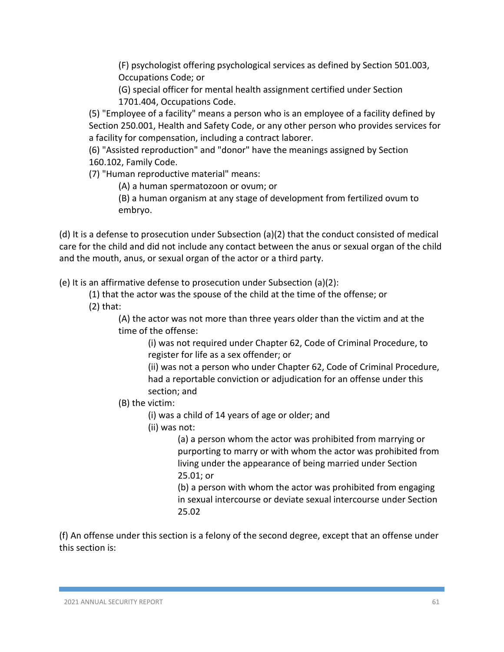(F) psychologist offering psychological services as defined by Section 501.003, Occupations Code; or

(G) special officer for mental health assignment certified under Section 1701.404, Occupations Code.

(5) "Employee of a facility" means a person who is an employee of a facility defined by Section 250.001, Health and Safety Code, or any other person who provides services for a facility for compensation, including a contract laborer.

(6) "Assisted reproduction" and "donor" have the meanings assigned by Section 160.102, Family Code.

(7) "Human reproductive material" means:

(A) a human spermatozoon or ovum; or

(B) a human organism at any stage of development from fertilized ovum to embryo.

(d) It is a defense to prosecution under Subsection (a)(2) that the conduct consisted of medical care for the child and did not include any contact between the anus or sexual organ of the child and the mouth, anus, or sexual organ of the actor or a third party.

(e) It is an affirmative defense to prosecution under Subsection (a)(2):

- (1) that the actor was the spouse of the child at the time of the offense; or
- (2) that:

(A) the actor was not more than three years older than the victim and at the time of the offense:

(i) was not required under Chapter 62, Code of Criminal Procedure, to register for life as a sex offender; or

(ii) was not a person who under Chapter 62, Code of Criminal Procedure, had a reportable conviction or adjudication for an offense under this section; and

(B) the victim:

(i) was a child of 14 years of age or older; and

(ii) was not:

(a) a person whom the actor was prohibited from marrying or purporting to marry or with whom the actor was prohibited from living under the appearance of being married under Section 25.01; or

(b) a person with whom the actor was prohibited from engaging in sexual intercourse or deviate sexual intercourse under Section 25.02

(f) An offense under this section is a felony of the second degree, except that an offense under this section is: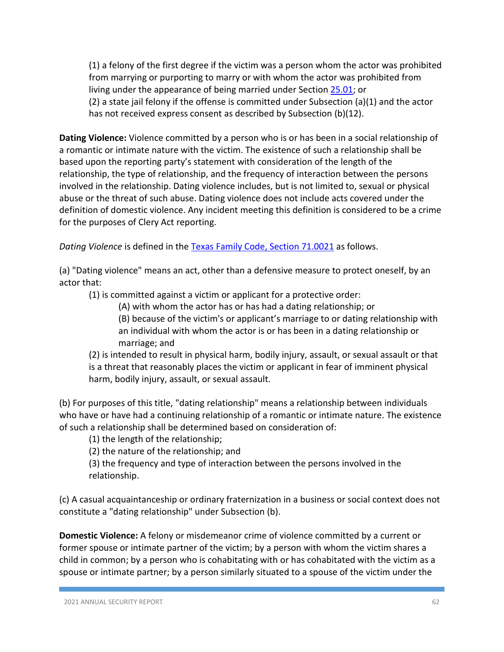(1) a felony of the first degree if the victim was a person whom the actor was prohibited from marrying or purporting to marry or with whom the actor was prohibited from living under the appearance of being married under Section [25.01;](https://statutes.capitol.texas.gov/Docs/PE/htm/PE.25.htm#25.01) or (2) a state jail felony if the offense is committed under Subsection (a)(1) and the actor has not received express consent as described by Subsection (b)(12).

**Dating Violence:** Violence committed by a person who is or has been in a social relationship of a romantic or intimate nature with the victim. The existence of such a relationship shall be based upon the reporting party's statement with consideration of the length of the relationship, the type of relationship, and the frequency of interaction between the persons involved in the relationship. Dating violence includes, but is not limited to, sexual or physical abuse or the threat of such abuse. Dating violence does not include acts covered under the definition of domestic violence. Any incident meeting this definition is considered to be a crime for the purposes of Clery Act reporting.

*Dating Violence* is defined in the [Texas Family Code, Section 71.0021](https://statutes.capitol.texas.gov/docs/FA/htm/FA.71.htm) as follows.

(a) "Dating violence" means an act, other than a defensive measure to protect oneself, by an actor that:

(1) is committed against a victim or applicant for a protective order:

(A) with whom the actor has or has had a dating relationship; or

(B) because of the victim's or applicant's marriage to or dating relationship with an individual with whom the actor is or has been in a dating relationship or marriage; and

(2) is intended to result in physical harm, bodily injury, assault, or sexual assault or that is a threat that reasonably places the victim or applicant in fear of imminent physical harm, bodily injury, assault, or sexual assault.

(b) For purposes of this title, "dating relationship" means a relationship between individuals who have or have had a continuing relationship of a romantic or intimate nature. The existence of such a relationship shall be determined based on consideration of:

(1) the length of the relationship;

(2) the nature of the relationship; and

(3) the frequency and type of interaction between the persons involved in the relationship.

(c) A casual acquaintanceship or ordinary fraternization in a business or social context does not constitute a "dating relationship" under Subsection (b).

**Domestic Violence:** A felony or misdemeanor crime of violence committed by a current or former spouse or intimate partner of the victim; by a person with whom the victim shares a child in common; by a person who is cohabitating with or has cohabitated with the victim as a spouse or intimate partner; by a person similarly situated to a spouse of the victim under the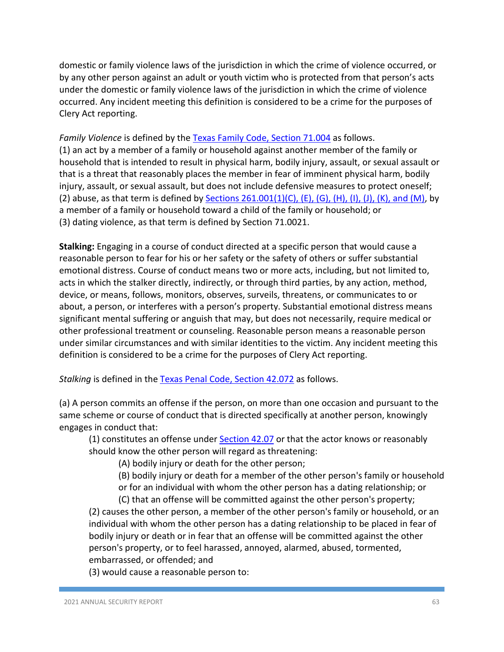domestic or family violence laws of the jurisdiction in which the crime of violence occurred, or by any other person against an adult or youth victim who is protected from that person's acts under the domestic or family violence laws of the jurisdiction in which the crime of violence occurred. Any incident meeting this definition is considered to be a crime for the purposes of Clery Act reporting.

*Family Violence* is defined by the [Texas Family Code, Section 71.004](https://statutes.capitol.texas.gov/docs/FA/htm/FA.71.htm) as follows. (1) an act by a member of a family or household against another member of the family or household that is intended to result in physical harm, bodily injury, assault, or sexual assault or that is a threat that reasonably places the member in fear of imminent physical harm, bodily injury, assault, or sexual assault, but does not include defensive measures to protect oneself; (2) abuse, as that term is defined by [Sections 261.001\(1\)\(C\), \(E\), \(G\), \(H\), \(I\), \(J\), \(K\), and \(M\),](https://statutes.capitol.texas.gov/Docs/FA/htm/FA.261.htm) by a member of a family or household toward a child of the family or household; or (3) dating violence, as that term is defined by Section 71.0021.

**Stalking:** Engaging in a course of conduct directed at a specific person that would cause a reasonable person to fear for his or her safety or the safety of others or suffer substantial emotional distress. Course of conduct means two or more acts, including, but not limited to, acts in which the stalker directly, indirectly, or through third parties, by any action, method, device, or means, follows, monitors, observes, surveils, threatens, or communicates to or about, a person, or interferes with a person's property. Substantial emotional distress means significant mental suffering or anguish that may, but does not necessarily, require medical or other professional treatment or counseling. Reasonable person means a reasonable person under similar circumstances and with similar identities to the victim. Any incident meeting this definition is considered to be a crime for the purposes of Clery Act reporting.

*Stalking* is defined in the [Texas Penal Code, Section 42.072](https://statutes.capitol.texas.gov/docs/PE/htm/PE.42.htm) as follows.

(a) A person commits an offense if the person, on more than one occasion and pursuant to the same scheme or course of conduct that is directed specifically at another person, knowingly engages in conduct that:

(1) constitutes an offense under [Section 42.07](https://statutes.capitol.texas.gov/docs/PE/htm/PE.42.htm) or that the actor knows or reasonably should know the other person will regard as threatening:

(A) bodily injury or death for the other person;

(B) bodily injury or death for a member of the other person's family or household

or for an individual with whom the other person has a dating relationship; or

(C) that an offense will be committed against the other person's property;

(2) causes the other person, a member of the other person's family or household, or an individual with whom the other person has a dating relationship to be placed in fear of bodily injury or death or in fear that an offense will be committed against the other person's property, or to feel harassed, annoyed, alarmed, abused, tormented, embarrassed, or offended; and

(3) would cause a reasonable person to: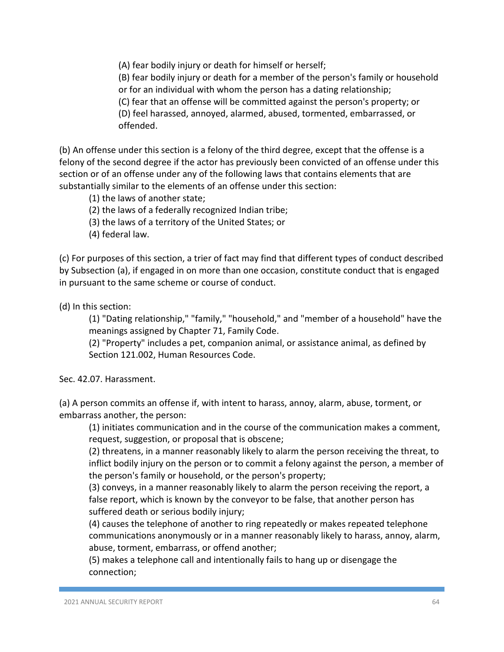(A) fear bodily injury or death for himself or herself;

(B) fear bodily injury or death for a member of the person's family or household or for an individual with whom the person has a dating relationship;

(C) fear that an offense will be committed against the person's property; or

(D) feel harassed, annoyed, alarmed, abused, tormented, embarrassed, or offended.

(b) An offense under this section is a felony of the third degree, except that the offense is a felony of the second degree if the actor has previously been convicted of an offense under this section or of an offense under any of the following laws that contains elements that are substantially similar to the elements of an offense under this section:

(1) the laws of another state;

(2) the laws of a federally recognized Indian tribe;

(3) the laws of a territory of the United States; or

(4) federal law.

(c) For purposes of this section, a trier of fact may find that different types of conduct described by Subsection (a), if engaged in on more than one occasion, constitute conduct that is engaged in pursuant to the same scheme or course of conduct.

(d) In this section:

(1) "Dating relationship," "family," "household," and "member of a household" have the meanings assigned by Chapter 71, Family Code.

(2) "Property" includes a pet, companion animal, or assistance animal, as defined by Section 121.002, Human Resources Code.

Sec. 42.07. Harassment.

(a) A person commits an offense if, with intent to harass, annoy, alarm, abuse, torment, or embarrass another, the person:

(1) initiates communication and in the course of the communication makes a comment, request, suggestion, or proposal that is obscene;

(2) threatens, in a manner reasonably likely to alarm the person receiving the threat, to inflict bodily injury on the person or to commit a felony against the person, a member of the person's family or household, or the person's property;

(3) conveys, in a manner reasonably likely to alarm the person receiving the report, a false report, which is known by the conveyor to be false, that another person has suffered death or serious bodily injury;

(4) causes the telephone of another to ring repeatedly or makes repeated telephone communications anonymously or in a manner reasonably likely to harass, annoy, alarm, abuse, torment, embarrass, or offend another;

(5) makes a telephone call and intentionally fails to hang up or disengage the connection;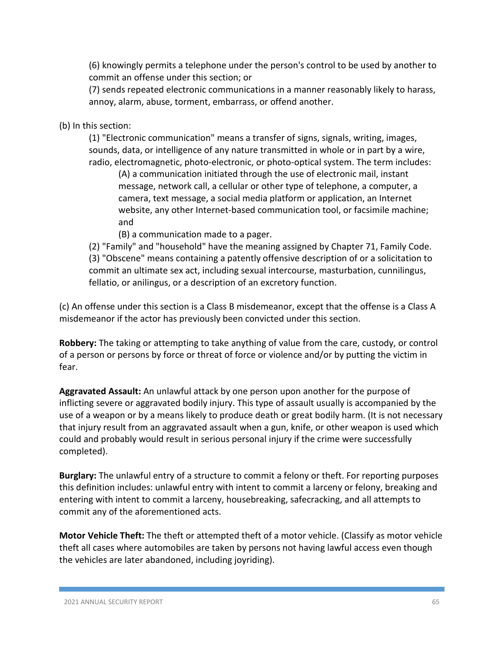(6) knowingly permits a telephone under the person's control to be used by another to commit an offense under this section; or

(7) sends repeated electronic communications in a manner reasonably likely to harass, annoy, alarm, abuse, torment, embarrass, or offend another.

(b) In this section:

(1) "Electronic communication" means a transfer of signs, signals, writing, images, sounds, data, or intelligence of any nature transmitted in whole or in part by a wire, radio, electromagnetic, photo-electronic, or photo-optical system. The term includes:

(A) a communication initiated through the use of electronic mail, instant message, network call, a cellular or other type of telephone, a computer, a camera, text message, a social media platform or application, an Internet website, any other Internet-based communication tool, or facsimile machine; and

(B) a communication made to a pager.

(2) "Family" and "household" have the meaning assigned by Chapter 71, Family Code. (3) "Obscene" means containing a patently offensive description of or a solicitation to commit an ultimate sex act, including sexual intercourse, masturbation, cunnilingus, fellatio, or anilingus, or a description of an excretory function.

(c) An offense under this section is a Class B misdemeanor, except that the offense is a Class A misdemeanor if the actor has previously been convicted under this section.

**Robbery:** The taking or attempting to take anything of value from the care, custody, or control of a person or persons by force or threat of force or violence and/or by putting the victim in fear.

**Aggravated Assault:** An unlawful attack by one person upon another for the purpose of inflicting severe or aggravated bodily injury. This type of assault usually is accompanied by the use of a weapon or by a means likely to produce death or great bodily harm. (It is not necessary that injury result from an aggravated assault when a gun, knife, or other weapon is used which could and probably would result in serious personal injury if the crime were successfully completed).

**Burglary:** The unlawful entry of a structure to commit a felony or theft. For reporting purposes this definition includes: unlawful entry with intent to commit a larceny or felony, breaking and entering with intent to commit a larceny, housebreaking, safecracking, and all attempts to commit any of the aforementioned acts.

**Motor Vehicle Theft:** The theft or attempted theft of a motor vehicle. (Classify as motor vehicle theft all cases where automobiles are taken by persons not having lawful access even though the vehicles are later abandoned, including joyriding).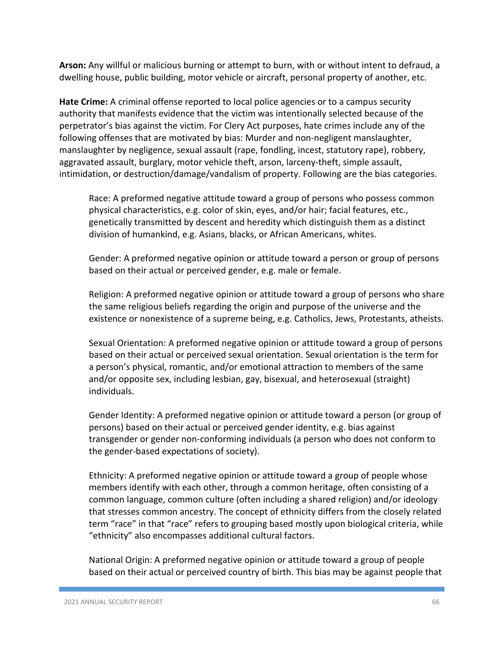**Arson:** Any willful or malicious burning or attempt to burn, with or without intent to defraud, a dwelling house, public building, motor vehicle or aircraft, personal property of another, etc.

**Hate Crime:** A criminal offense reported to local police agencies or to a campus security authority that manifests evidence that the victim was intentionally selected because of the perpetrator's bias against the victim. For Clery Act purposes, hate crimes include any of the following offenses that are motivated by bias: Murder and non-negligent manslaughter, manslaughter by negligence, sexual assault (rape, fondling, incest, statutory rape), robbery, aggravated assault, burglary, motor vehicle theft, arson, larceny-theft, simple assault, intimidation, or destruction/damage/vandalism of property. Following are the bias categories.

Race: A preformed negative attitude toward a group of persons who possess common physical characteristics, e.g. color of skin, eyes, and/or hair; facial features, etc., genetically transmitted by descent and heredity which distinguish them as a distinct division of humankind, e.g. Asians, blacks, or African Americans, whites.

Gender: A preformed negative opinion or attitude toward a person or group of persons based on their actual or perceived gender, e.g. male or female.

Religion: A preformed negative opinion or attitude toward a group of persons who share the same religious beliefs regarding the origin and purpose of the universe and the existence or nonexistence of a supreme being, e.g. Catholics, Jews, Protestants, atheists.

Sexual Orientation: A preformed negative opinion or attitude toward a group of persons based on their actual or perceived sexual orientation. Sexual orientation is the term for a person's physical, romantic, and/or emotional attraction to members of the same and/or opposite sex, including lesbian, gay, bisexual, and heterosexual (straight) individuals.

Gender Identity: A preformed negative opinion or attitude toward a person (or group of persons) based on their actual or perceived gender identity, e.g. bias against transgender or gender non-conforming individuals (a person who does not conform to the gender-based expectations of society).

Ethnicity: A preformed negative opinion or attitude toward a group of people whose members identify with each other, through a common heritage, often consisting of a common language, common culture (often including a shared religion) and/or ideology that stresses common ancestry. The concept of ethnicity differs from the closely related term "race" in that "race" refers to grouping based mostly upon biological criteria, while "ethnicity" also encompasses additional cultural factors.

National Origin: A preformed negative opinion or attitude toward a group of people based on their actual or perceived country of birth. This bias may be against people that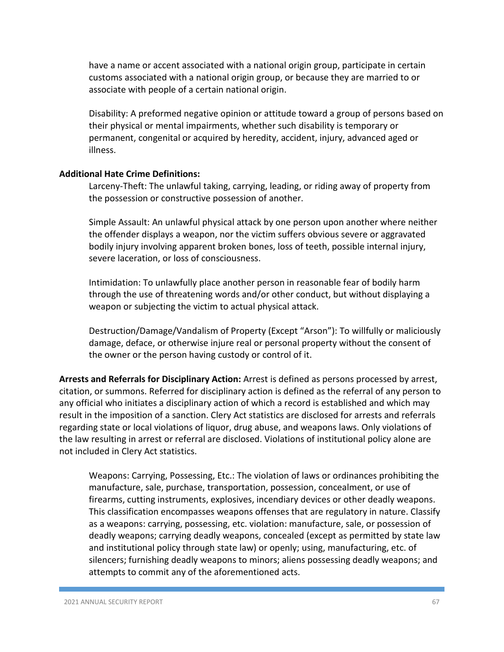have a name or accent associated with a national origin group, participate in certain customs associated with a national origin group, or because they are married to or associate with people of a certain national origin.

Disability: A preformed negative opinion or attitude toward a group of persons based on their physical or mental impairments, whether such disability is temporary or permanent, congenital or acquired by heredity, accident, injury, advanced aged or illness.

#### **Additional Hate Crime Definitions:**

Larceny-Theft: The unlawful taking, carrying, leading, or riding away of property from the possession or constructive possession of another.

Simple Assault: An unlawful physical attack by one person upon another where neither the offender displays a weapon, nor the victim suffers obvious severe or aggravated bodily injury involving apparent broken bones, loss of teeth, possible internal injury, severe laceration, or loss of consciousness.

Intimidation: To unlawfully place another person in reasonable fear of bodily harm through the use of threatening words and/or other conduct, but without displaying a weapon or subjecting the victim to actual physical attack.

Destruction/Damage/Vandalism of Property (Except "Arson"): To willfully or maliciously damage, deface, or otherwise injure real or personal property without the consent of the owner or the person having custody or control of it.

**Arrests and Referrals for Disciplinary Action:** Arrest is defined as persons processed by arrest, citation, or summons. Referred for disciplinary action is defined as the referral of any person to any official who initiates a disciplinary action of which a record is established and which may result in the imposition of a sanction. Clery Act statistics are disclosed for arrests and referrals regarding state or local violations of liquor, drug abuse, and weapons laws. Only violations of the law resulting in arrest or referral are disclosed. Violations of institutional policy alone are not included in Clery Act statistics.

Weapons: Carrying, Possessing, Etc.: The violation of laws or ordinances prohibiting the manufacture, sale, purchase, transportation, possession, concealment, or use of firearms, cutting instruments, explosives, incendiary devices or other deadly weapons. This classification encompasses weapons offenses that are regulatory in nature. Classify as a weapons: carrying, possessing, etc. violation: manufacture, sale, or possession of deadly weapons; carrying deadly weapons, concealed (except as permitted by state law and institutional policy through state law) or openly; using, manufacturing, etc. of silencers; furnishing deadly weapons to minors; aliens possessing deadly weapons; and attempts to commit any of the aforementioned acts.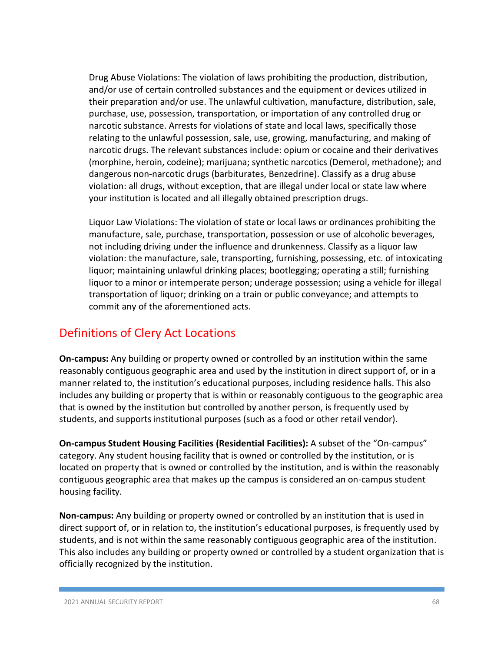Drug Abuse Violations: The violation of laws prohibiting the production, distribution, and/or use of certain controlled substances and the equipment or devices utilized in their preparation and/or use. The unlawful cultivation, manufacture, distribution, sale, purchase, use, possession, transportation, or importation of any controlled drug or narcotic substance. Arrests for violations of state and local laws, specifically those relating to the unlawful possession, sale, use, growing, manufacturing, and making of narcotic drugs. The relevant substances include: opium or cocaine and their derivatives (morphine, heroin, codeine); marijuana; synthetic narcotics (Demerol, methadone); and dangerous non-narcotic drugs (barbiturates, Benzedrine). Classify as a drug abuse violation: all drugs, without exception, that are illegal under local or state law where your institution is located and all illegally obtained prescription drugs.

Liquor Law Violations: The violation of state or local laws or ordinances prohibiting the manufacture, sale, purchase, transportation, possession or use of alcoholic beverages, not including driving under the influence and drunkenness. Classify as a liquor law violation: the manufacture, sale, transporting, furnishing, possessing, etc. of intoxicating liquor; maintaining unlawful drinking places; bootlegging; operating a still; furnishing liquor to a minor or intemperate person; underage possession; using a vehicle for illegal transportation of liquor; drinking on a train or public conveyance; and attempts to commit any of the aforementioned acts.

# Definitions of Clery Act Locations

**On-campus:** Any building or property owned or controlled by an institution within the same reasonably contiguous geographic area and used by the institution in direct support of, or in a manner related to, the institution's educational purposes, including residence halls. This also includes any building or property that is within or reasonably contiguous to the geographic area that is owned by the institution but controlled by another person, is frequently used by students, and supports institutional purposes (such as a food or other retail vendor).

**On-campus Student Housing Facilities (Residential Facilities):** A subset of the "On-campus" category. Any student housing facility that is owned or controlled by the institution, or is located on property that is owned or controlled by the institution, and is within the reasonably contiguous geographic area that makes up the campus is considered an on-campus student housing facility.

**Non-campus:** Any building or property owned or controlled by an institution that is used in direct support of, or in relation to, the institution's educational purposes, is frequently used by students, and is not within the same reasonably contiguous geographic area of the institution. This also includes any building or property owned or controlled by a student organization that is officially recognized by the institution.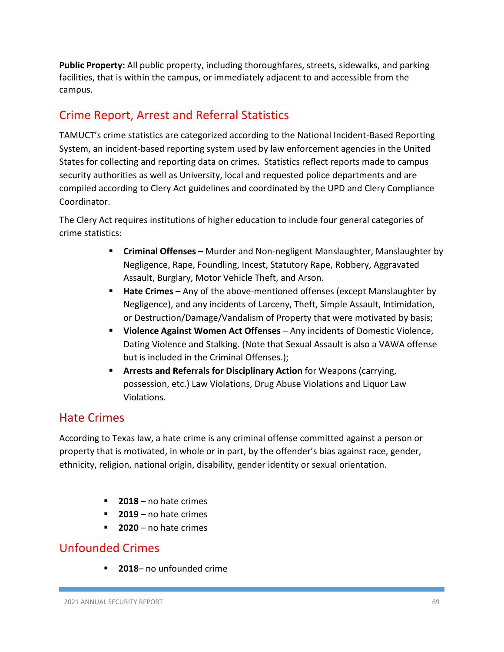**Public Property:** All public property, including thoroughfares, streets, sidewalks, and parking facilities, that is within the campus, or immediately adjacent to and accessible from the campus.

# Crime Report, Arrest and Referral Statistics

TAMUCT's crime statistics are categorized according to the National Incident-Based Reporting System, an incident-based reporting system used by law enforcement agencies in the United States for collecting and reporting data on crimes. Statistics reflect reports made to campus security authorities as well as University, local and requested police departments and are compiled according to Clery Act guidelines and coordinated by the UPD and Clery Compliance Coordinator.

The Clery Act requires institutions of higher education to include four general categories of crime statistics:

- **Criminal Offenses** Murder and Non-negligent Manslaughter, Manslaughter by Negligence, Rape, Foundling, Incest, Statutory Rape, Robbery, Aggravated Assault, Burglary, Motor Vehicle Theft, and Arson.
- **Hate Crimes**  Any of the above-mentioned offenses (except Manslaughter by Negligence), and any incidents of Larceny, Theft, Simple Assault, Intimidation, or Destruction/Damage/Vandalism of Property that were motivated by basis;
- **Violence Against Women Act Offenses**  Any incidents of Domestic Violence, Dating Violence and Stalking. (Note that Sexual Assault is also a VAWA offense but is included in the Criminal Offenses.);
- **Arrests and Referrals for Disciplinary Action** for Weapons (carrying, possession, etc.) Law Violations, Drug Abuse Violations and Liquor Law Violations.

## Hate Crimes

According to Texas law, a hate crime is any criminal offense committed against a person or property that is motivated, in whole or in part, by the offender's bias against race, gender, ethnicity, religion, national origin, disability, gender identity or sexual orientation.

- **2018** no hate crimes
- **2019** no hate crimes
- **2020** no hate crimes

# Unfounded Crimes

**2018**– no unfounded crime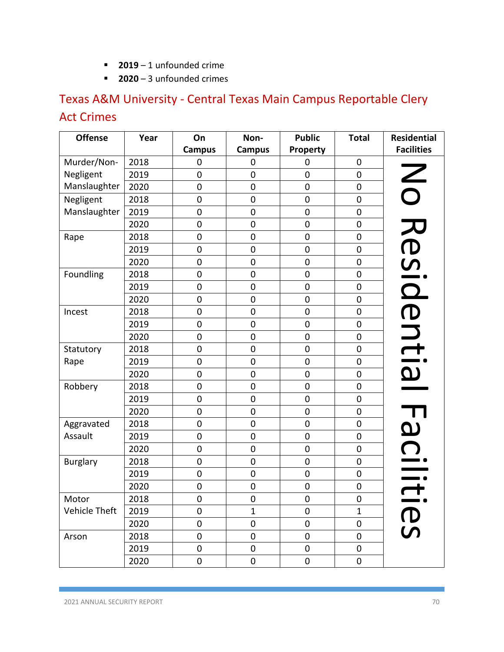- **2019** 1 unfounded crime
- **2020** 3 unfounded crimes

# Texas A&M University - Central Texas Main Campus Reportable Clery Act Crimes

| <b>Offense</b>  | Year | On            | Non-             | <b>Public</b> | <b>Total</b>        | <b>Residential</b>    |
|-----------------|------|---------------|------------------|---------------|---------------------|-----------------------|
|                 |      | <b>Campus</b> | <b>Campus</b>    | Property      |                     | <b>Facilities</b>     |
| Murder/Non-     | 2018 | 0             | 0                | 0             | 0                   |                       |
| Negligent       | 2019 | 0             | 0                | 0             | 0                   |                       |
| Manslaughter    | 2020 | 0             | 0                | 0             | 0                   | $\mathsf{Z}$          |
| Negligent       | 2018 | $\mathbf 0$   | 0                | 0             | $\pmb{0}$           |                       |
| Manslaughter    | 2019 | $\mathbf 0$   | $\mathbf 0$      | $\mathbf 0$   | 0                   |                       |
|                 | 2020 | 0             | $\mathbf 0$      | $\mathbf 0$   | $\pmb{0}$           | Resid                 |
| Rape            | 2018 | $\mathbf 0$   | $\mathbf 0$      | $\mathbf 0$   | 0                   |                       |
|                 | 2019 | $\mathbf 0$   | $\mathbf 0$      | 0             | 0                   |                       |
|                 | 2020 | $\mathbf 0$   | $\mathbf 0$      | $\mathbf 0$   | 0                   |                       |
| Foundling       | 2018 | $\mathbf 0$   | $\pmb{0}$        | 0             | $\pmb{0}$           |                       |
|                 | 2019 | $\mathbf 0$   | $\mathbf 0$      | $\mathbf 0$   | $\pmb{0}$           |                       |
|                 | 2020 | 0             | $\boldsymbol{0}$ | 0             | 0                   |                       |
| Incest          | 2018 | $\mathbf 0$   | $\mathbf 0$      | $\mathbf 0$   | $\pmb{0}$           | ential                |
|                 | 2019 | $\mathbf 0$   | $\boldsymbol{0}$ | 0             | $\pmb{0}$           |                       |
|                 | 2020 | $\mathbf 0$   | $\pmb{0}$        | $\pmb{0}$     | $\pmb{0}$           |                       |
| Statutory       | 2018 | $\mathbf 0$   | $\boldsymbol{0}$ | $\mathbf 0$   | $\pmb{0}$           |                       |
| Rape            | 2019 | $\mathbf 0$   | $\mathbf 0$      | $\mathbf 0$   | $\pmb{0}$           |                       |
|                 | 2020 | $\mathbf 0$   | $\boldsymbol{0}$ | $\mathbf 0$   | $\mathsf{O}\xspace$ |                       |
| Robbery         | 2018 | $\mathbf 0$   | $\pmb{0}$        | 0             | $\mathsf{O}\xspace$ |                       |
|                 | 2019 | $\mathbf 0$   | $\mathbf 0$      | 0             | 0                   |                       |
|                 | 2020 | 0             | 0                | $\mathbf 0$   | $\pmb{0}$           |                       |
| Aggravated      | 2018 | 0             | 0                | $\mathbf 0$   | 0                   |                       |
| Assault         | 2019 | 0             | $\mathbf 0$      | 0             | $\mathsf{O}\xspace$ | $\boldsymbol{\omega}$ |
|                 | 2020 | $\mathbf 0$   | $\mathbf 0$      | 0             | 0                   |                       |
| <b>Burglary</b> | 2018 | $\mathbf 0$   | $\mathbf 0$      | $\mathbf 0$   | $\mathsf{O}\xspace$ |                       |
|                 | 2019 | $\mathbf 0$   | $\mathbf 0$      | $\mathbf 0$   | 0                   |                       |
|                 | 2020 | 0             | $\mathbf 0$      | $\pmb{0}$     | $\pmb{0}$           |                       |
| Motor           | 2018 | $\pmb{0}$     | 0                | $\pmb{0}$     | 0                   |                       |
| Vehicle Theft   | 2019 | $\mathbf 0$   | $\mathbf{1}$     | 0             | 1                   |                       |
|                 | 2020 | $\mathbf 0$   | $\boldsymbol{0}$ | $\mathbf 0$   | 0                   | <b>D</b>              |
| Arson           | 2018 | $\mathbf 0$   | 0                | 0             | 0                   |                       |
|                 | 2019 | $\pmb{0}$     | 0                | 0             | $\pmb{0}$           |                       |
|                 | 2020 | $\pmb{0}$     | $\pmb{0}$        | 0             | 0                   |                       |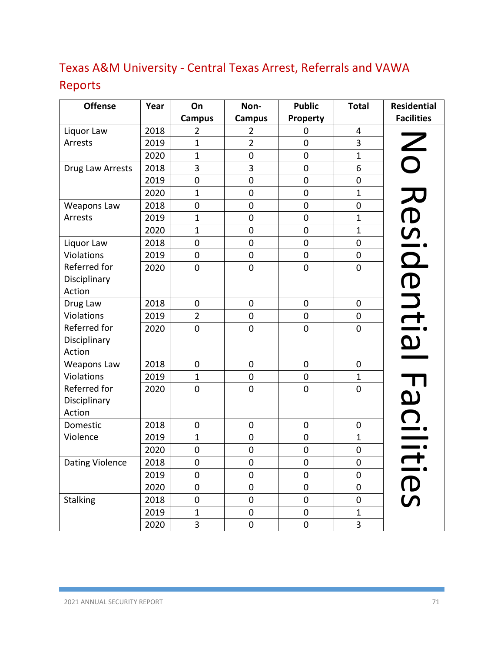# Texas A&M University - Central Texas Arrest, Referrals and VAWA

# Reports

| <b>Offense</b>         | Year | On               | Non-           | <b>Public</b>  | <b>Total</b>     | <b>Residential</b>       |
|------------------------|------|------------------|----------------|----------------|------------------|--------------------------|
|                        |      | <b>Campus</b>    | <b>Campus</b>  | Property       |                  | <b>Facilities</b>        |
| Liquor Law             | 2018 | $\overline{2}$   | $\overline{2}$ | 0              | 4                |                          |
| Arrests                | 2019 | $\mathbf{1}$     | $\overline{2}$ | $\mathbf 0$    | 3                | $\overline{\mathcal{S}}$ |
|                        | 2020 | $\mathbf{1}$     | $\overline{0}$ | $\overline{0}$ | $\mathbf{1}$     |                          |
| Drug Law Arrests       | 2018 | 3                | 3              | $\mathbf 0$    | 6                |                          |
|                        | 2019 | $\mathbf 0$      | $\mathbf 0$    | $\mathbf 0$    | $\mathbf 0$      |                          |
|                        | 2020 | $\mathbf{1}$     | $\pmb{0}$      | $\pmb{0}$      | $\mathbf{1}$     | Resid                    |
| Weapons Law            | 2018 | $\pmb{0}$        | $\mathbf 0$    | $\mathbf 0$    | $\mathbf 0$      |                          |
| Arrests                | 2019 | $\mathbf{1}$     | $\mathbf 0$    | $\mathbf 0$    | $\mathbf{1}$     |                          |
|                        | 2020 | $\mathbf{1}$     | $\mathbf 0$    | $\mathbf 0$    | $\mathbf{1}$     |                          |
| Liquor Law             | 2018 | $\mathbf 0$      | $\overline{0}$ | $\overline{0}$ | $\overline{0}$   |                          |
| Violations             | 2019 | $\boldsymbol{0}$ | $\mathbf 0$    | $\pmb{0}$      | $\pmb{0}$        |                          |
| Referred for           | 2020 | $\mathbf 0$      | $\overline{0}$ | $\mathbf 0$    | $\mathbf 0$      |                          |
| Disciplinary           |      |                  |                |                |                  |                          |
| Action                 |      |                  |                |                |                  |                          |
| Drug Law               | 2018 | $\pmb{0}$        | $\pmb{0}$      | $\pmb{0}$      | $\boldsymbol{0}$ | entia                    |
| Violations             | 2019 | $\overline{2}$   | $\overline{0}$ | $\mathbf 0$    | $\mathbf 0$      |                          |
| Referred for           | 2020 | $\mathbf 0$      | $\mathbf 0$    | $\pmb{0}$      | $\boldsymbol{0}$ |                          |
| Disciplinary           |      |                  |                |                |                  |                          |
| Action                 |      |                  |                |                |                  |                          |
| <b>Weapons Law</b>     | 2018 | $\mathbf 0$      | $\mathbf 0$    | $\pmb{0}$      | $\mathbf 0$      |                          |
| Violations             | 2019 | $\mathbf 1$      | $\pmb{0}$      | $\pmb{0}$      | $\mathbf 1$      | $\overline{\mathbf{L}}$  |
| Referred for           | 2020 | $\mathbf 0$      | $\mathbf 0$    | $\mathbf 0$    | $\mathbf 0$      |                          |
| Disciplinary           |      |                  |                |                |                  |                          |
| Action                 |      |                  |                |                |                  | <u>ရ</u>                 |
| Domestic               | 2018 | $\mathbf 0$      | $\pmb{0}$      | $\pmb{0}$      | $\mathbf 0$      |                          |
| Violence               | 2019 | $\mathbf{1}$     | $\mathbf 0$    | $\mathbf 0$    | $\mathbf{1}$     |                          |
|                        | 2020 | $\mathbf 0$      | $\mathbf 0$    | $\mathbf 0$    | $\mathbf 0$      |                          |
| <b>Dating Violence</b> | 2018 | $\mathbf 0$      | $\mathbf 0$    | $\mathbf 0$    | $\mathbf 0$      |                          |
|                        | 2019 | $\boldsymbol{0}$ | $\pmb{0}$      | $\pmb{0}$      | $\mathbf 0$      |                          |
|                        | 2020 | $\mathbf 0$      | $\mathbf 0$    | $\mathbf 0$    | $\mathbf 0$      | IItie                    |
| Stalking               | 2018 | $\pmb{0}$        | $\mathbf 0$    | $\mathbf 0$    | $\mathbf 0$      |                          |
|                        | 2019 | $\mathbf{1}$     | $\mathbf 0$    | $\pmb{0}$      | $\mathbf{1}$     |                          |
|                        | 2020 | 3                | $\mathbf 0$    | $\pmb{0}$      | 3                |                          |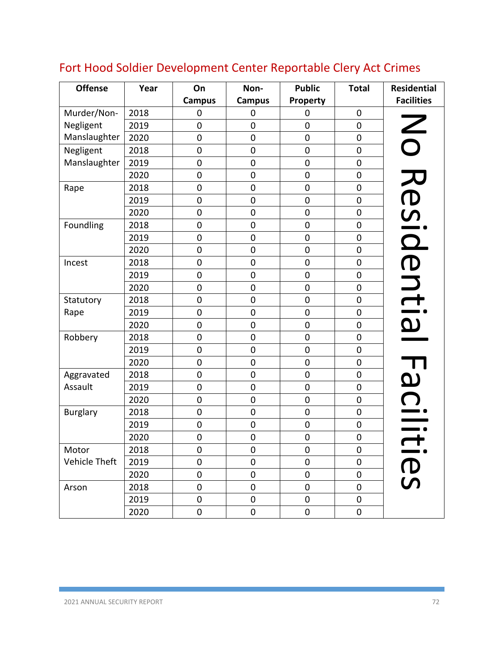| <b>Offense</b>  | Year | On             | Non-             | <b>Public</b> | <b>Total</b> | <b>Residential</b>       |
|-----------------|------|----------------|------------------|---------------|--------------|--------------------------|
|                 |      | <b>Campus</b>  | <b>Campus</b>    | Property      |              | <b>Facilities</b>        |
| Murder/Non-     | 2018 | $\mathbf 0$    | $\mathbf 0$      | 0             | $\mathbf 0$  |                          |
| Negligent       | 2019 | $\mathbf 0$    | $\mathbf 0$      | 0             | $\mathbf 0$  |                          |
| Manslaughter    | 2020 | $\mathbf 0$    | $\mathbf 0$      | $\pmb{0}$     | $\mathbf 0$  | $\overline{\mathsf{S}}$  |
| Negligent       | 2018 | $\mathbf 0$    | $\boldsymbol{0}$ | $\pmb{0}$     | $\mathbf 0$  |                          |
| Manslaughter    | 2019 | $\mathbf 0$    | $\mathbf 0$      | $\mathbf 0$   | 0            |                          |
|                 | 2020 | $\mathbf 0$    | $\mathbf 0$      | 0             | $\mathbf 0$  |                          |
| Rape            | 2018 | $\mathbf 0$    | $\mathbf 0$      | $\pmb{0}$     | $\pmb{0}$    |                          |
|                 | 2019 | $\mathbf 0$    | $\mathbf 0$      | $\mathbf 0$   | $\mathbf 0$  |                          |
|                 | 2020 | $\mathbf 0$    | $\mathbf 0$      | $\pmb{0}$     | $\pmb{0}$    |                          |
| Foundling       | 2018 | $\mathbf 0$    | $\boldsymbol{0}$ | $\mathbf 0$   | $\pmb{0}$    |                          |
|                 | 2019 | $\pmb{0}$      | $\mathbf 0$      | $\pmb{0}$     | $\pmb{0}$    | Resid                    |
|                 | 2020 | $\mathbf 0$    | $\mathbf 0$      | $\mathbf 0$   | $\mathbf 0$  |                          |
| Incest          | 2018 | $\overline{0}$ | $\mathbf 0$      | $\pmb{0}$     | $\mathbf 0$  | entia                    |
|                 | 2019 | $\mathbf 0$    | $\mathbf 0$      | $\mathbf 0$   | $\mathbf 0$  |                          |
|                 | 2020 | $\mathbf 0$    | $\mathbf 0$      | $\pmb{0}$     | $\mathbf 0$  |                          |
| Statutory       | 2018 | 0              | $\mathbf 0$      | $\mathbf 0$   | $\mathbf 0$  |                          |
| Rape            | 2019 | $\mathbf 0$    | $\mathbf 0$      | 0             | $\mathbf 0$  |                          |
|                 | 2020 | $\overline{0}$ | $\mathbf 0$      | $\mathbf 0$   | $\mathbf 0$  |                          |
| Robbery         | 2018 | $\mathbf 0$    | $\boldsymbol{0}$ | $\pmb{0}$     | $\pmb{0}$    |                          |
|                 | 2019 | $\mathbf 0$    | $\mathbf 0$      | 0             | $\mathbf 0$  |                          |
|                 | 2020 | $\mathbf 0$    | $\mathbf 0$      | 0             | $\pmb{0}$    |                          |
| Aggravated      | 2018 | $\mathbf 0$    | $\mathbf 0$      | $\mathbf 0$   | $\mathbf 0$  | F<br>G                   |
| Assault         | 2019 | $\mathbf 0$    | $\mathbf 0$      | $\pmb{0}$     | $\mathbf 0$  |                          |
|                 | 2020 | $\mathbf 0$    | $\mathbf 0$      | $\pmb{0}$     | 0            |                          |
| <b>Burglary</b> | 2018 | $\mathbf 0$    | $\mathbf 0$      | $\pmb{0}$     | $\pmb{0}$    |                          |
|                 | 2019 | $\mathbf 0$    | $\mathbf 0$      | $\pmb{0}$     | $\pmb{0}$    |                          |
|                 | 2020 | $\mathbf 0$    | $\boldsymbol{0}$ | $\pmb{0}$     | $\pmb{0}$    | $\overline{\phantom{0}}$ |
| Motor           | 2018 | $\pmb{0}$      | $\pmb{0}$        | $\pmb{0}$     | $\pmb{0}$    |                          |
| Vehicle Theft   | 2019 | $\mathbf 0$    | $\mathbf 0$      | $\pmb{0}$     | $\pmb{0}$    |                          |
|                 | 2020 | $\pmb{0}$      | $\pmb{0}$        | $\pmb{0}$     | $\pmb{0}$    | <b>D</b>                 |
| Arson           | 2018 | $\mathbf 0$    | $\boldsymbol{0}$ | $\pmb{0}$     | $\pmb{0}$    |                          |
|                 | 2019 | $\pmb{0}$      | $\pmb{0}$        | $\pmb{0}$     | $\pmb{0}$    |                          |
|                 | 2020 | $\pmb{0}$      | $\pmb{0}$        | 0             | $\pmb{0}$    |                          |

# Fort Hood Soldier Development Center Reportable Clery Act Crimes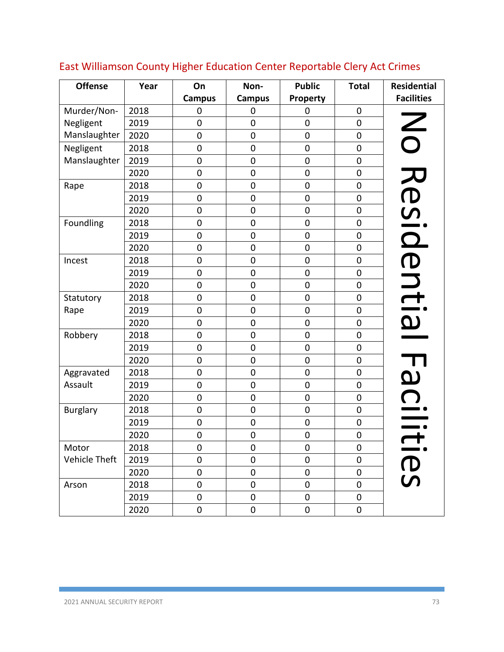| <b>Offense</b>  | Year | On            | Non-             | <b>Public</b>    | <b>Total</b> | <b>Residential</b> |
|-----------------|------|---------------|------------------|------------------|--------------|--------------------|
|                 |      | <b>Campus</b> | <b>Campus</b>    | Property         |              | <b>Facilities</b>  |
| Murder/Non-     | 2018 | 0             | $\mathbf 0$      | $\overline{0}$   | $\mathbf 0$  |                    |
| Negligent       | 2019 | 0             | $\mathbf 0$      | $\mathbf 0$      | $\mathbf 0$  |                    |
| Manslaughter    | 2020 | $\mathbf 0$   | $\mathbf 0$      | 0                | $\mathbf 0$  |                    |
| Negligent       | 2018 | $\mathbf 0$   | $\mathbf 0$      | $\pmb{0}$        | $\pmb{0}$    | $\bigcirc$         |
| Manslaughter    | 2019 | $\mathbf 0$   | $\mathbf 0$      | $\mathbf 0$      | $\mathbf 0$  |                    |
|                 | 2020 | $\mathbf 0$   | $\mathbf 0$      | 0                | $\pmb{0}$    | <b>)</b>           |
| Rape            | 2018 | $\mathbf 0$   | $\mathbf 0$      | $\pmb{0}$        | $\mathbf 0$  |                    |
|                 | 2019 | $\mathbf 0$   | $\boldsymbol{0}$ | $\boldsymbol{0}$ | $\pmb{0}$    |                    |
|                 | 2020 | $\mathbf 0$   | $\mathbf 0$      | 0                | $\mathbf 0$  |                    |
| Foundling       | 2018 | $\mathbf 0$   | $\mathbf 0$      | 0                | $\pmb{0}$    |                    |
|                 | 2019 | $\mathbf 0$   | $\mathbf 0$      | $\pmb{0}$        | $\mathbf 0$  | pise?              |
|                 | 2020 | $\mathbf 0$   | $\boldsymbol{0}$ | 0                | $\mathbf 0$  |                    |
| Incest          | 2018 | $\mathbf 0$   | $\mathbf 0$      | 0                | 0            |                    |
|                 | 2019 | $\mathbf 0$   | $\mathbf 0$      | $\pmb{0}$        | $\pmb{0}$    |                    |
|                 | 2020 | $\mathbf 0$   | $\mathbf 0$      | $\pmb{0}$        | $\pmb{0}$    |                    |
| Statutory       | 2018 | $\mathbf 0$   | $\mathbf 0$      | $\mathbf 0$      | $\pmb{0}$    | ential             |
| Rape            | 2019 | 0             | $\mathbf 0$      | $\pmb{0}$        | $\pmb{0}$    |                    |
|                 | 2020 | $\mathbf 0$   | $\mathbf 0$      | $\pmb{0}$        | $\mathbf 0$  |                    |
| Robbery         | 2018 | $\pmb{0}$     | $\mathbf 0$      | $\pmb{0}$        | $\pmb{0}$    |                    |
|                 | 2019 | $\mathbf 0$   | $\mathbf 0$      | $\mathbf 0$      | $\mathbf 0$  |                    |
|                 | 2020 | $\mathbf 0$   | $\mathbf 0$      | $\mathbf 0$      | $\mathbf 0$  |                    |
| Aggravated      | 2018 | $\mathbf 0$   | $\mathbf 0$      | $\mathbf 0$      | $\mathbf 0$  | മ                  |
| Assault         | 2019 | $\mathbf 0$   | $\mathbf 0$      | $\pmb{0}$        | $\mathbf 0$  |                    |
|                 | 2020 | $\mathbf 0$   | $\mathbf 0$      | $\mathbf 0$      | $\mathbf 0$  |                    |
| <b>Burglary</b> | 2018 | $\mathbf 0$   | $\mathbf 0$      | $\pmb{0}$        | $\pmb{0}$    |                    |
|                 | 2019 | $\mathbf 0$   | $\mathbf 0$      | $\pmb{0}$        | $\pmb{0}$    |                    |
|                 | 2020 | $\mathbf 0$   | $\mathbf 0$      | $\boldsymbol{0}$ | $\pmb{0}$    |                    |
| Motor           | 2018 | $\pmb{0}$     | $\pmb{0}$        | $\pmb{0}$        | $\pmb{0}$    |                    |
| Vehicle Theft   | 2019 | $\mathbf 0$   | 0                | 0                | $\mathbf 0$  |                    |
|                 | 2020 | $\mathbf 0$   | $\boldsymbol{0}$ | $\pmb{0}$        | $\pmb{0}$    | <b>O</b>           |
| Arson           | 2018 | $\mathbf 0$   | 0                | 0                | $\pmb{0}$    |                    |
|                 | 2019 | $\pmb{0}$     | $\boldsymbol{0}$ | $\pmb{0}$        | $\pmb{0}$    |                    |
|                 | 2020 | 0             | $\pmb{0}$        | 0                | 0            |                    |

# East Williamson County Higher Education Center Reportable Clery Act Crimes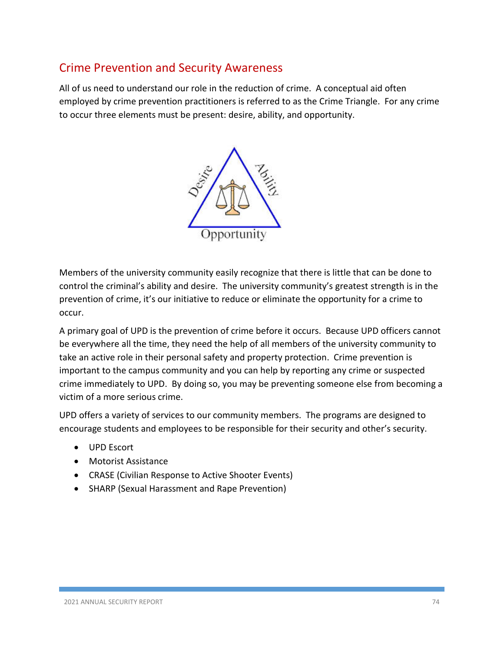# Crime Prevention and Security Awareness

All of us need to understand our role in the reduction of crime. A conceptual aid often employed by crime prevention practitioners is referred to as the Crime Triangle. For any crime to occur three elements must be present: desire, ability, and opportunity.



Members of the university community easily recognize that there is little that can be done to control the criminal's ability and desire. The university community's greatest strength is in the prevention of crime, it's our initiative to reduce or eliminate the opportunity for a crime to occur.

A primary goal of UPD is the prevention of crime before it occurs. Because UPD officers cannot be everywhere all the time, they need the help of all members of the university community to take an active role in their personal safety and property protection. Crime prevention is important to the campus community and you can help by reporting any crime or suspected crime immediately to UPD. By doing so, you may be preventing someone else from becoming a victim of a more serious crime.

UPD offers a variety of services to our community members. The programs are designed to encourage students and employees to be responsible for their security and other's security.

- UPD Escort
- Motorist Assistance
- CRASE (Civilian Response to Active Shooter Events)
- SHARP (Sexual Harassment and Rape Prevention)